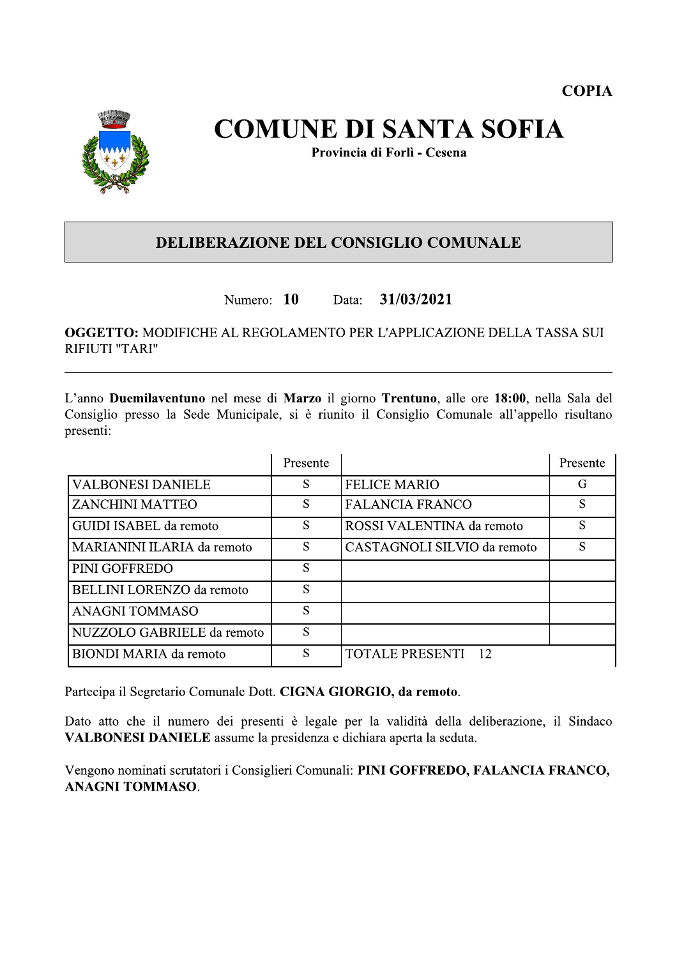

# **COMUNE DI SANTA SOFIA**

Provincia di Forlì - Cesena

### **DELIBERAZIONE DEL CONSIGLIO COMUNALE**

#### Numero: 10 31/03/2021 Data:

**OGGETTO: MODIFICHE AL REGOLAMENTO PER L'APPLICAZIONE DELLA TASSA SUI** RIFIUTI "TARI"

L'anno Duemilaventuno nel mese di Marzo il giorno Trentuno, alle ore 18:00, nella Sala del Consiglio presso la Sede Municipale, si è riunito il Consiglio Comunale all'appello risultano presenti:

|                                  | Presente |                             | Presente |
|----------------------------------|----------|-----------------------------|----------|
| <b>VALBONESI DANIELE</b>         | S        | <b>FELICE MARIO</b>         | G        |
| <b>ZANCHINI MATTEO</b>           | S        | <b>FALANCIA FRANCO</b>      | S        |
| GUIDI ISABEL da remoto           | S        | ROSSI VALENTINA da remoto   | S        |
| MARIANINI ILARIA da remoto       | S        | CASTAGNOLI SILVIO da remoto | S        |
| PINI GOFFREDO                    | S        |                             |          |
| <b>BELLINI LORENZO</b> da remoto | S        |                             |          |
| <b>ANAGNI TOMMASO</b>            | S        |                             |          |
| NUZZOLO GABRIELE da remoto       | S        |                             |          |
| <b>BIONDI MARIA da remoto</b>    | S        | <b>TOTALE PRESENTI 12</b>   |          |

Partecipa il Segretario Comunale Dott. CIGNA GIORGIO, da remoto.

Dato atto che il numero dei presenti è legale per la validità della deliberazione, il Sindaco VALBONESI DANIELE assume la presidenza e dichiara aperta la seduta.

Vengono nominati scrutatori i Consiglieri Comunali: PINI GOFFREDO, FALANCIA FRANCO, **ANAGNI TOMMASO.**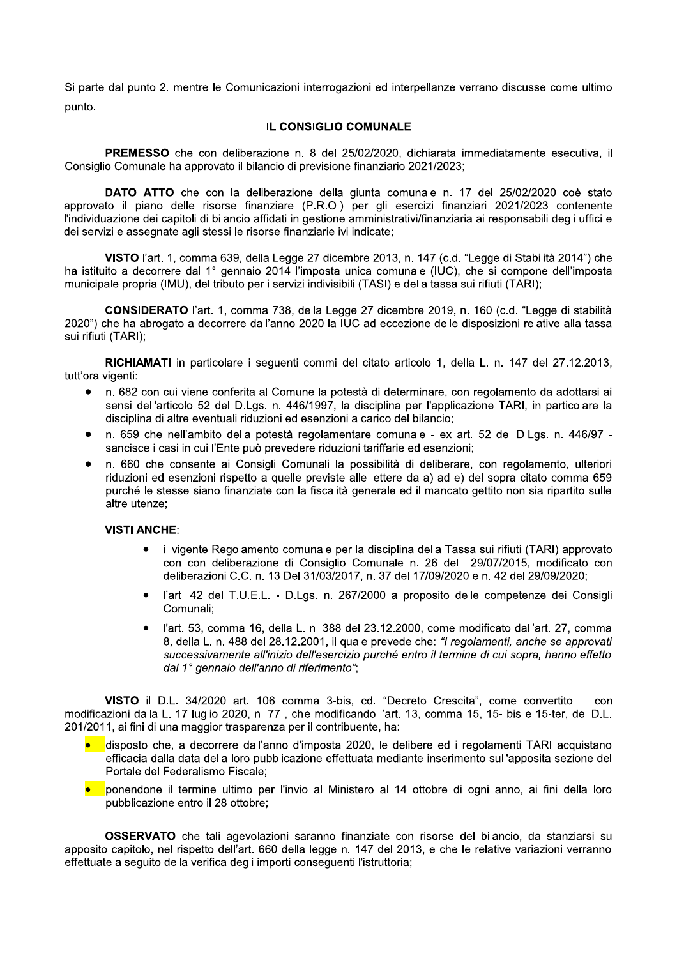Si parte dal punto 2, mentre le Comunicazioni interrogazioni ed interpellanze verrano discusse come ultimo punto.

#### IL CONSIGLIO COMUNALE

PREMESSO che con deliberazione n. 8 del 25/02/2020, dichiarata immediatamente esecutiva, il Consiglio Comunale ha approvato il bilancio di previsione finanziario 2021/2023;

DATO ATTO che con la deliberazione della giunta comunale n. 17 del 25/02/2020 coè stato approvato il piano delle risorse finanziare (P.R.O.) per gli esercizi finanziari 2021/2023 contenente l'individuazione dei capitoli di bilancio affidati in gestione amministrativi/finanziaria ai responsabili degli uffici e dei servizi e assegnate agli stessi le risorse finanziarie ivi indicate;

VISTO l'art. 1, comma 639, della Legge 27 dicembre 2013, n. 147 (c.d. "Legge di Stabilità 2014") che ha istituito a decorrere dal 1° gennaio 2014 l'imposta unica comunale (IUC), che si compone dell'imposta municipale propria (IMU), del tributo per i servizi indivisibili (TASI) e della tassa sui rifiuti (TARI);

CONSIDERATO l'art. 1, comma 738, della Legge 27 dicembre 2019, n. 160 (c.d. "Legge di stabilità 2020") che ha abrogato a decorrere dall'anno 2020 la IUC ad eccezione delle disposizioni relative alla tassa sui rifiuti (TARI);

RICHIAMATI in particolare i sequenti commi del citato articolo 1, della L. n. 147 del 27.12.2013, tutt'ora vigenti:

- n. 682 con cui viene conferita al Comune la potestà di determinare, con regolamento da adottarsi ai  $\bullet$ sensi dell'articolo 52 del D.Lgs. n. 446/1997, la disciplina per l'applicazione TARI, in particolare la disciplina di altre eventuali riduzioni ed esenzioni a carico del bilancio:
- n. 659 che nell'ambito della potestà regolamentare comunale ex art. 52 del D.Lgs. n. 446/97 sancisce i casi in cui l'Ente può prevedere riduzioni tariffarie ed esenzioni;
- $\bullet$ n. 660 che consente ai Consigli Comunali la possibilità di deliberare, con regolamento, ulteriori riduzioni ed esenzioni rispetto a quelle previste alle lettere da a) ad e) del sopra citato comma 659 purché le stesse siano finanziate con la fiscalità generale ed il mancato gettito non sia ripartito sulle altre utenze;

#### **VISTI ANCHE:**

- il vigente Regolamento comunale per la disciplina della Tassa sui rifiuti (TARI) approvato con con deliberazione di Consiglio Comunale n. 26 del 29/07/2015, modificato con deliberazioni C.C. n. 13 Del 31/03/2017, n. 37 del 17/09/2020 e n. 42 del 29/09/2020;
- l'art. 42 del T.U.E.L. D.Lgs. n. 267/2000 a proposito delle competenze dei Consigli Comunali;
- l'art. 53, comma 16, della L. n. 388 del 23.12.2000, come modificato dall'art. 27, comma 8, della L. n. 488 del 28.12.2001, il quale prevede che: "I regolamenti, anche se approvati successivamente all'inizio dell'esercizio purché entro il termine di cui sopra, hanno effetto dal 1º gennaio dell'anno di riferimento";

VISTO il D.L. 34/2020 art. 106 comma 3-bis, cd. "Decreto Crescita", come convertito con modificazioni dalla L. 17 luglio 2020, n. 77, che modificando l'art. 13, comma 15, 15- bis e 15-ter, del D.L. 201/2011, ai fini di una maggior trasparenza per il contribuente, ha:

- disposto che, a decorrere dall'anno d'imposta 2020, le delibere ed i regolamenti TARI acquistano efficacia dalla data della loro pubblicazione effettuata mediante inserimento sull'apposita sezione del Portale del Federalismo Fiscale:
- ponendone il termine ultimo per l'invio al Ministero al 14 ottobre di ogni anno, ai fini della loro pubblicazione entro il 28 ottobre;

OSSERVATO che tali agevolazioni saranno finanziate con risorse del bilancio, da stanziarsi su apposito capitolo, nel rispetto dell'art. 660 della legge n. 147 del 2013, e che le relative variazioni verranno effettuate a seguito della verifica degli importi conseguenti l'istruttoria;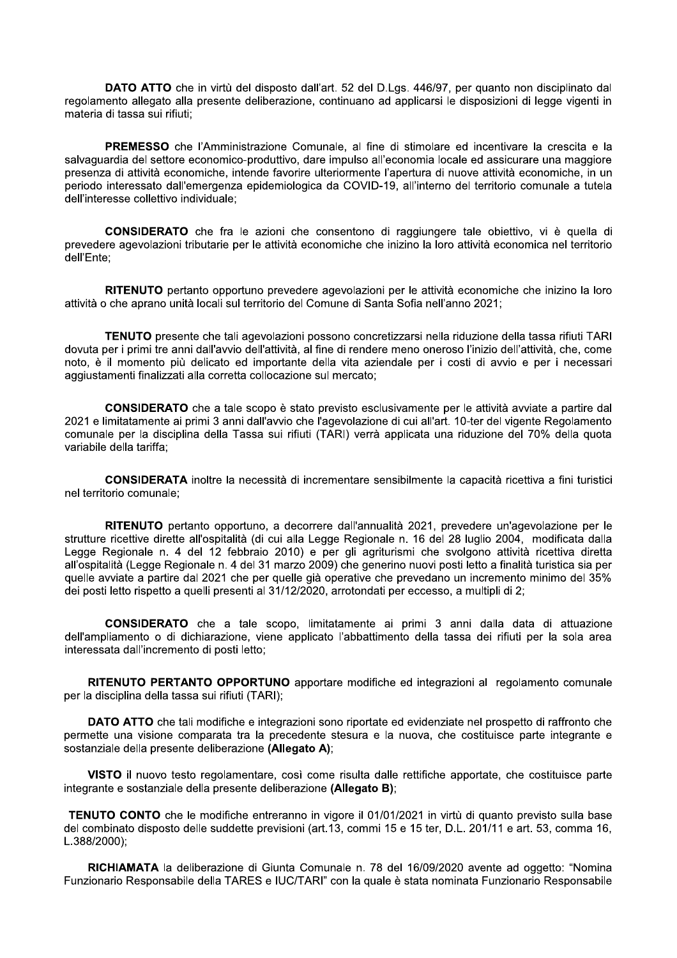DATO ATTO che in virtù del disposto dall'art. 52 del D.Lgs. 446/97, per quanto non disciplinato dal regolamento allegato alla presente deliberazione, continuano ad applicarsi le disposizioni di legge vigenti in materia di tassa sui rifiuti;

PREMESSO che l'Amministrazione Comunale, al fine di stimolare ed incentivare la crescita e la salvaguardia del settore economico-produttivo, dare impulso all'economia locale ed assicurare una maggiore presenza di attività economiche, intende favorire ulteriormente l'apertura di nuove attività economiche, in un periodo interessato dall'emergenza epidemiologica da COVID-19, all'interno del territorio comunale a tutela dell'interesse collettivo individuale:

CONSIDERATO che fra le azioni che consentono di raggiungere tale obiettivo, vi è quella di prevedere agevolazioni tributarie per le attività economiche che inizino la loro attività economica nel territorio dell'Ente:

RITENUTO pertanto opportuno prevedere agevolazioni per le attività economiche che inizino la loro attività o che aprano unità locali sul territorio del Comune di Santa Sofia nell'anno 2021;

TENUTO presente che tali agevolazioni possono concretizzarsi nella riduzione della tassa rifiuti TARI dovuta per i primi tre anni dall'avvio dell'attività, al fine di rendere meno oneroso l'inizio dell'attività, che, come noto, è il momento più delicato ed importante della vita aziendale per i costi di avvio e per i necessari aggiustamenti finalizzati alla corretta collocazione sul mercato;

CONSIDERATO che a tale scopo è stato previsto esclusivamente per le attività avviate a partire dal 2021 e limitatamente ai primi 3 anni dall'avvio che l'agevolazione di cui all'art. 10-ter del vigente Regolamento comunale per la disciplina della Tassa sui rifiuti (TARI) verrà applicata una riduzione del 70% della guota variabile della tariffa:

CONSIDERATA inoltre la necessità di incrementare sensibilmente la capacità ricettiva a fini turistici nel territorio comunale:

RITENUTO pertanto opportuno, a decorrere dall'annualità 2021, prevedere un'agevolazione per le strutture ricettive dirette all'ospitalità (di cui alla Legge Regionale n. 16 del 28 luglio 2004, modificata dalla Legge Regionale n. 4 del 12 febbraio 2010) e per gli agriturismi che svolgono attività ricettiva diretta all'ospitalità (Legge Regionale n. 4 del 31 marzo 2009) che generino nuovi posti letto a finalità turistica sia per quelle avviate a partire dal 2021 che per quelle già operative che prevedano un incremento minimo del 35% dei posti letto rispetto a quelli presenti al 31/12/2020, arrotondati per eccesso, a multipli di 2;

CONSIDERATO che a tale scopo, limitatamente ai primi 3 anni dalla data di attuazione dell'ampliamento o di dichiarazione, viene applicato l'abbattimento della tassa dei rifiuti per la sola area interessata dall'incremento di posti letto;

RITENUTO PERTANTO OPPORTUNO apportare modifiche ed integrazioni al regolamento comunale per la disciplina della tassa sui rifiuti (TARI);

**DATO ATTO** che tali modifiche e integrazioni sono riportate ed evidenziate nel prospetto di raffronto che permette una visione comparata tra la precedente stesura e la nuova, che costituisce parte integrante e sostanziale della presente deliberazione (Allegato A);

VISTO il nuovo testo regolamentare, così come risulta dalle rettifiche apportate, che costituisce parte integrante e sostanziale della presente deliberazione (Allegato B);

TENUTO CONTO che le modifiche entreranno in vigore il 01/01/2021 in virtù di quanto previsto sulla base del combinato disposto delle suddette previsioni (art.13, commi 15 e 15 ter, D.L. 201/11 e art. 53, comma 16,  $L.388/2000$ ;

RICHIAMATA la deliberazione di Giunta Comunale n. 78 del 16/09/2020 avente ad oggetto: "Nomina Funzionario Responsabile della TARES e IUC/TARI" con la quale è stata nominata Funzionario Responsabile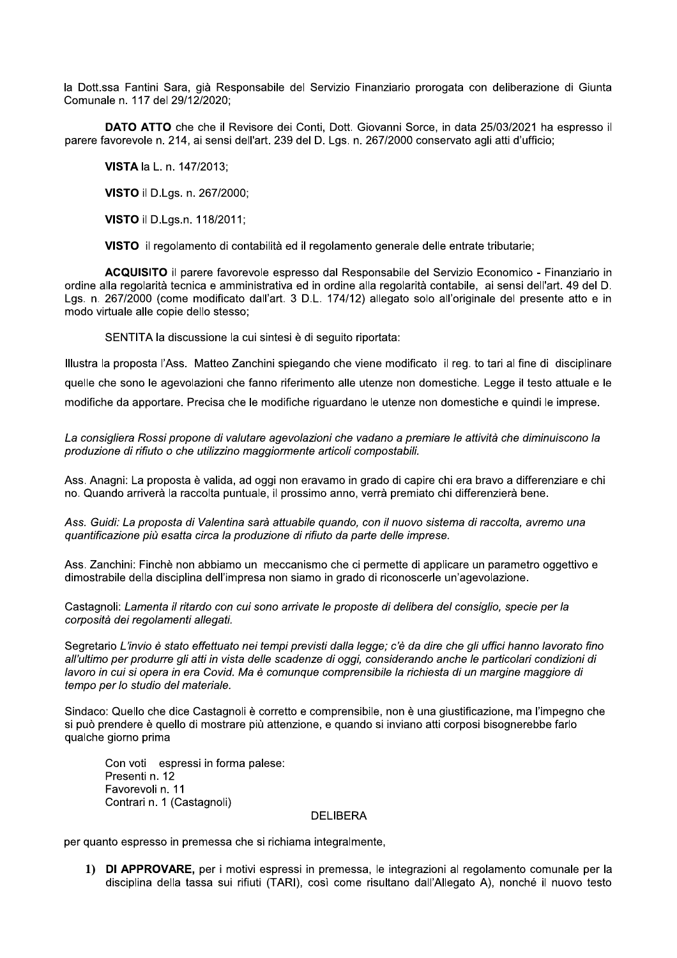la Dott.ssa Fantini Sara, gla Responsabile del Servizio Finanziario prorogata con deliberazione di Giunta Comunale n. 117 del 29

la Dott.ssa Fantini Sara, già Responsabile<br>
Comunale n. 117 del 29/12/2020;<br> **DATO ATTO** che che il Revisore de<br>
parere favorevole n. 214, ai sensi dell'art. 23<br> **VISTA** la L. n. 147/2013;<br> **VISTO** il D.Lgs. n. 267/2000;<br> che il Revisore del Conti, Dott. Glovanni Sorce, in data 25/03/2021 na espresso il parere favorevole n. 214, al sensi dell'art. 239 del D. Lgs. n. 267/2000 conservato agli atti d'ufficio;  $\mu$ la Dott.ssa Fantini Sara, già Responsabile del Servizio Finanziario prorogata con deliberazione<br>
Comunale n. 117 del 29/12/2020;<br> **DATO ATTO** che che il Revisore dei Conti, Dott. Giovanni Sorce, in data 25/03/2021 ha e<br>
pa

L. n. 14

i D.Lgs. n. *z*i

LD.Lgs.n. 118/2011;

visio III regolamento di contabilità ed il regolamento generale delle entrate tributarie;

la Dott.ssa Fantini Sara, già Respor<br>
Comunale n. 117 del 29/12/2020;<br> **DATO ATTO** che che il Revis<br>
parere favorevole n. 214, ai sensi dell<br> **VISTA** la L. n. 147/2013;<br> **VISTO** il D.Lgs. n. 267/2000;<br> **VISTO** il D.Lgs.n. **DATO ATTO** che che il Revis<br>parere favorevole n. 214, ai sensi dell'a<br>**VISTA** la L. n. 147/2013;<br>**VISTO** il D.Lgs. n. 267/2000;<br>**VISTO** il D.Lgs.n. 118/2011;<br>**VISTO** il regolamento di conta<br>**ACQUISITO** il parere favorevo<br> ACQUISITO II parere favorevoie espresso dal Responsabile del Servizio Economico - Finanziario in ordine alla regolarita tecnica e amministrativa ed in ordine alla regolarita contabile, al sensi dell'art. 49 del D. Lgs. n. 26//2000 (come modificato dall'art. 3 D.L. 174/12) allegato solo all'originale del presente atto e in modo virtuale alle copie dello stesso;

SENTITA la discussione la cui sintesi e di seguito riportata:

 $\frac{1}{2}$  in proposta l'Ass. Matteo Zanchini spiegando che viene modificato Il reg. to tari al fine di disciplinare quelle che sono le agevolazioni che fanno riferimento alle utenze non domestiche. Legge il testo attuale e le modifiche da apportare. Precisa che le modifiche riguardano le utenze non domestiche e quindi le imprese.

La consigliera Rossi propone di valutare agevolazioni che vadano a premiare le attività che diminuiscono la produzione di rifiuto o che utilizzino maggiormente articoli compostabili.

Ass. Anagni: La proposta e valida, ad oggl non eravamo in grado di capire chi era pravo a differenziare e chi no. Quando arrivera la raccolta puntuale, il prossimo anno, verra premiato chi differenziera bene.

Ass. Guidi: La proposta di Valentina sarà attuabile quando, con il nuovo sistema di raccolta, avremo una quantificazione più esatta circa la produzione di rifiuto da parte delle imprese.

Ass. Zanchini: Finche non applamo un meccanismo che ci permette di applicare un parametro oggettivo e dimostrabile della disciplina dell'impresa non siamo in grado di riconoscerie un'agevolazione.

Castagholi: Lamenta il ritardo con cui sono arrivate le proposte di delibera del consiglio, specie per la corposità dei regolamenti allegati.

Segretario L'invio e stato effettuato nei tempi previsti dalla legge; c'e da dire che gli uffici hanno lavorato fino all'ultimo per produrre gli atti in vista delle scadenze di oggi, considerando anche le particolari condizioni di lavoro in cui si opera in era Covid. Ma è comunque comprensibile la richiesta di un margine maggiore di tempo per lo studio del materiale.

 $S$ Indaco: Quello che dice Castagnoli e corretto e comprensibile, non e una giustificazione, ma i impegno che  $\mathsf{s}_1$  puo prendere e quello di mostrare più attenzione, e quando si inviano atti corposi bisognerebbe fario quaicne giorno prima

Con voti – espressi in forma palese:<br>– Presenti n. 12<br>-**Favorevoll n.** 11 Contrari n. 1 (Castagnoli) Con voti espressi in form<br>Presenti n. 12<br>Favorevoli n. 11<br>Contrari n. 1 (Castagnoli)<br>per quanto espresso in premessa<br>1) DI APPROVARE, per in<br>disciplina della tassa sui

#### **DELIBERA**

per quanto espresso in premessa che si richiama integralmente,

per i motivi espressi in premessa, ie integrazioni ai regolamento comunale per la discipiina della tassa sui rifiuti (TARI), così come risultano dall'Allegato A), nonche il nuovo testo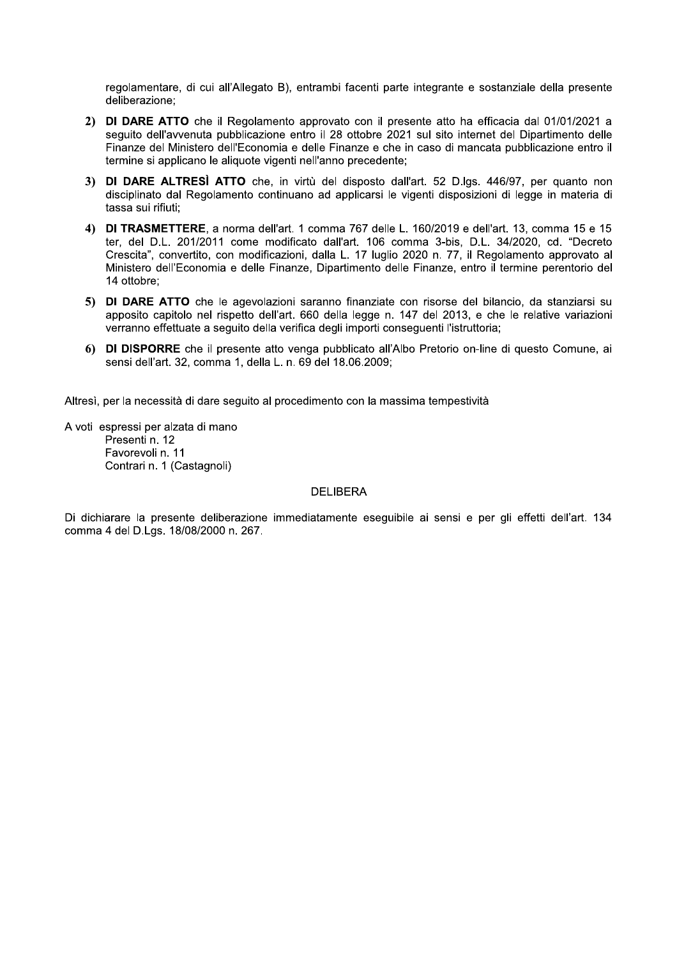regolamentare, di cui all'Allegato B), entrambi facenti parte integrante e sostanziale della presente deliberazione:

- 2) DI DARE ATTO che il Regolamento approvato con il presente atto ha efficacia dal 01/01/2021 a seguito dell'avvenuta pubblicazione entro il 28 ottobre 2021 sul sito internet del Dipartimento delle Finanze del Ministero dell'Economia e delle Finanze e che in caso di mancata pubblicazione entro il termine si applicano le aliquote vigenti nell'anno precedente;
- 3) DI DARE ALTRESÌ ATTO che, in virtù del disposto dall'art. 52 D.lgs. 446/97, per quanto non disciplinato dal Regolamento continuano ad applicarsi le vigenti disposizioni di legge in materia di tassa sui rifiuti:
- DI TRASMETTERE, a norma dell'art. 1 comma 767 delle L. 160/2019 e dell'art. 13, comma 15 e 15  $4)$ ter, del D.L. 201/2011 come modificato dall'art. 106 comma 3-bis, D.L. 34/2020, cd. "Decreto Crescita", convertito, con modificazioni, dalla L. 17 luglio 2020 n. 77, il Regolamento approvato al Ministero dell'Economia e delle Finanze, Dipartimento delle Finanze, entro il termine perentorio del 14 ottobre;
- 5) DI DARE ATTO che le agevolazioni saranno finanziate con risorse del bilancio, da stanziarsi su apposito capitolo nel rispetto dell'art. 660 della legge n. 147 del 2013, e che le relative variazioni verranno effettuate a seguito della verifica degli importi conseguenti l'istruttoria;
- 6) DI DISPORRE che il presente atto venga pubblicato all'Albo Pretorio on-line di questo Comune, ai sensi dell'art. 32, comma 1, della L. n. 69 del 18.06.2009;

Altresì, per la necessità di dare seguito al procedimento con la massima tempestività

A voti espressi per alzata di mano Presenti n. 12 Favorevoli n. 11 Contrari n. 1 (Castagnoli)

#### **DELIBERA**

Di dichiarare la presente deliberazione immediatamente esequibile ai sensi e per gli effetti dell'art. 134 comma 4 del D.Lgs. 18/08/2000 n. 267.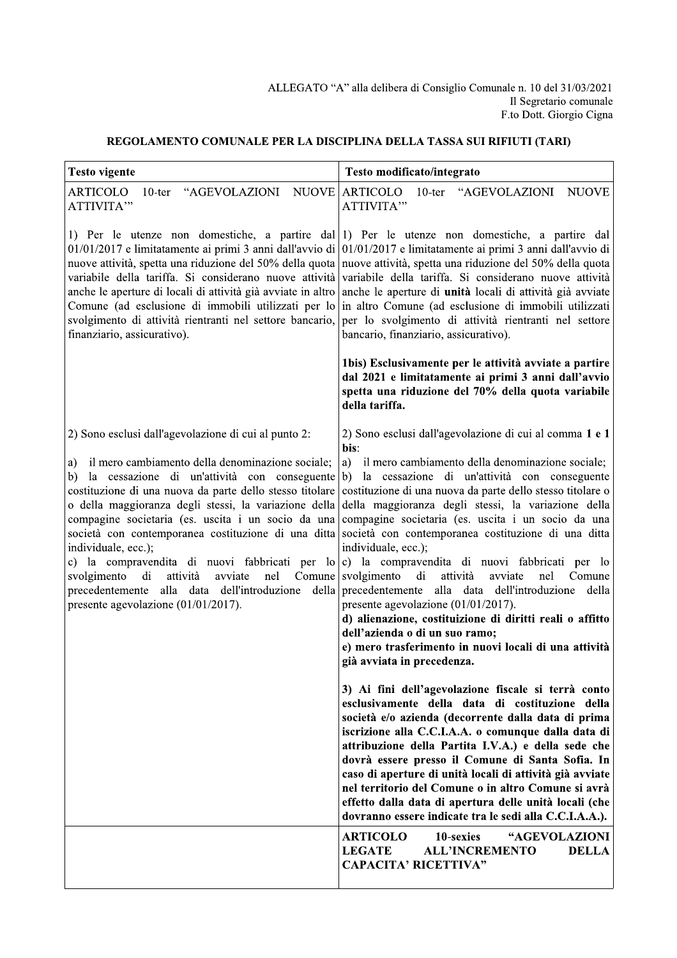### REGOLAMENTO COMUNALE PER LA DISCIPLINA DELLA TASSA SUI RIFIUTI (TARI)

| <b>Testo vigente</b>                                                                                                                                                                                                                                                                                                                                                                                                                                                                                                                                                                                                                 | Testo modificato/integrato                                                                                                                                                                                                                                                                                                                                                                                                                                                                                                                                                                                                                                                                                                                                                                                                                                                                             |
|--------------------------------------------------------------------------------------------------------------------------------------------------------------------------------------------------------------------------------------------------------------------------------------------------------------------------------------------------------------------------------------------------------------------------------------------------------------------------------------------------------------------------------------------------------------------------------------------------------------------------------------|--------------------------------------------------------------------------------------------------------------------------------------------------------------------------------------------------------------------------------------------------------------------------------------------------------------------------------------------------------------------------------------------------------------------------------------------------------------------------------------------------------------------------------------------------------------------------------------------------------------------------------------------------------------------------------------------------------------------------------------------------------------------------------------------------------------------------------------------------------------------------------------------------------|
| "AGEVOLAZIONI<br><b>ARTICOLO</b><br>$10$ -ter<br>ATTIVITA"                                                                                                                                                                                                                                                                                                                                                                                                                                                                                                                                                                           | NUOVE ARTICOLO<br>$10$ -ter<br>"AGEVOLAZIONI<br><b>NUOVE</b><br>ATTIVITA"                                                                                                                                                                                                                                                                                                                                                                                                                                                                                                                                                                                                                                                                                                                                                                                                                              |
| 01/01/2017 e limitatamente ai primi 3 anni dall'avvio di<br>nuove attività, spetta una riduzione del 50% della quota<br>variabile della tariffa. Si considerano nuove attività<br>anche le aperture di locali di attività già avviate in altro<br>Comune (ad esclusione di immobili utilizzati per lo<br>svolgimento di attività rientranti nel settore bancario,<br>finanziario, assicurativo).                                                                                                                                                                                                                                     | 1) Per le utenze non domestiche, a partire dal 1) Per le utenze non domestiche, a partire dal<br>01/01/2017 e limitatamente ai primi 3 anni dall'avvio di<br>nuove attività, spetta una riduzione del 50% della quota<br>variabile della tariffa. Si considerano nuove attività<br>anche le aperture di unità locali di attività già avviate<br>in altro Comune (ad esclusione di immobili utilizzati<br>per lo svolgimento di attività rientranti nel settore<br>bancario, finanziario, assicurativo).                                                                                                                                                                                                                                                                                                                                                                                                |
|                                                                                                                                                                                                                                                                                                                                                                                                                                                                                                                                                                                                                                      | 1bis) Esclusivamente per le attività avviate a partire<br>dal 2021 e limitatamente ai primi 3 anni dall'avvio<br>spetta una riduzione del 70% della quota variabile<br>della tariffa.                                                                                                                                                                                                                                                                                                                                                                                                                                                                                                                                                                                                                                                                                                                  |
| 2) Sono esclusi dall'agevolazione di cui al punto 2:<br>il mero cambiamento della denominazione sociale;<br>a)<br>la cessazione di un'attività con conseguente b)<br>b)<br>costituzione di una nuova da parte dello stesso titolare<br>o della maggioranza degli stessi, la variazione della<br>compagine societaria (es. uscita i un socio da una<br>società con contemporanea costituzione di una ditta<br>individuale, ecc.);<br>c) la compravendita di nuovi fabbricati per lo<br>svolgimento<br>nel<br>di<br>attività<br>avviate<br>alla data dell'introduzione della<br>precedentemente<br>presente agevolazione (01/01/2017). | 2) Sono esclusi dall'agevolazione di cui al comma 1 e 1<br>bis:<br>a)<br>il mero cambiamento della denominazione sociale;<br>la cessazione di un'attività con conseguente<br>costituzione di una nuova da parte dello stesso titolare o<br>della maggioranza degli stessi, la variazione della<br>compagine societaria (es. uscita i un socio da una<br>società con contemporanea costituzione di una ditta<br>individuale, ecc.);<br>c) la compravendita di nuovi fabbricati per lo<br>Comune svolgimento<br>di<br>attività<br>nel<br>avviate<br>Comune<br>precedentemente<br>alla data dell'introduzione<br>della<br>presente agevolazione (01/01/2017).<br>d) alienazione, costituizione di diritti reali o affitto<br>dell'azienda o di un suo ramo;<br>e) mero trasferimento in nuovi locali di una attività<br>già avviata in precedenza.<br>3) Ai fini dell'agevolazione fiscale si terrà conto |
|                                                                                                                                                                                                                                                                                                                                                                                                                                                                                                                                                                                                                                      | esclusivamente della data di costituzione della<br>società e/o azienda (decorrente dalla data di prima<br>iscrizione alla C.C.I.A.A. o comunque dalla data di<br>attribuzione della Partita I.V.A.) e della sede che<br>dovrà essere presso il Comune di Santa Sofia. In<br>caso di aperture di unità locali di attività già avviate<br>nel territorio del Comune o in altro Comune si avrà<br>effetto dalla data di apertura delle unità locali (che<br>dovranno essere indicate tra le sedi alla C.C.I.A.A.).                                                                                                                                                                                                                                                                                                                                                                                        |
|                                                                                                                                                                                                                                                                                                                                                                                                                                                                                                                                                                                                                                      | <b>ARTICOLO</b><br>10-sexies<br>"AGEVOLAZIONI<br><b>LEGATE</b><br><b>ALL'INCREMENTO</b><br><b>DELLA</b><br><b>CAPACITA' RICETTIVA"</b>                                                                                                                                                                                                                                                                                                                                                                                                                                                                                                                                                                                                                                                                                                                                                                 |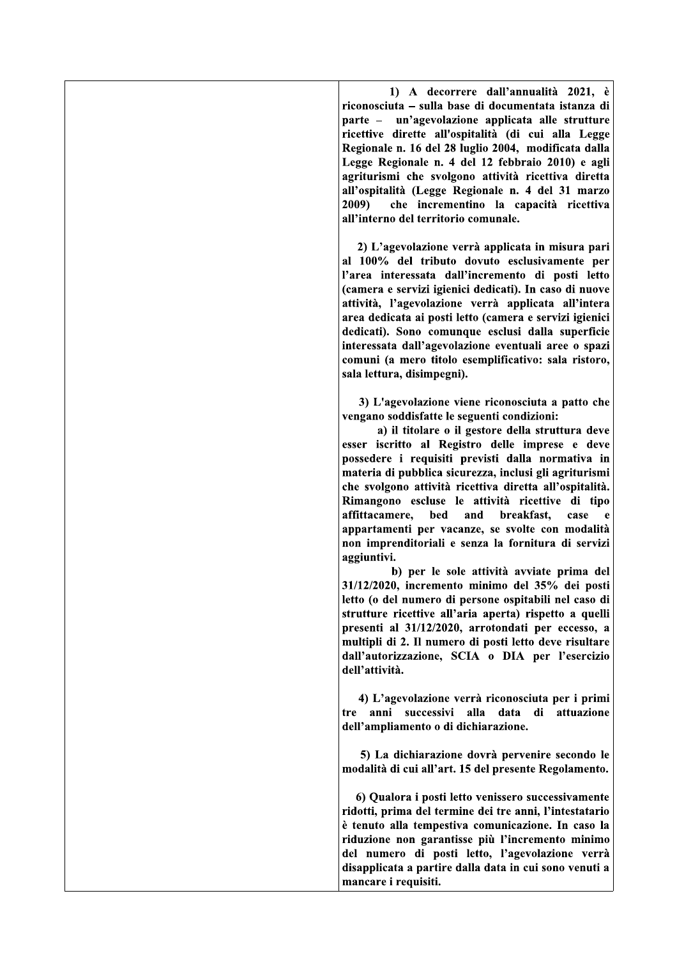1) A decorrere dall'annualità 2021, è riconosciuta – sulla base di documentata istanza di parte – un'agevolazione applicata alle strutture ricettive dirette all'ospitalità (di cui alla Legge Regionale n. 16 del 28 luglio 2004, modificata dalla Legge Regionale n. 4 del 12 febbraio 2010) e agli agriturismi che svolgono attività ricettiva diretta all'ospitalità (Legge Regionale n. 4 del 31 marzo  $2009$ che incrementino la capacità ricettiva all'interno del territorio comunale.

2) L'agevolazione verrà applicata in misura pari al 100% del tributo dovuto esclusivamente per l'area interessata dall'incremento di posti letto (camera e servizi igienici dedicati). In caso di nuove attività, l'agevolazione verrà applicata all'intera area dedicata ai posti letto (camera e servizi igienici dedicati). Sono comunque esclusi dalla superficie interessata dall'agevolazione eventuali aree o spazi comuni (a mero titolo esemplificativo: sala ristoro, sala lettura, disimpegni).

3) L'agevolazione viene riconosciuta a patto che vengano soddisfatte le seguenti condizioni:

a) il titolare o il gestore della struttura deve esser iscritto al Registro delle imprese e deve possedere i requisiti previsti dalla normativa in materia di pubblica sicurezza, inclusi gli agriturismi che svolgono attività ricettiva diretta all'ospitalità. Rimangono escluse le attività ricettive di tipo affittacamere. bed and breakfast. case appartamenti per vacanze, se svolte con modalità non imprenditoriali e senza la fornitura di servizi aggiuntivi.

b) per le sole attività avviate prima del 31/12/2020, incremento minimo del 35% dei posti letto (o del numero di persone ospitabili nel caso di strutture ricettive all'aria aperta) rispetto a quelli presenti al 31/12/2020, arrotondati per eccesso, a multipli di 2. Il numero di posti letto deve risultare dall'autorizzazione, SCIA o DIA per l'esercizio dell'attività.

4) L'agevolazione verrà riconosciuta per i primi tre anni successivi alla data di attuazione dell'ampliamento o di dichiarazione.

5) La dichiarazione dovrà pervenire secondo le modalità di cui all'art. 15 del presente Regolamento.

6) Qualora i posti letto venissero successivamente ridotti, prima del termine dei tre anni, l'intestatario è tenuto alla tempestiva comunicazione. In caso la riduzione non garantisse più l'incremento minimo del numero di posti letto, l'agevolazione verrà disapplicata a partire dalla data in cui sono venuti a mancare i requisiti.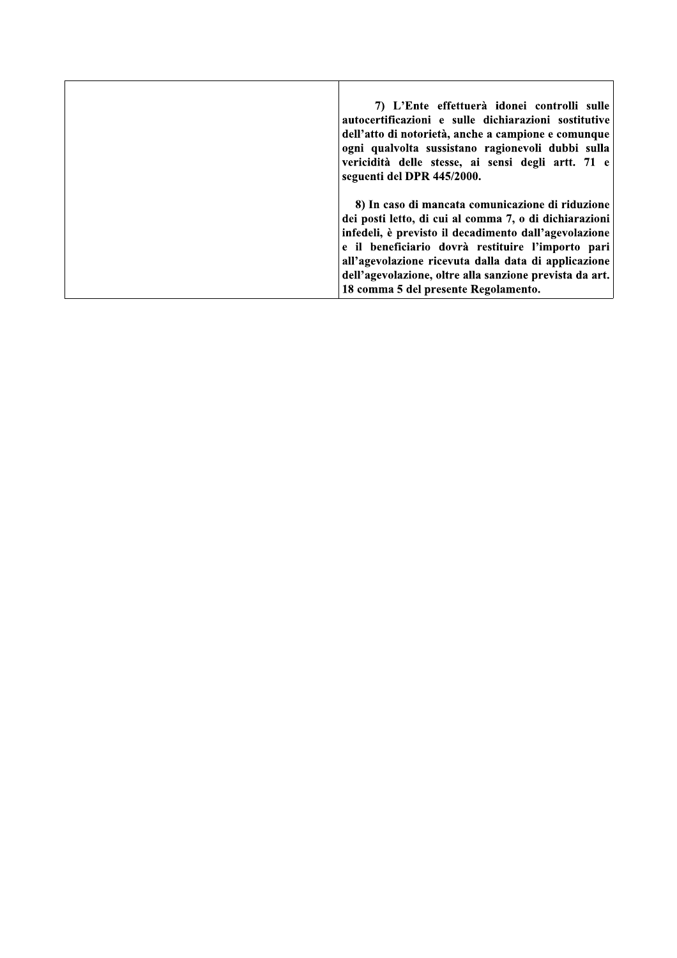| 7) L'Ente effettuerà idonei controlli sulle<br>autocertificazioni e sulle dichiarazioni sostitutive<br>dell'atto di notorietà, anche a campione e comunque<br>ogni qualvolta sussistano ragionevoli dubbi sulla<br>vericidità delle stesse, ai sensi degli artt. 71 e<br>seguenti del DPR 445/2000. |
|-----------------------------------------------------------------------------------------------------------------------------------------------------------------------------------------------------------------------------------------------------------------------------------------------------|
|                                                                                                                                                                                                                                                                                                     |
|                                                                                                                                                                                                                                                                                                     |
| 8) In caso di mancata comunicazione di riduzione                                                                                                                                                                                                                                                    |
| dei posti letto, di cui al comma 7, o di dichiarazioni                                                                                                                                                                                                                                              |
| infedeli, è previsto il decadimento dall'agevolazione                                                                                                                                                                                                                                               |
| e il beneficiario dovrà restituire l'importo pari                                                                                                                                                                                                                                                   |
| all'agevolazione ricevuta dalla data di applicazione                                                                                                                                                                                                                                                |
| dell'agevolazione, oltre alla sanzione prevista da art.                                                                                                                                                                                                                                             |
| 18 comma 5 del presente Regolamento.                                                                                                                                                                                                                                                                |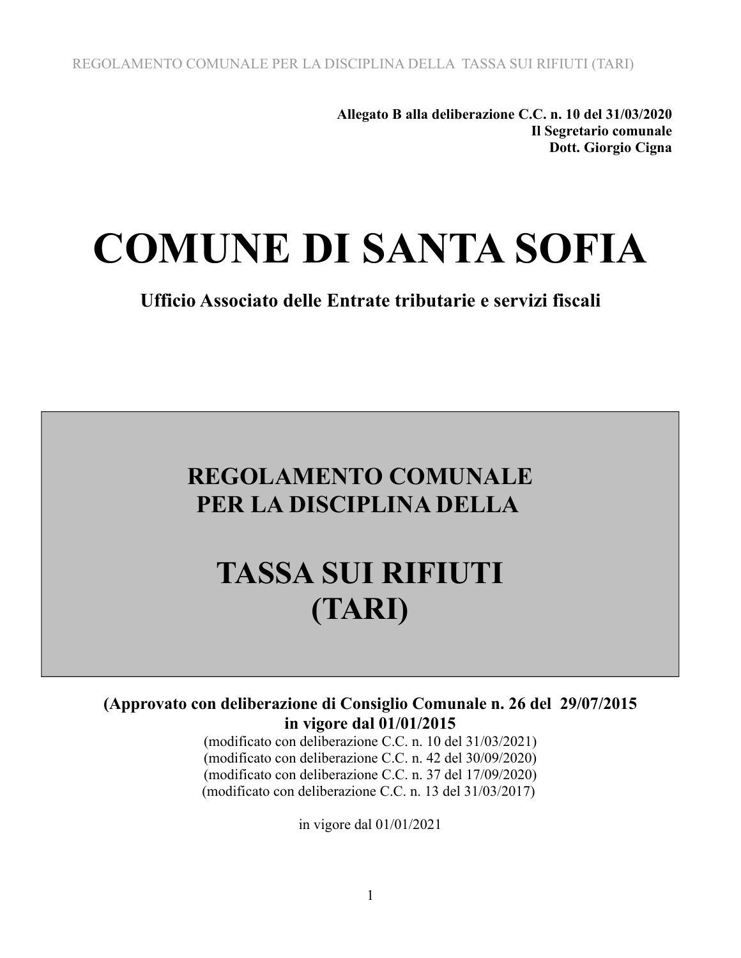**Allegato B alla deliberazione C.C. n. 10 del 31/03/2020 Il Segretario comunale Dott. Giorgio Cigna**

# **COMUNE DI SANTA SOFIA**

**Ufficio Associato delle Entrate tributarie e servizi fiscali**

## **REGOLAMENTO COMUNALE PER LA DISCIPLINA DELLA**

# **TASSA SUI RIFIUTI (TARI)**

### **(Approvato con deliberazione di Consiglio Comunale n. 26 del 29/07/2015 in vigore dal 01/01/2015**

(modificato con deliberazione C.C. n. 10 del 31/03/2021) (modificato con deliberazione C.C. n. 42 del 30/09/2020) (modificato con deliberazione C.C. n. 37 del 17/09/2020) (modificato con deliberazione C.C. n. 13 del 31/03/2017)

in vigore dal 01/01/2021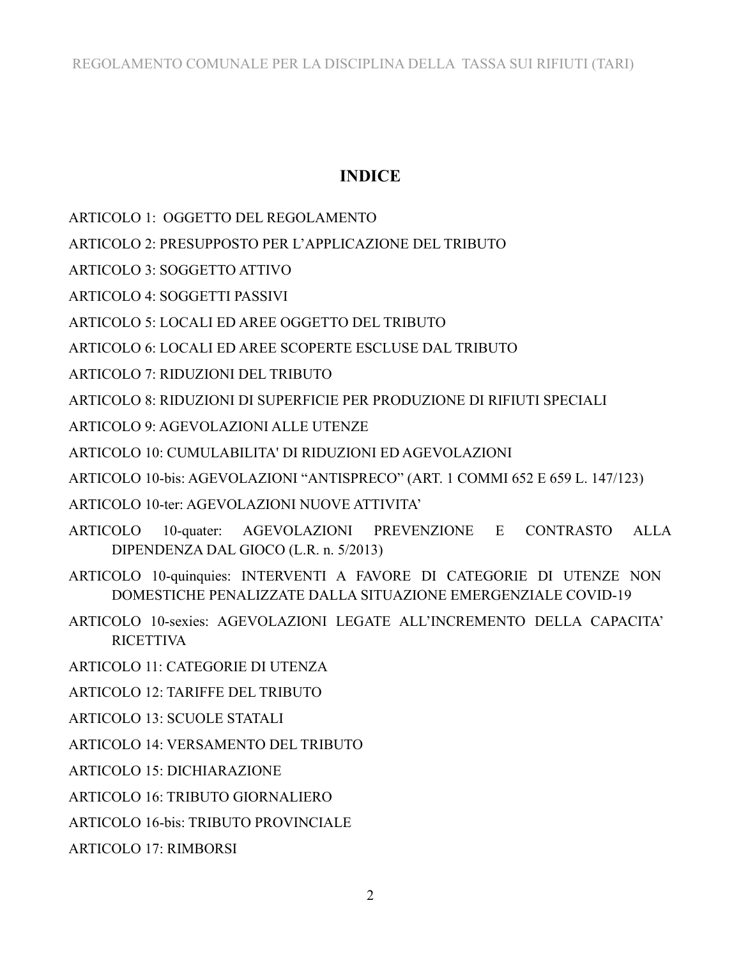### **INDICE**

- ARTICOLO 1: OGGETTO DEL REGOLAMENTO
- ARTICOLO 2: PRESUPPOSTO PER L'APPLICAZIONE DEL TRIBUTO
- ARTICOLO 3: SOGGETTO ATTIVO
- **ARTICOLO 4: SOGGETTI PASSIVI**
- ARTICOLO 5: LOCALI ED AREE OGGETTO DEL TRIBUTO
- ARTICOLO 6: LOCALI ED AREE SCOPERTE ESCLUSE DAL TRIBUTO
- **ARTICOLO 7: RIDUZIONI DEL TRIBUTO**
- ARTICOLO 8: RIDUZIONI DI SUPERFICIE PER PRODUZIONE DI RIFIUTI SPECIALI
- **ARTICOLO 9: AGEVOLAZIONI ALLE UTENZE**
- ARTICOLO 10: CUMULABILITA' DI RIDUZIONI ED AGEVOLAZIONI
- ARTICOLO 10-bis: AGEVOLAZIONI "ANTISPRECO" (ART. 1 COMMI 652 E 659 L. 147/123)
- ARTICOLO 10-ter: AGEVOLAZIONI NUOVE ATTIVITA'
- ARTICOLO 10-quater: AGEVOLAZIONI PREVENZIONE E CONTRASTO  $ALI.A$ DIPENDENZA DAL GIOCO (L.R. n. 5/2013)
- ARTICOLO 10-quinquies: INTERVENTI A FAVORE DI CATEGORIE DI UTENZE NON DOMESTICHE PENALIZZATE DALLA SITUAZIONE EMERGENZIALE COVID-19
- ARTICOLO 10-sexies: AGEVOLAZIONI LEGATE ALL'INCREMENTO DELLA CAPACITA' **RICETTIVA**
- ARTICOLO 11: CATEGORIE DI UTENZA
- ARTICOLO 12: TARIFFE DEL TRIBUTO
- **ARTICOLO 13: SCUOLE STATALI**
- ARTICOLO 14: VERSAMENTO DEL TRIBUTO
- **ARTICOLO 15: DICHIARAZIONE**
- ARTICOLO 16: TRIBUTO GIORNALIERO
- **ARTICOLO 16-bis: TRIBUTO PROVINCIALE**
- **ARTICOLO 17: RIMBORSI**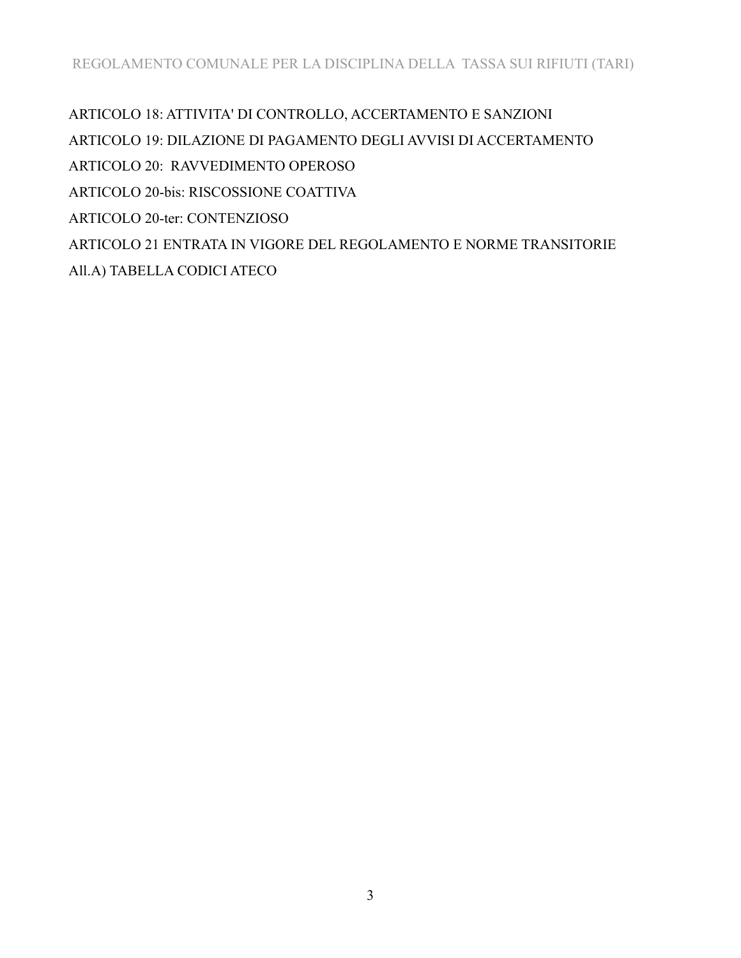ARTICOLO 18: ATTIVITA' DI CONTROLLO, ACCERTAMENTO E SANZIONI ARTICOLO 19: DILAZIONE DI PAGAMENTO DEGLI AVVISI DI ACCERTAMENTO ARTICOLO 20: RAVVEDIMENTO OPEROSO ARTICOLO 20-bis: RISCOSSIONE COATTIVA ARTICOLO 20-ter: CONTENZIOSO ARTICOLO 21 ENTRATA IN VIGORE DEL REGOLAMENTO E NORME TRANSITORIE All.A) TABELLA CODICI ATECO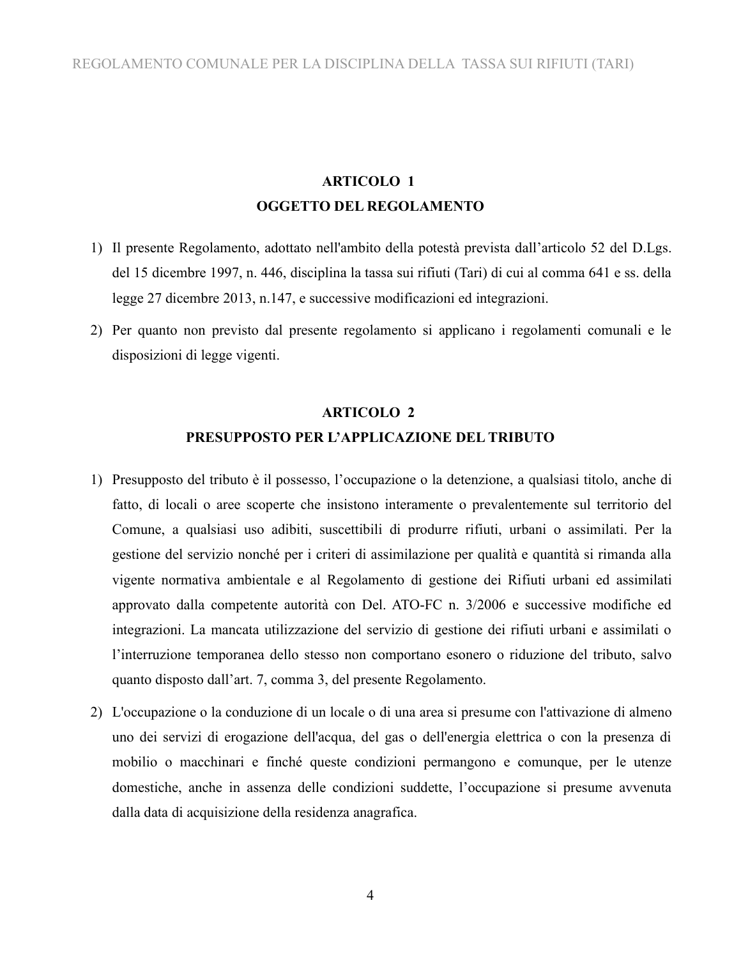### **ARTICOLO 1 OGGETTO DEL REGOLAMENTO**

- 1) Il presente Regolamento, adottato nell'ambito della potestà prevista dall'articolo 52 del D.Lgs. del 15 dicembre 1997, n. 446, disciplina la tassa sui rifiuti (Tari) di cui al comma 641 e ss. della legge 27 dicembre 2013, n.147, e successive modificazioni ed integrazioni.
- 2) Per quanto non previsto dal presente regolamento si applicano i regolamenti comunali e le disposizioni di legge vigenti.

### **ARTICOLO 2 PRESUPPOSTO PER L'APPLICAZIONE DEL TRIBUTO**

- 1) Presupposto del tributo è il possesso, l'occupazione o la detenzione, a qualsiasi titolo, anche di fatto, di locali o aree scoperte che insistono interamente o prevalentemente sul territorio del Comune, a qualsiasi uso adibiti, suscettibili di produrre rifiuti, urbani o assimilati. Per la gestione del servizio nonché per i criteri di assimilazione per qualità e quantità si rimanda alla vigente normativa ambientale e al Regolamento di gestione dei Rifiuti urbani ed assimilati approvato dalla competente autorità con Del. ATO-FC n. 3/2006 e successive modifiche ed integrazioni. La mancata utilizzazione del servizio di gestione dei rifiuti urbani e assimilati o l'interruzione temporanea dello stesso non comportano esonero o riduzione del tributo, salvo quanto disposto dall'art. 7, comma 3, del presente Regolamento.
- 2) L'occupazione o la conduzione di un locale o di una area si presume con l'attivazione di almeno uno dei servizi di erogazione dell'acqua, del gas o dell'energia elettrica o con la presenza di mobilio o macchinari e finché queste condizioni permangono e comunque, per le utenze domestiche, anche in assenza delle condizioni suddette, l'occupazione si presume avvenuta dalla data di acquisizione della residenza anagrafica.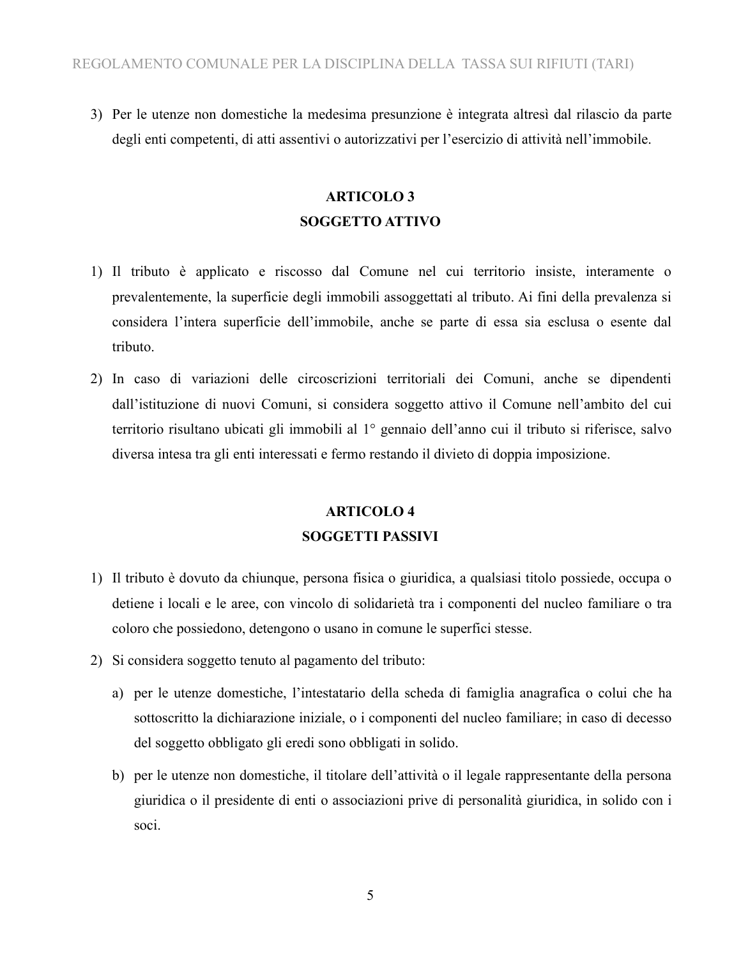3) Per le utenze non domestiche la medesima presunzione è integrata altresì dal rilascio da parte degli enti competenti, di atti assentivi o autorizzativi per l'esercizio di attività nell'immobile.

### **ARTICOLO 3 SOGGETTO ATTIVO**

- 1) Il tributo è applicato e riscosso dal Comune nel cui territorio insiste, interamente o prevalentemente, la superficie degli immobili assoggettati al tributo. Ai fini della prevalenza si considera l'intera superficie dell'immobile, anche se parte di essa sia esclusa o esente dal tributo.
- 2) In caso di variazioni delle circoscrizioni territoriali dei Comuni, anche se dipendenti dall'istituzione di nuovi Comuni, si considera soggetto attivo il Comune nell'ambito del cui territorio risultano ubicati gli immobili al 1° gennaio dell'anno cui il tributo si riferisce, salvo diversa intesa tra gli enti interessati e fermo restando il divieto di doppia imposizione.

## **ARTICOLO 4 SOGGETTI PASSIVI**

- 1) Il tributo è dovuto da chiunque, persona fisica o giuridica, a qualsiasi titolo possiede, occupa o detiene i locali e le aree, con vincolo di solidarietà tra i componenti del nucleo familiare o tra coloro che possiedono, detengono o usano in comune le superfici stesse.
- 2) Si considera soggetto tenuto al pagamento del tributo:
	- a) per le utenze domestiche, l'intestatario della scheda di famiglia anagrafica o colui che ha sottoscritto la dichiarazione iniziale, o i componenti del nucleo familiare; in caso di decesso del soggetto obbligato gli eredi sono obbligati in solido.
	- b) per le utenze non domestiche, il titolare dell'attività o il legale rappresentante della persona giuridica o il presidente di enti o associazioni prive di personalità giuridica, in solido con i soci.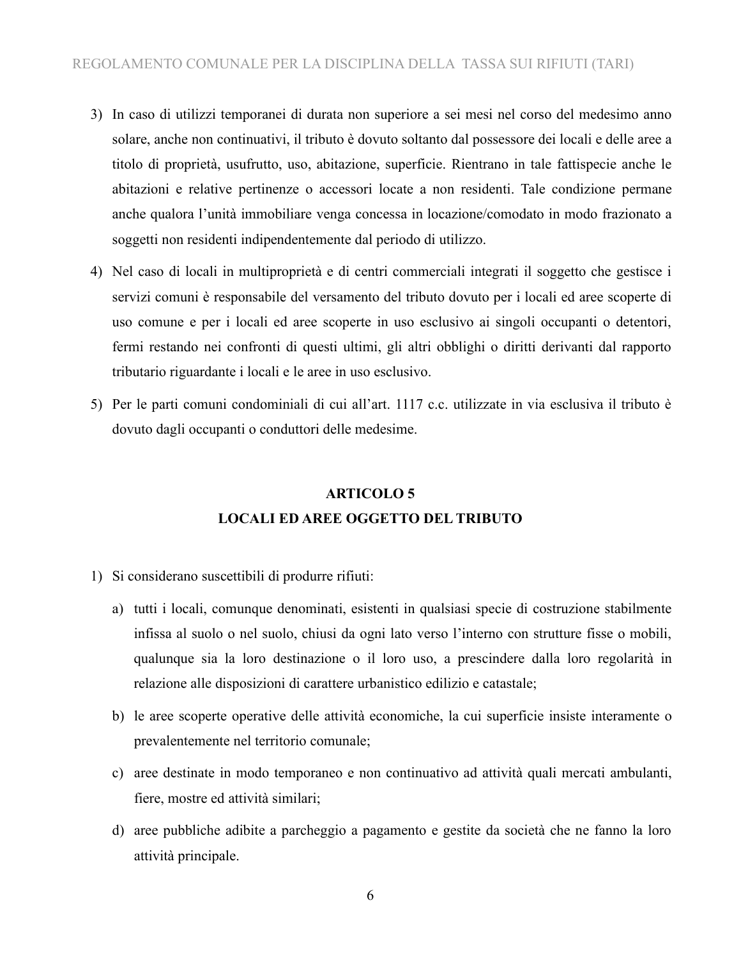- 3) In caso di utilizzi temporanei di durata non superiore a sei mesi nel corso del medesimo anno solare, anche non continuativi, il tributo è dovuto soltanto dal possessore dei locali e delle aree a titolo di proprietà, usufrutto, uso, abitazione, superficie. Rientrano in tale fattispecie anche le abitazioni e relative pertinenze o accessori locate a non residenti. Tale condizione permane anche qualora l'unità immobiliare venga concessa in locazione/comodato in modo frazionato a soggetti non residenti indipendentemente dal periodo di utilizzo.
- 4) Nel caso di locali in multiproprietà e di centri commerciali integrati il soggetto che gestisce i servizi comuni è responsabile del versamento del tributo dovuto per i locali ed aree scoperte di uso comune e per i locali ed aree scoperte in uso esclusivo ai singoli occupanti o detentori, fermi restando nei confronti di questi ultimi, gli altri obblighi o diritti derivanti dal rapporto tributario riguardante i locali e le aree in uso esclusivo.
- 5) Per le parti comuni condominiali di cui all'art. 1117 c.c. utilizzate in via esclusiva il tributo è dovuto dagli occupanti o conduttori delle medesime.

### **ARTICOLO 5 LOCALI ED AREE OGGETTO DEL TRIBUTO**

- 1) Si considerano suscettibili di produrre rifiuti:
	- a) tutti i locali, comunque denominati, esistenti in qualsiasi specie di costruzione stabilmente infissa al suolo o nel suolo, chiusi da ogni lato verso l'interno con strutture fisse o mobili, qualunque sia la loro destinazione o il loro uso, a prescindere dalla loro regolarità in relazione alle disposizioni di carattere urbanistico edilizio e catastale;
	- b) le aree scoperte operative delle attività economiche, la cui superficie insiste interamente o prevalentemente nel territorio comunale;
	- c) aree destinate in modo temporaneo e non continuativo ad attività quali mercati ambulanti, fiere, mostre ed attività similari;
	- d) aree pubbliche adibite a parcheggio a pagamento e gestite da società che ne fanno la loro attività principale.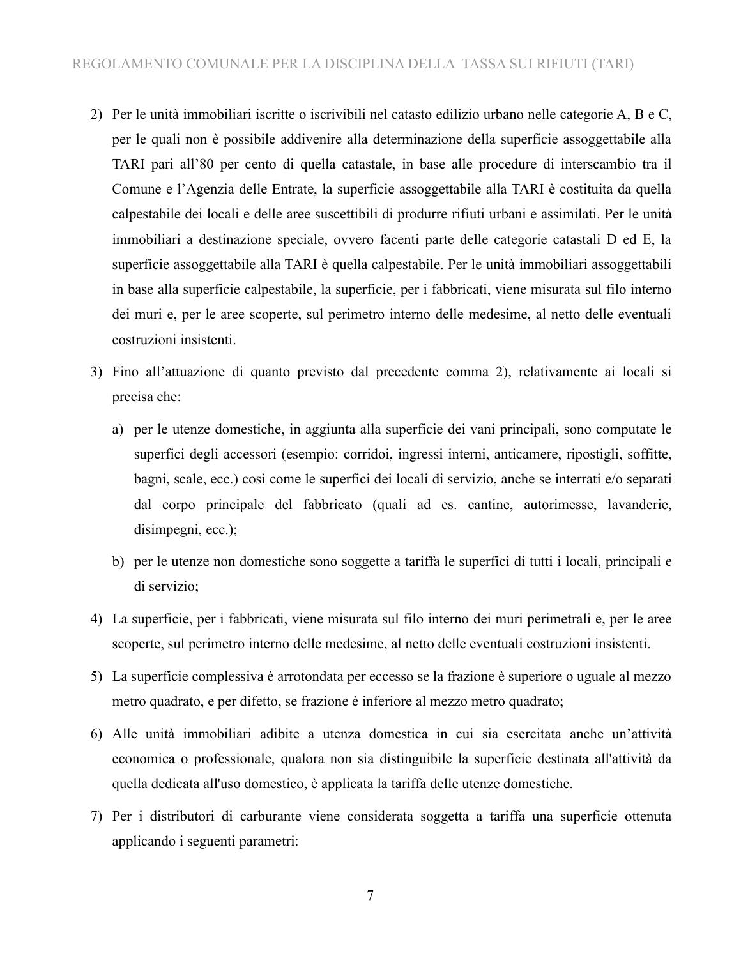- 2) Per le unità immobiliari iscritte o iscrivibili nel catasto edilizio urbano nelle categorie A, B e C, per le quali non è possibile addivenire alla determinazione della superficie assoggettabile alla TARI pari all'80 per cento di quella catastale, in base alle procedure di interscambio tra il Comune e l'Agenzia delle Entrate, la superficie assoggettabile alla TARI è costituita da quella calpestabile dei locali e delle aree suscettibili di produrre rifiuti urbani e assimilati. Per le unità immobiliari a destinazione speciale, ovvero facenti parte delle categorie catastali D ed E, la superficie assoggettabile alla TARI è quella calpestabile. Per le unità immobiliari assoggettabili in base alla superficie calpestabile, la superficie, per i fabbricati, viene misurata sul filo interno dei muri e, per le aree scoperte, sul perimetro interno delle medesime, al netto delle eventuali costruzioni insistenti.
- 3) Fino all'attuazione di quanto previsto dal precedente comma 2), relativamente ai locali si precisa che:
	- a) per le utenze domestiche, in aggiunta alla superficie dei vani principali, sono computate le superfici degli accessori (esempio: corridoi, ingressi interni, anticamere, ripostigli, soffitte, bagni, scale, ecc.) così come le superfici dei locali di servizio, anche se interrati e/o separati dal corpo principale del fabbricato (quali ad es. cantine, autorimesse, lavanderie, disimpegni, ecc.);
	- b) per le utenze non domestiche sono soggette a tariffa le superfici di tutti i locali, principali e di servizio;
- 4) La superficie, per i fabbricati, viene misurata sul filo interno dei muri perimetrali e, per le aree scoperte, sul perimetro interno delle medesime, al netto delle eventuali costruzioni insistenti.
- 5) La superficie complessiva è arrotondata per eccesso se la frazione è superiore o uguale al mezzo metro quadrato, e per difetto, se frazione è inferiore al mezzo metro quadrato;
- 6) Alle unità immobiliari adibite a utenza domestica in cui sia esercitata anche un'attività economica o professionale, qualora non sia distinguibile la superficie destinata all'attività da quella dedicata all'uso domestico, è applicata la tariffa delle utenze domestiche.
- 7) Per i distributori di carburante viene considerata soggetta a tariffa una superficie ottenuta applicando i seguenti parametri: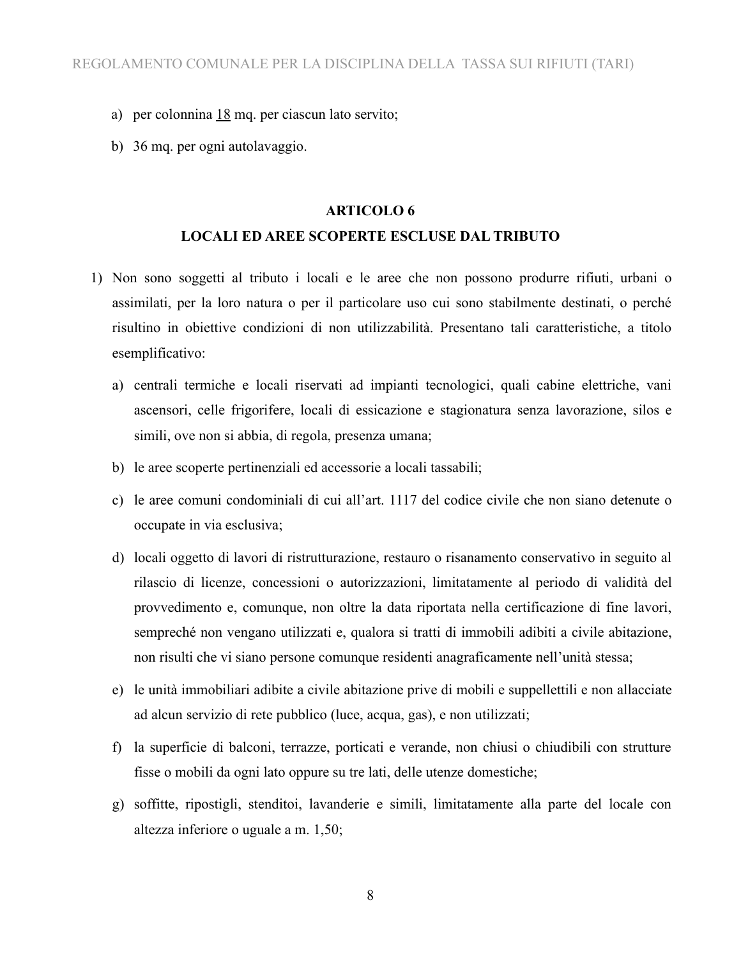- a) per colonnina  $18$  mq. per ciascun lato servito;
- b) 36 mq. per ogni autolavaggio.

#### **ARTICOLO 6**

#### **LOCALI ED AREE SCOPERTE ESCLUSE DAL TRIBUTO**

- 1) Non sono soggetti al tributo i locali e le aree che non possono produrre rifiuti, urbani o assimilati, per la loro natura o per il particolare uso cui sono stabilmente destinati, o perché risultino in obiettive condizioni di non utilizzabilità. Presentano tali caratteristiche, a titolo esemplificativo:
	- a) centrali termiche e locali riservati ad impianti tecnologici, quali cabine elettriche, vani ascensori, celle frigorifere, locali di essicazione e stagionatura senza lavorazione, silos e simili, ove non si abbia, di regola, presenza umana;
	- b) le aree scoperte pertinenziali ed accessorie a locali tassabili;
	- c) le aree comuni condominiali di cui all'art. 1117 del codice civile che non siano detenute o occupate in via esclusiva;
	- d) locali oggetto di lavori di ristrutturazione, restauro o risanamento conservativo in seguito al rilascio di licenze, concessioni o autorizzazioni, limitatamente al periodo di validità del provvedimento e, comunque, non oltre la data riportata nella certificazione di fine lavori, sempreché non vengano utilizzati e, qualora si tratti di immobili adibiti a civile abitazione, non risulti che vi siano persone comunque residenti anagraficamente nell'unità stessa;
	- e) le unità immobiliari adibite a civile abitazione prive di mobili e suppellettili e non allacciate ad alcun servizio di rete pubblico (luce, acqua, gas), e non utilizzati;
	- f) la superficie di balconi, terrazze, porticati e verande, non chiusi o chiudibili con strutture fisse o mobili da ogni lato oppure su tre lati, delle utenze domestiche;
	- g) soffitte, ripostigli, stenditoi, lavanderie e simili, limitatamente alla parte del locale con altezza inferiore o uguale a m. 1,50;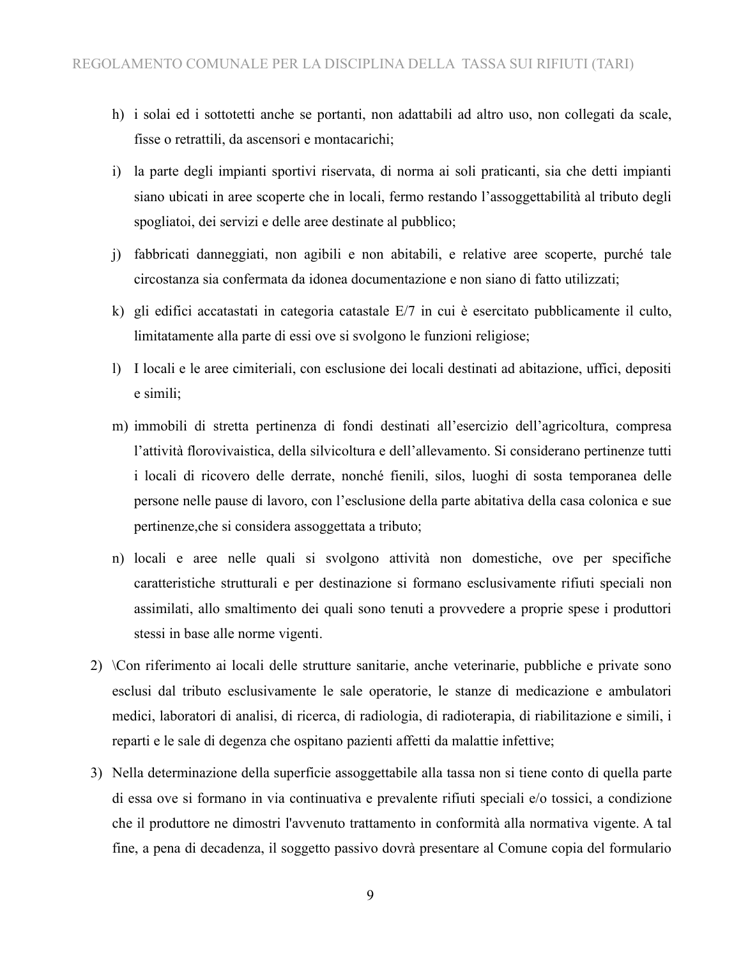- h) i solai ed i sottotetti anche se portanti, non adattabili ad altro uso, non collegati da scale, fisse o retrattili, da ascensori e montacarichi;
- i) la parte degli impianti sportivi riservata, di norma ai soli praticanti, sia che detti impianti siano ubicati in aree scoperte che in locali, fermo restando l'assoggettabilità al tributo degli spogliatoi, dei servizi e delle aree destinate al pubblico;
- j) fabbricati danneggiati, non agibili e non abitabili, e relative aree scoperte, purché tale circostanza sia confermata da idonea documentazione e non siano di fatto utilizzati;
- k) gli edifici accatastati in categoria catastale E/7 in cui è esercitato pubblicamente il culto, limitatamente alla parte di essi ove si svolgono le funzioni religiose;
- l) I locali e le aree cimiteriali, con esclusione dei locali destinati ad abitazione, uffici, depositi e simili;
- m) immobili di stretta pertinenza di fondi destinati all'esercizio dell'agricoltura, compresa l'attività florovivaistica, della silvicoltura e dell'allevamento. Si considerano pertinenze tutti i locali di ricovero delle derrate, nonché fienili, silos, luoghi di sosta temporanea delle persone nelle pause di lavoro, con l'esclusione della parte abitativa della casa colonica e sue pertinenze,che si considera assoggettata a tributo;
- n) locali e aree nelle quali si svolgono attività non domestiche, ove per specifiche caratteristiche strutturali e per destinazione si formano esclusivamente rifiuti speciali non assimilati, allo smaltimento dei quali sono tenuti a provvedere a proprie spese i produttori stessi in base alle norme vigenti.
- 2) \Con riferimento ai locali delle strutture sanitarie, anche veterinarie, pubbliche e private sono esclusi dal tributo esclusivamente le sale operatorie, le stanze di medicazione e ambulatori medici, laboratori di analisi, di ricerca, di radiologia, di radioterapia, di riabilitazione e simili, i reparti e le sale di degenza che ospitano pazienti affetti da malattie infettive;
- 3) Nella determinazione della superficie assoggettabile alla tassa non si tiene conto di quella parte di essa ove si formano in via continuativa e prevalente rifiuti speciali e/o tossici, a condizione che il produttore ne dimostri l'avvenuto trattamento in conformità alla normativa vigente. A tal fine, a pena di decadenza, il soggetto passivo dovrà presentare al Comune copia del formulario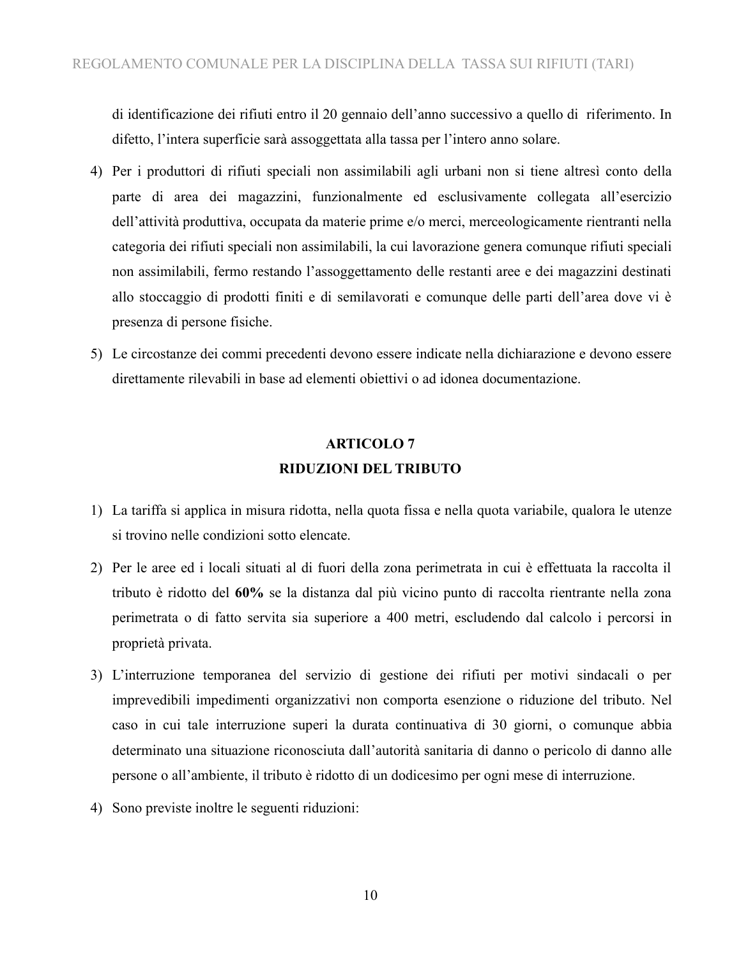di identificazione dei rifiuti entro il 20 gennaio dell'anno successivo a quello di riferimento. In difetto, l'intera superficie sarà assoggettata alla tassa per l'intero anno solare.

- 4) Per i produttori di rifiuti speciali non assimilabili agli urbani non si tiene altresì conto della parte di area dei magazzini, funzionalmente ed esclusivamente collegata all'esercizio dell'attività produttiva, occupata da materie prime e/o merci, merceologicamente rientranti nella categoria dei rifiuti speciali non assimilabili, la cui lavorazione genera comunque rifiuti speciali non assimilabili, fermo restando l'assoggettamento delle restanti aree e dei magazzini destinati allo stoccaggio di prodotti finiti e di semilavorati e comunque delle parti dell'area dove vi è presenza di persone fisiche.
- 5) Le circostanze dei commi precedenti devono essere indicate nella dichiarazione e devono essere direttamente rilevabili in base ad elementi obiettivi o ad idonea documentazione.

### **ARTICOLO 7 RIDUZIONI DEL TRIBUTO**

- 1) La tariffa si applica in misura ridotta, nella quota fissa e nella quota variabile, qualora le utenze si trovino nelle condizioni sotto elencate.
- 2) Per le aree ed i locali situati al di fuori della zona perimetrata in cui è effettuata la raccolta il tributo è ridotto del **60%** se la distanza dal più vicino punto di raccolta rientrante nella zona perimetrata o di fatto servita sia superiore a 400 metri, escludendo dal calcolo i percorsi in proprietà privata.
- 3) L'interruzione temporanea del servizio di gestione dei rifiuti per motivi sindacali o per imprevedibili impedimenti organizzativi non comporta esenzione o riduzione del tributo. Nel caso in cui tale interruzione superi la durata continuativa di 30 giorni, o comunque abbia determinato una situazione riconosciuta dall'autorità sanitaria di danno o pericolo di danno alle persone o all'ambiente, il tributo è ridotto di un dodicesimo per ogni mese di interruzione.
- 4) Sono previste inoltre le seguenti riduzioni: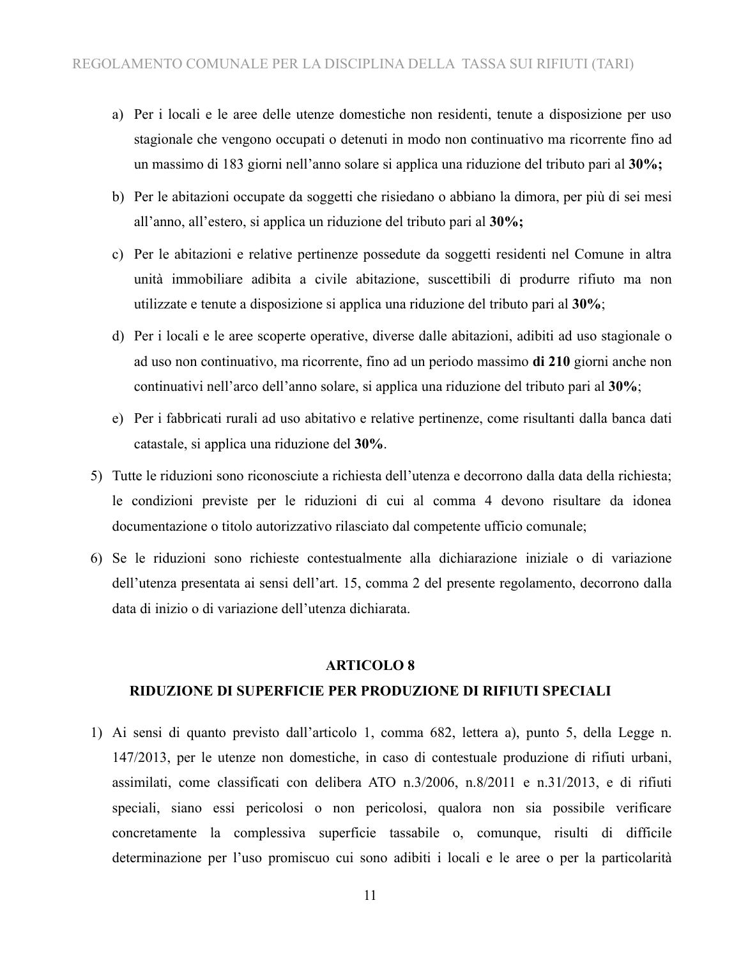- a) Per i locali e le aree delle utenze domestiche non residenti, tenute a disposizione per uso stagionale che vengono occupati o detenuti in modo non continuativo ma ricorrente fino ad un massimo di 183 giorni nell'anno solare si applica una riduzione del tributo pari al **30%;**
- b) Per le abitazioni occupate da soggetti che risiedano o abbiano la dimora, per più di sei mesi all'anno, all'estero, si applica un riduzione del tributo pari al **30%;**
- c) Per le abitazioni e relative pertinenze possedute da soggetti residenti nel Comune in altra unità immobiliare adibita a civile abitazione, suscettibili di produrre rifiuto ma non utilizzate e tenute a disposizione si applica una riduzione del tributo pari al **30%**;
- d) Per i locali e le aree scoperte operative, diverse dalle abitazioni, adibiti ad uso stagionale o ad uso non continuativo, ma ricorrente, fino ad un periodo massimo **di 210** giorni anche non continuativi nell'arco dell'anno solare, si applica una riduzione del tributo pari al **30%**;
- e) Per i fabbricati rurali ad uso abitativo e relative pertinenze, come risultanti dalla banca dati catastale, si applica una riduzione del **30%**.
- 5) Tutte le riduzioni sono riconosciute a richiesta dell'utenza e decorrono dalla data della richiesta; le condizioni previste per le riduzioni di cui al comma 4 devono risultare da idonea documentazione o titolo autorizzativo rilasciato dal competente ufficio comunale;
- 6) Se le riduzioni sono richieste contestualmente alla dichiarazione iniziale o di variazione dell'utenza presentata ai sensi dell'art. 15, comma 2 del presente regolamento, decorrono dalla data di inizio o di variazione dell'utenza dichiarata.

#### **ARTICOLO 8**

#### **RIDUZIONE DI SUPERFICIE PER PRODUZIONE DI RIFIUTI SPECIALI**

1) Ai sensi di quanto previsto dall'articolo 1, comma 682, lettera a), punto 5, della Legge n. 147/2013, per le utenze non domestiche, in caso di contestuale produzione di rifiuti urbani, assimilati, come classificati con delibera ATO n.3/2006, n.8/2011 e n.31/2013, e di rifiuti speciali, siano essi pericolosi o non pericolosi, qualora non sia possibile verificare concretamente la complessiva superficie tassabile o, comunque, risulti di difficile determinazione per l'uso promiscuo cui sono adibiti i locali e le aree o per la particolarità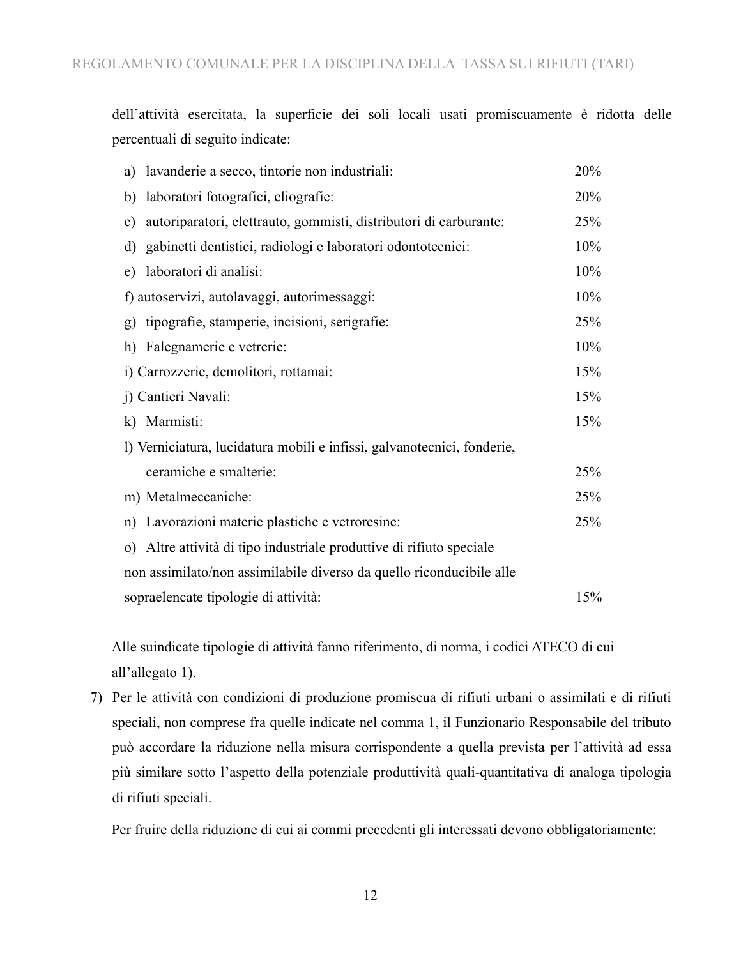dell'attività esercitata, la superficie dei soli locali usati promiscuamente è ridotta delle percentuali di seguito indicate:

| a) lavanderie a secco, tintorie non industriali:                        | 20% |
|-------------------------------------------------------------------------|-----|
| laboratori fotografici, eliografie:<br>b)                               | 20% |
| autoriparatori, elettrauto, gommisti, distributori di carburante:<br>c) | 25% |
| d) gabinetti dentistici, radiologi e laboratori odontotecnici:          | 10% |
| laboratori di analisi:<br>e)                                            | 10% |
| f) autoservizi, autolavaggi, autorimessaggi:                            | 10% |
| g) tipografie, stamperie, incisioni, serigrafie:                        | 25% |
| Falegnamerie e vetrerie:<br>h)                                          | 10% |
| i) Carrozzerie, demolitori, rottamai:                                   | 15% |
| j) Cantieri Navali:                                                     | 15% |
| k) Marmisti:                                                            | 15% |
| l) Verniciatura, lucidatura mobili e infissi, galvanotecnici, fonderie, |     |
| ceramiche e smalterie:                                                  | 25% |
| m) Metalmeccaniche:                                                     | 25% |
| n) Lavorazioni materie plastiche e vetroresine:                         | 25% |
| o) Altre attività di tipo industriale produttive di rifiuto speciale    |     |
| non assimilato/non assimilabile diverso da quello riconducibile alle    |     |
| sopraelencate tipologie di attività:                                    | 15% |

Alle suindicate tipologie di attività fanno riferimento, di norma, i codici ATECO di cui all'allegato 1).

7) Per le attività con condizioni di produzione promiscua di rifiuti urbani o assimilati e di rifiuti speciali, non comprese fra quelle indicate nel comma 1, il Funzionario Responsabile del tributo può accordare la riduzione nella misura corrispondente a quella prevista per l'attività ad essa più similare sotto l'aspetto della potenziale produttività quali-quantitativa di analoga tipologia di rifiuti speciali.

Per fruire della riduzione di cui ai commi precedenti gli interessati devono obbligatoriamente: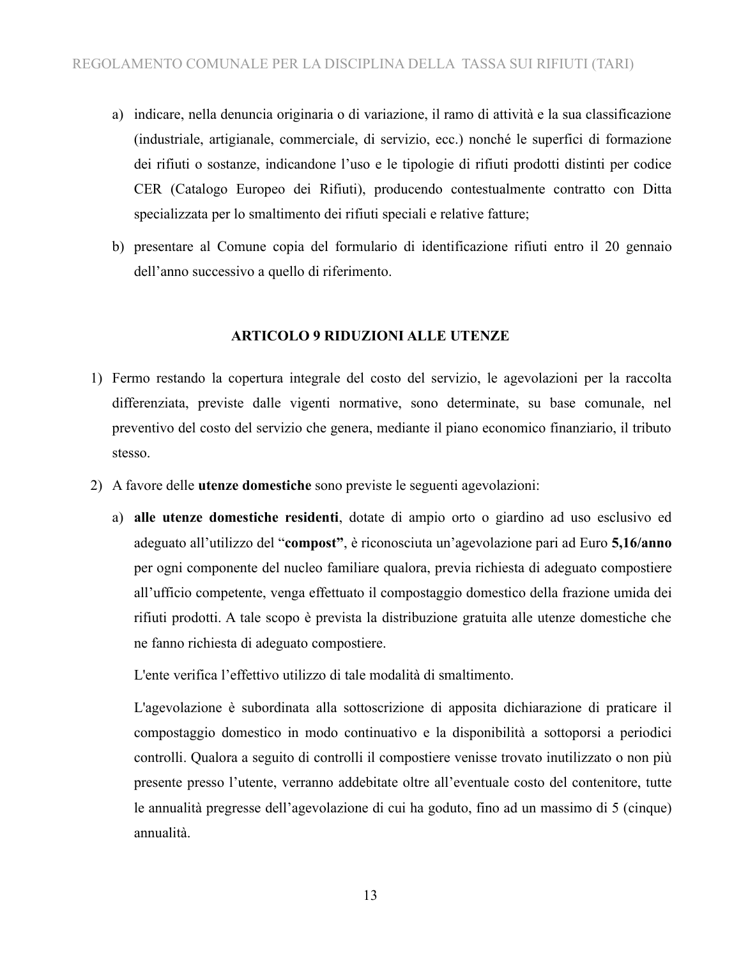- a) indicare, nella denuncia originaria o di variazione, il ramo di attività e la sua classificazione (industriale, artigianale, commerciale, di servizio, ecc.) nonché le superfici di formazione dei rifiuti o sostanze, indicandone l'uso e le tipologie di rifiuti prodotti distinti per codice CER (Catalogo Europeo dei Rifiuti), producendo contestualmente contratto con Ditta specializzata per lo smaltimento dei rifiuti speciali e relative fatture;
- b) presentare al Comune copia del formulario di identificazione rifiuti entro il 20 gennaio dell'anno successivo a quello di riferimento.

### **ARTICOLO 9 RIDUZIONI ALLE UTENZE**

- 1) Fermo restando la copertura integrale del costo del servizio, le agevolazioni per la raccolta differenziata, previste dalle vigenti normative, sono determinate, su base comunale, nel preventivo del costo del servizio che genera, mediante il piano economico finanziario, il tributo stesso.
- 2) A favore delle **utenze domestiche** sono previste le seguenti agevolazioni:
	- a) **alle utenze domestiche residenti**, dotate di ampio orto o giardino ad uso esclusivo ed adeguato all'utilizzo del "**compost"**, è riconosciuta un'agevolazione pari ad Euro **5,16/anno** per ogni componente del nucleo familiare qualora, previa richiesta di adeguato compostiere all'ufficio competente, venga effettuato il compostaggio domestico della frazione umida dei rifiuti prodotti. A tale scopo è prevista la distribuzione gratuita alle utenze domestiche che ne fanno richiesta di adeguato compostiere.

L'ente verifica l'effettivo utilizzo di tale modalità di smaltimento.

L'agevolazione è subordinata alla sottoscrizione di apposita dichiarazione di praticare il compostaggio domestico in modo continuativo e la disponibilità a sottoporsi a periodici controlli. Qualora a seguito di controlli il compostiere venisse trovato inutilizzato o non più presente presso l'utente, verranno addebitate oltre all'eventuale costo del contenitore, tutte le annualità pregresse dell'agevolazione di cui ha goduto, fino ad un massimo di 5 (cinque) annualità.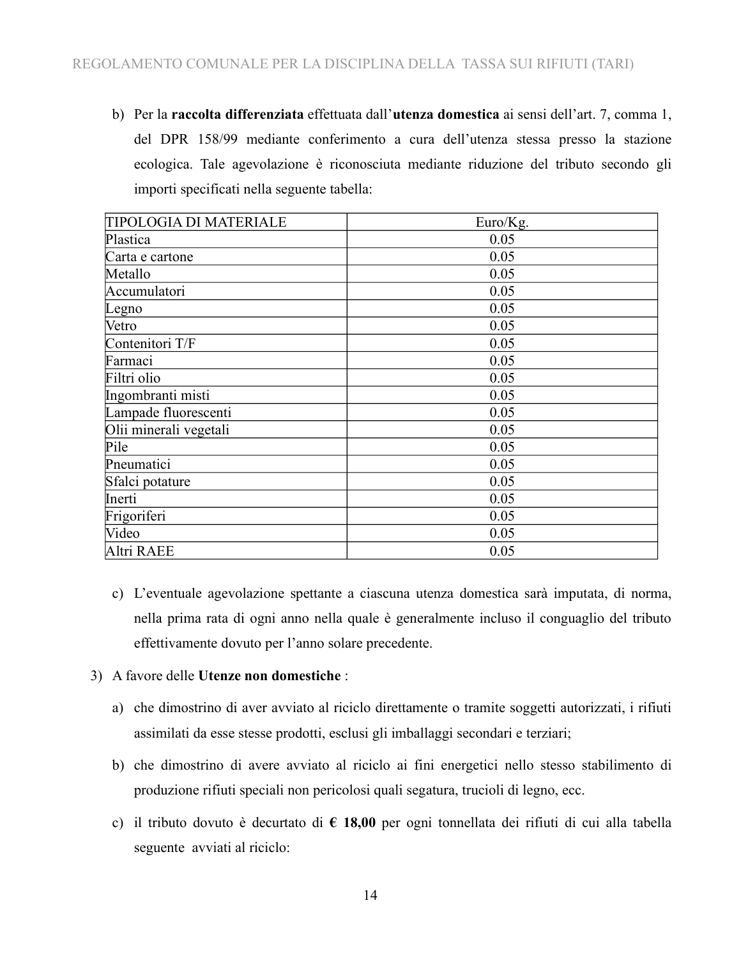b) Per la **raccolta differenziata** effettuata dall'**utenza domestica** ai sensi dell'art. 7, comma 1, del DPR 158/99 mediante conferimento a cura dell'utenza stessa presso la stazione ecologica. Tale agevolazione è riconosciuta mediante riduzione del tributo secondo gli importi specificati nella seguente tabella:

| <b>TIPOLOGIA DI MATERIALE</b> | Euro/Kg. |
|-------------------------------|----------|
| Plastica                      | 0.05     |
| Carta e cartone               | 0.05     |
| Metallo                       | 0.05     |
| Accumulatori                  | 0.05     |
| Legno                         | 0.05     |
| Vetro                         | 0.05     |
| Contenitori T/F               | 0.05     |
| Farmaci                       | 0.05     |
| Filtri olio                   | 0.05     |
| Ingombranti misti             | 0.05     |
| Lampade fluorescenti          | 0.05     |
| Olii minerali vegetali        | 0.05     |
| Pile                          | 0.05     |
| Pneumatici                    | 0.05     |
| Sfalci potature               | 0.05     |
| Inerti                        | 0.05     |
| Frigoriferi                   | 0.05     |
| Video                         | 0.05     |
| Altri RAEE                    | 0.05     |

c) L'eventuale agevolazione spettante a ciascuna utenza domestica sarà imputata, di norma, nella prima rata di ogni anno nella quale è generalmente incluso il conguaglio del tributo effettivamente dovuto per l'anno solare precedente.

### 3) A favore delle **Utenze non domestiche** :

- a) che dimostrino di aver avviato al riciclo direttamente o tramite soggetti autorizzati, i rifiuti assimilati da esse stesse prodotti, esclusi gli imballaggi secondari e terziari;
- b) che dimostrino di avere avviato al riciclo ai fini energetici nello stesso stabilimento di produzione rifiuti speciali non pericolosi quali segatura, trucioli di legno, ecc.
- c) il tributo dovuto è decurtato di **€ 18,00** per ogni tonnellata dei rifiuti di cui alla tabella seguente avviati al riciclo: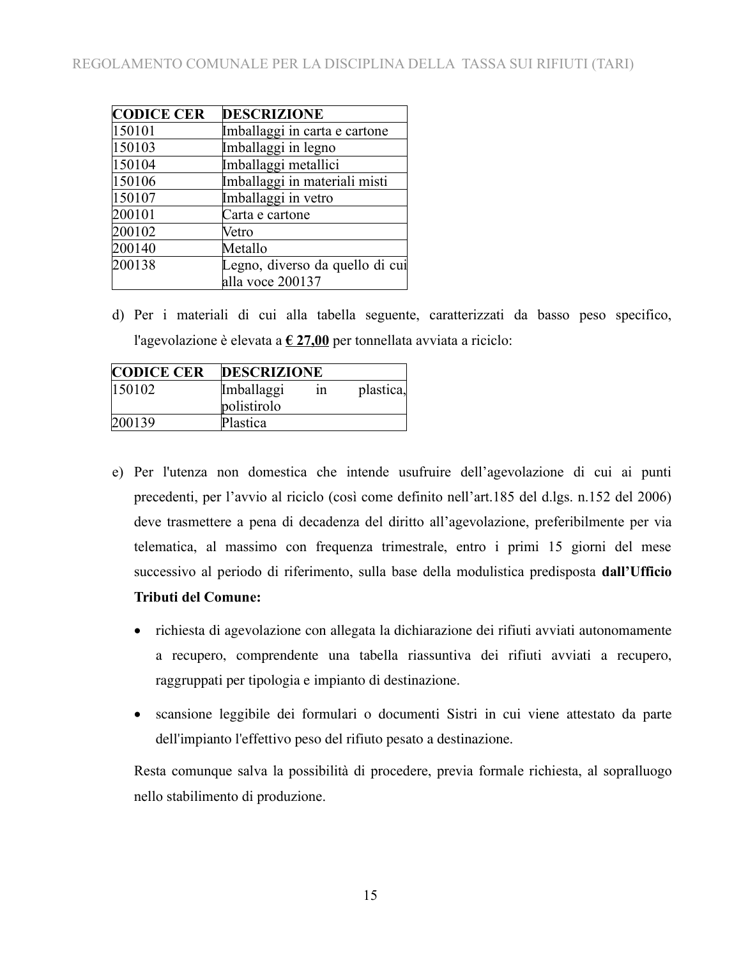| <b>CODICE CER</b> | <b>DESCRIZIONE</b>              |
|-------------------|---------------------------------|
| 150101            | Imballaggi in carta e cartone   |
| 150103            | Imballaggi in legno             |
| 150104            | Imballaggi metallici            |
| 150106            | Imballaggi in materiali misti   |
| 150107            | Imballaggi in vetro             |
| 200101            | Carta e cartone                 |
| 200102            | Vetro                           |
| 200140            | Metallo                         |
| 200138            | Legno, diverso da quello di cui |
|                   | alla voce 200137                |

d) Per i materiali di cui alla tabella seguente, caratterizzati da basso peso specifico, l'agevolazione è elevata a **€ 27,00** per tonnellata avviata a riciclo:

| <b>CODICE CER</b> | <b>DESCRIZIONE</b> |    |           |
|-------------------|--------------------|----|-----------|
| $ 150102\rangle$  | Imballaggi         | 1n | plastica, |
|                   | polistirolo        |    |           |
| 200139            | Plastica           |    |           |

- e) Per l'utenza non domestica che intende usufruire dell'agevolazione di cui ai punti precedenti, per l'avvio al riciclo (così come definito nell'art.185 del d.lgs. n.152 del 2006) deve trasmettere a pena di decadenza del diritto all'agevolazione, preferibilmente per via telematica, al massimo con frequenza trimestrale, entro i primi 15 giorni del mese successivo al periodo di riferimento, sulla base della modulistica predisposta **dall'Ufficio Tributi del Comune:**
	- richiesta di agevolazione con allegata la dichiarazione dei rifiuti avviati autonomamente a recupero, comprendente una tabella riassuntiva dei rifiuti avviati a recupero, raggruppati per tipologia e impianto di destinazione.
	- scansione leggibile dei formulari o documenti Sistri in cui viene attestato da parte dell'impianto l'effettivo peso del rifiuto pesato a destinazione.

Resta comunque salva la possibilità di procedere, previa formale richiesta, al sopralluogo nello stabilimento di produzione.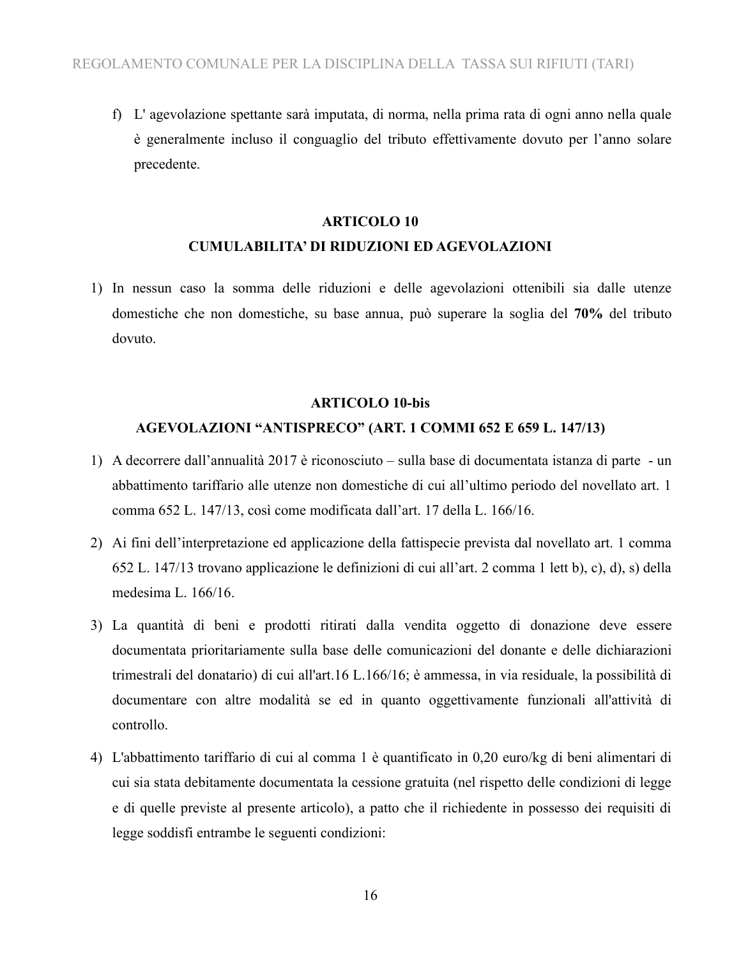f) L' agevolazione spettante sarà imputata, di norma, nella prima rata di ogni anno nella quale è generalmente incluso il conguaglio del tributo effettivamente dovuto per l'anno solare precedente.

### **ARTICOLO 10 CUMULABILITA' DI RIDUZIONI ED AGEVOLAZIONI**

1) In nessun caso la somma delle riduzioni e delle agevolazioni ottenibili sia dalle utenze domestiche che non domestiche, su base annua, può superare la soglia del **70%** del tributo dovuto.

#### **ARTICOLO 10-bis**

#### **AGEVOLAZIONI "ANTISPRECO" (ART. 1 COMMI 652 E 659 L. 147/13)**

- 1) A decorrere dall'annualità 2017 è riconosciuto sulla base di documentata istanza di parte un abbattimento tariffario alle utenze non domestiche di cui all'ultimo periodo del novellato art. 1 comma 652 L. 147/13, così come modificata dall'art. 17 della L. 166/16.
- 2) Ai fini dell'interpretazione ed applicazione della fattispecie prevista dal novellato art. 1 comma 652 L. 147/13 trovano applicazione le definizioni di cui all'art. 2 comma 1 lett b), c), d), s) della medesima L. 166/16.
- 3) La quantità di beni e prodotti ritirati dalla vendita oggetto di donazione deve essere documentata prioritariamente sulla base delle comunicazioni del donante e delle dichiarazioni trimestrali del donatario) di cui all'art.16 L.166/16; è ammessa, in via residuale, la possibilità di documentare con altre modalità se ed in quanto oggettivamente funzionali all'attività di controllo.
- 4) L'abbattimento tariffario di cui al comma 1 è quantificato in 0,20 euro/kg di beni alimentari di cui sia stata debitamente documentata la cessione gratuita (nel rispetto delle condizioni di legge e di quelle previste al presente articolo), a patto che il richiedente in possesso dei requisiti di legge soddisfi entrambe le seguenti condizioni: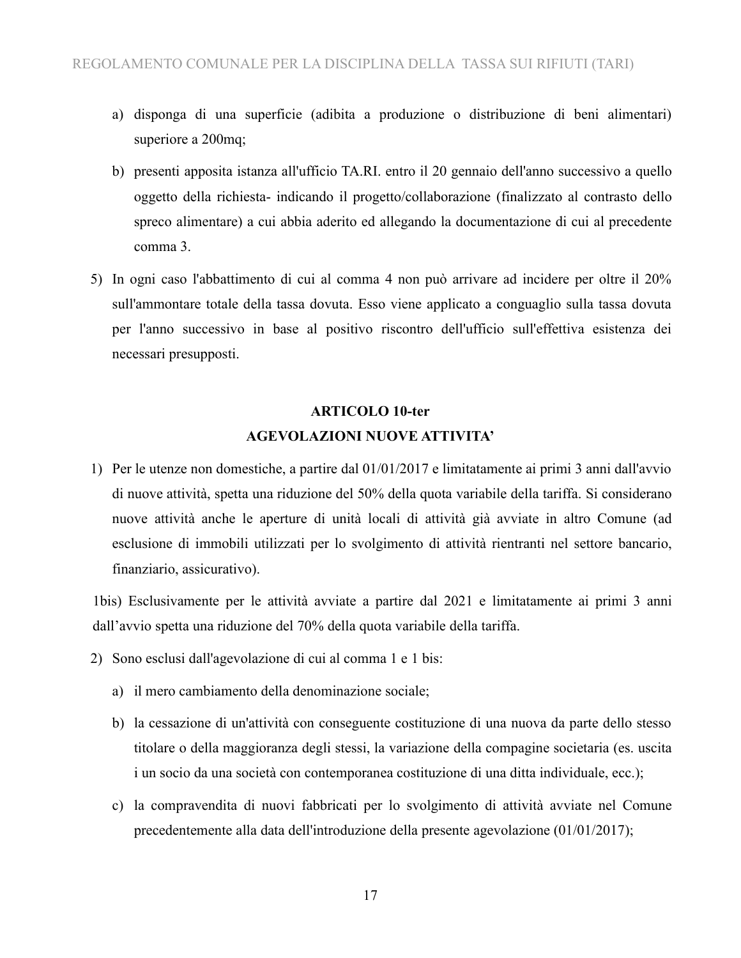- a) disponga di una superficie (adibita a produzione o distribuzione di beni alimentari) superiore a 200mq;
- b) presenti apposita istanza all'ufficio TA.RI. entro il 20 gennaio dell'anno successivo a quello oggetto della richiesta- indicando il progetto/collaborazione (finalizzato al contrasto dello spreco alimentare) a cui abbia aderito ed allegando la documentazione di cui al precedente comma 3.
- 5) In ogni caso l'abbattimento di cui al comma 4 non può arrivare ad incidere per oltre il 20% sull'ammontare totale della tassa dovuta. Esso viene applicato a conguaglio sulla tassa dovuta per l'anno successivo in base al positivo riscontro dell'ufficio sull'effettiva esistenza dei necessari presupposti.

### **ARTICOLO 10-ter AGEVOLAZIONI NUOVE ATTIVITA'**

1) Per le utenze non domestiche, a partire dal 01/01/2017 e limitatamente ai primi 3 anni dall'avvio di nuove attività, spetta una riduzione del 50% della quota variabile della tariffa. Si considerano nuove attività anche le aperture di unità locali di attività già avviate in altro Comune (ad esclusione di immobili utilizzati per lo svolgimento di attività rientranti nel settore bancario, finanziario, assicurativo).

1bis) Esclusivamente per le attività avviate a partire dal 2021 e limitatamente ai primi 3 anni dall'avvio spetta una riduzione del 70% della quota variabile della tariffa.

- 2) Sono esclusi dall'agevolazione di cui al comma 1 e 1 bis:
	- a) il mero cambiamento della denominazione sociale;
	- b) la cessazione di un'attività con conseguente costituzione di una nuova da parte dello stesso titolare o della maggioranza degli stessi, la variazione della compagine societaria (es. uscita i un socio da una società con contemporanea costituzione di una ditta individuale, ecc.);
	- c) la compravendita di nuovi fabbricati per lo svolgimento di attività avviate nel Comune precedentemente alla data dell'introduzione della presente agevolazione (01/01/2017);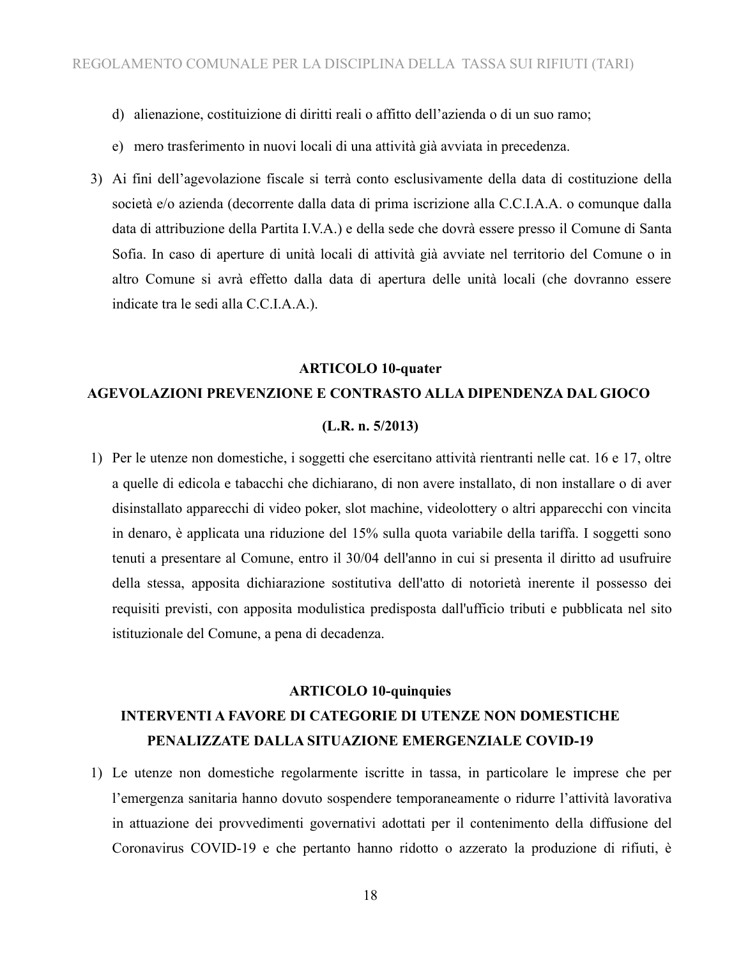- d) alienazione, costituizione di diritti reali o affitto dell'azienda o di un suo ramo;
- e) mero trasferimento in nuovi locali di una attività già avviata in precedenza.
- 3) Ai fini dell'agevolazione fiscale si terrà conto esclusivamente della data di costituzione della società e/o azienda (decorrente dalla data di prima iscrizione alla C.C.I.A.A. o comunque dalla data di attribuzione della Partita I.V.A.) e della sede che dovrà essere presso il Comune di Santa Sofia. In caso di aperture di unità locali di attività già avviate nel territorio del Comune o in altro Comune si avrà effetto dalla data di apertura delle unità locali (che dovranno essere indicate tra le sedi alla C.C.I.A.A.).

### **ARTICOLO 10-quater**

### **AGEVOLAZIONI PREVENZIONE E CONTRASTO ALLA DIPENDENZA DAL GIOCO**

#### **(L.R. n. 5/2013)**

1) Per le utenze non domestiche, i soggetti che esercitano attività rientranti nelle cat. 16 e 17, oltre a quelle di edicola e tabacchi che dichiarano, di non avere installato, di non installare o di aver disinstallato apparecchi di video poker, slot machine, videolottery o altri apparecchi con vincita in denaro, è applicata una riduzione del 15% sulla quota variabile della tariffa. I soggetti sono tenuti a presentare al Comune, entro il 30/04 dell'anno in cui si presenta il diritto ad usufruire della stessa, apposita dichiarazione sostitutiva dell'atto di notorietà inerente il possesso dei requisiti previsti, con apposita modulistica predisposta dall'ufficio tributi e pubblicata nel sito istituzionale del Comune, a pena di decadenza.

## **ARTICOLO 10-quinquies INTERVENTI A FAVORE DI CATEGORIE DI UTENZE NON DOMESTICHE PENALIZZATE DALLA SITUAZIONE EMERGENZIALE COVID-19**

1) Le utenze non domestiche regolarmente iscritte in tassa, in particolare le imprese che per l'emergenza sanitaria hanno dovuto sospendere temporaneamente o ridurre l'attività lavorativa in attuazione dei provvedimenti governativi adottati per il contenimento della diffusione del Coronavirus COVID-19 e che pertanto hanno ridotto o azzerato la produzione di rifiuti, è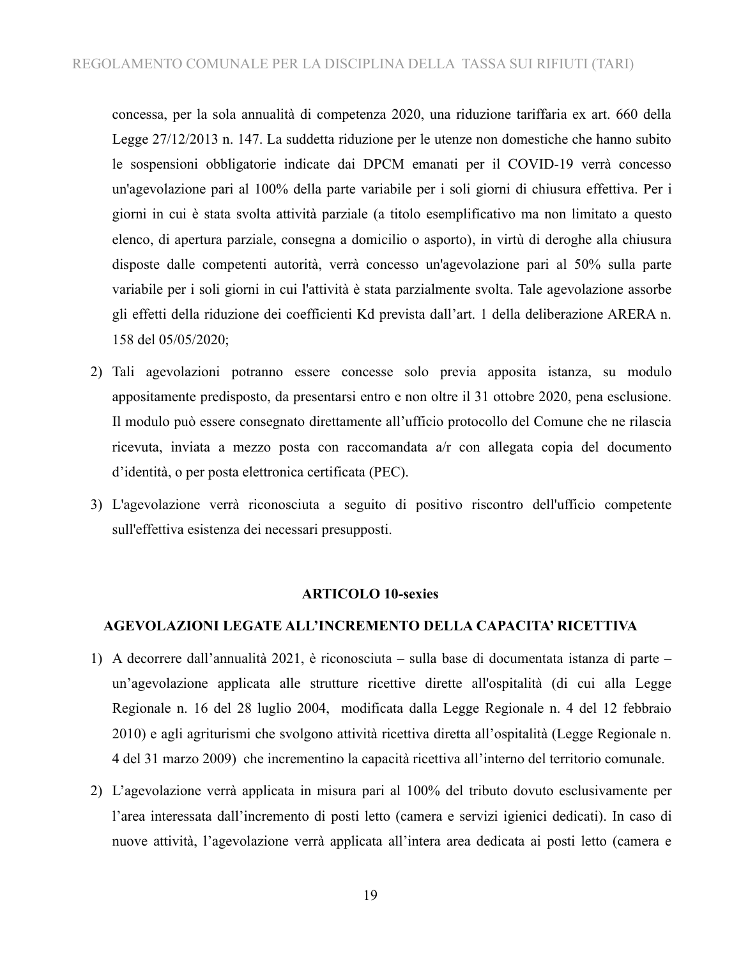concessa, per la sola annualità di competenza 2020, una riduzione tariffaria ex art. 660 della Legge 27/12/2013 n. 147. La suddetta riduzione per le utenze non domestiche che hanno subito le sospensioni obbligatorie indicate dai DPCM emanati per il COVID-19 verrà concesso un'agevolazione pari al 100% della parte variabile per i soli giorni di chiusura effettiva. Per i giorni in cui è stata svolta attività parziale (a titolo esemplificativo ma non limitato a questo elenco, di apertura parziale, consegna a domicilio o asporto), in virtù di deroghe alla chiusura disposte dalle competenti autorità, verrà concesso un'agevolazione pari al 50% sulla parte variabile per i soli giorni in cui l'attività è stata parzialmente svolta. Tale agevolazione assorbe gli effetti della riduzione dei coefficienti Kd prevista dall'art. 1 della deliberazione ARERA n. 158 del 05/05/2020;

- 2) Tali agevolazioni potranno essere concesse solo previa apposita istanza, su modulo appositamente predisposto, da presentarsi entro e non oltre il 31 ottobre 2020, pena esclusione. Il modulo può essere consegnato direttamente all'ufficio protocollo del Comune che ne rilascia ricevuta, inviata a mezzo posta con raccomandata a/r con allegata copia del documento d'identità, o per posta elettronica certificata (PEC).
- 3) L'agevolazione verrà riconosciuta a seguito di positivo riscontro dell'ufficio competente sull'effettiva esistenza dei necessari presupposti.

#### **ARTICOLO 10-sexies**

#### **AGEVOLAZIONI LEGATE ALL'INCREMENTO DELLA CAPACITA' RICETTIVA**

- 1) A decorrere dall'annualità 2021, è riconosciuta sulla base di documentata istanza di parte un'agevolazione applicata alle strutture ricettive dirette all'ospitalità (di cui alla Legge Regionale n. 16 del 28 luglio 2004, modificata dalla Legge Regionale n. 4 del 12 febbraio 2010) e agli agriturismi che svolgono attività ricettiva diretta all'ospitalità (Legge Regionale n. 4 del 31 marzo 2009) che incrementino la capacità ricettiva all'interno del territorio comunale.
- 2) L'agevolazione verrà applicata in misura pari al 100% del tributo dovuto esclusivamente per l'area interessata dall'incremento di posti letto (camera e servizi igienici dedicati). In caso di nuove attività, l'agevolazione verrà applicata all'intera area dedicata ai posti letto (camera e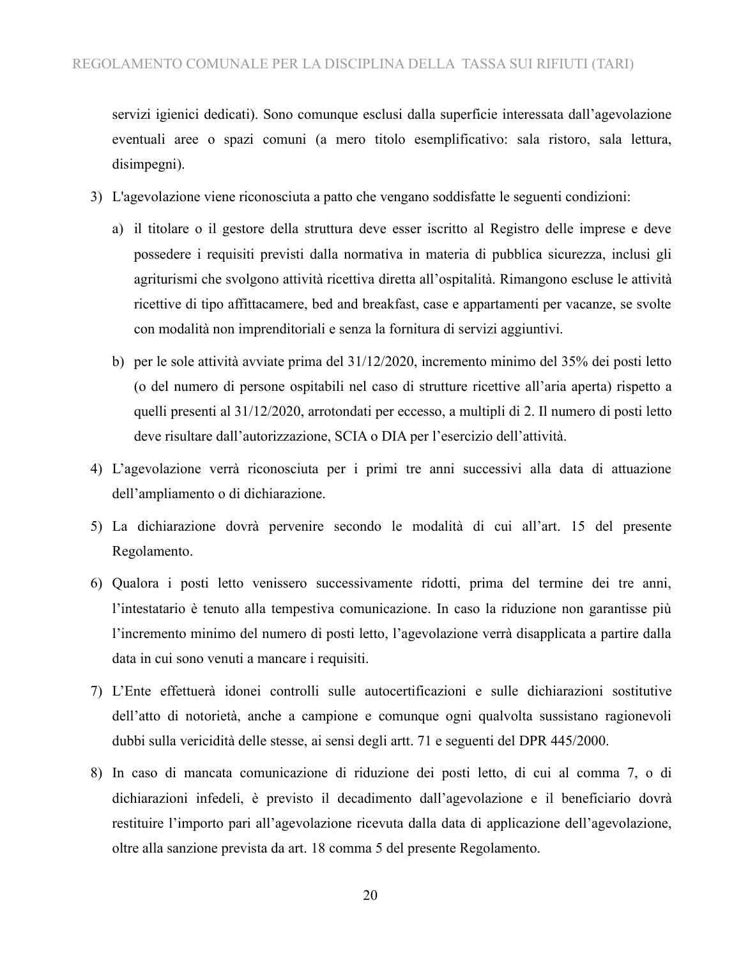servizi igienici dedicati). Sono comunque esclusi dalla superficie interessata dall'agevolazione eventuali aree o spazi comuni (a mero titolo esemplificativo: sala ristoro, sala lettura, disimpegni).

- 3) L'agevolazione viene riconosciuta a patto che vengano soddisfatte le seguenti condizioni:
	- a) il titolare o il gestore della struttura deve esser iscritto al Registro delle imprese e deve possedere i requisiti previsti dalla normativa in materia di pubblica sicurezza, inclusi gli agriturismi che svolgono attività ricettiva diretta all'ospitalità. Rimangono escluse le attività ricettive di tipo affittacamere, bed and breakfast, case e appartamenti per vacanze, se svolte con modalità non imprenditoriali e senza la fornitura di servizi aggiuntivi.
	- b) per le sole attività avviate prima del 31/12/2020, incremento minimo del 35% dei posti letto (o del numero di persone ospitabili nel caso di strutture ricettive all'aria aperta) rispetto a quelli presenti al 31/12/2020, arrotondati per eccesso, a multipli di 2. Il numero di posti letto deve risultare dall'autorizzazione, SCIA o DIA per l'esercizio dell'attività.
- 4) L'agevolazione verrà riconosciuta per i primi tre anni successivi alla data di attuazione dell'ampliamento o di dichiarazione.
- 5) La dichiarazione dovrà pervenire secondo le modalità di cui all'art. 15 del presente Regolamento.
- 6) Qualora i posti letto venissero successivamente ridotti, prima del termine dei tre anni, l'intestatario è tenuto alla tempestiva comunicazione. In caso la riduzione non garantisse più l'incremento minimo del numero di posti letto, l'agevolazione verrà disapplicata a partire dalla data in cui sono venuti a mancare i requisiti.
- 7) L'Ente effettuerà idonei controlli sulle autocertificazioni e sulle dichiarazioni sostitutive dell'atto di notorietà, anche a campione e comunque ogni qualvolta sussistano ragionevoli dubbi sulla vericidità delle stesse, ai sensi degli artt. 71 e seguenti del DPR 445/2000.
- 8) In caso di mancata comunicazione di riduzione dei posti letto, di cui al comma 7, o di dichiarazioni infedeli, è previsto il decadimento dall'agevolazione e il beneficiario dovrà restituire l'importo pari all'agevolazione ricevuta dalla data di applicazione dell'agevolazione, oltre alla sanzione prevista da art. 18 comma 5 del presente Regolamento.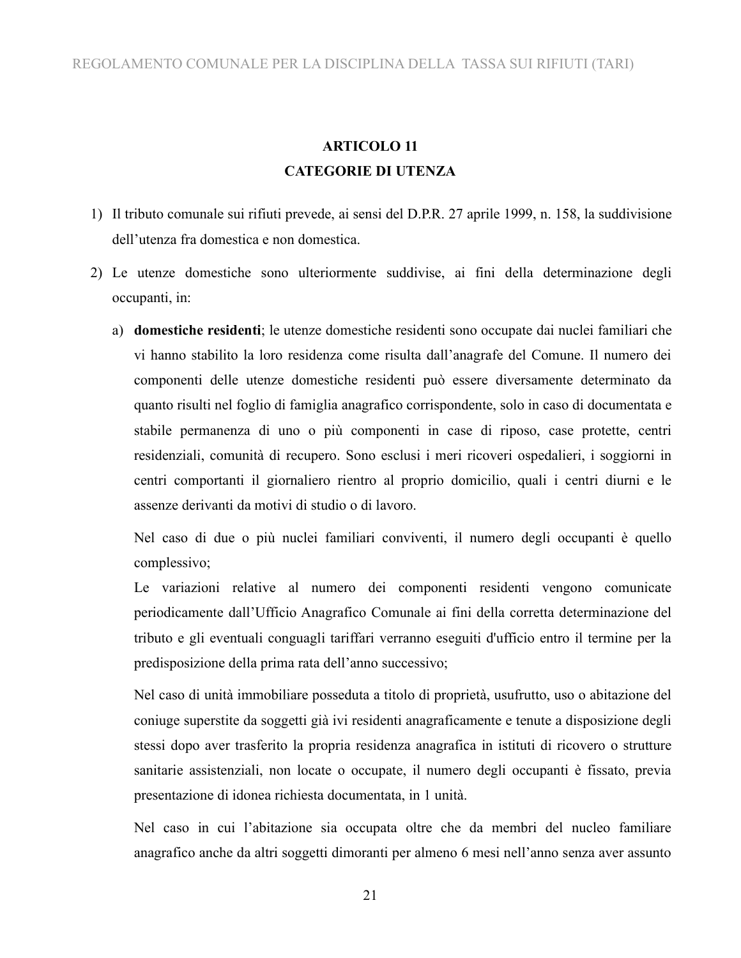### **ARTICOLO 11 CATEGORIE DI UTENZA**

- 1) Il tributo comunale sui rifiuti prevede, ai sensi del D.P.R. 27 aprile 1999, n. 158, la suddivisione dell'utenza fra domestica e non domestica.
- Le utenze domestiche sono ulteriormente suddivise, ai fini della determinazione degli occupanti, in:
	- a) **domestiche residenti**; le utenze domestiche residenti sono occupate dai nuclei familiari che vi hanno stabilito la loro residenza come risulta dall'anagrafe del Comune. Il numero dei componenti delle utenze domestiche residenti può essere diversamente determinato da quanto risulti nel foglio di famiglia anagrafico corrispondente, solo in caso di documentata e stabile permanenza di uno o più componenti in case di riposo, case protette, centri residenziali, comunità di recupero. Sono esclusi i meri ricoveri ospedalieri, i soggiorni in centri comportanti il giornaliero rientro al proprio domicilio, quali i centri diurni e le assenze derivanti da motivi di studio o di lavoro.

Nel caso di due o più nuclei familiari conviventi, il numero degli occupanti è quello complessivo;

Le variazioni relative al numero dei componenti residenti vengono comunicate periodicamente dall'Ufficio Anagrafico Comunale ai fini della corretta determinazione del tributo e gli eventuali conguagli tariffari verranno eseguiti d'ufficio entro il termine per la predisposizione della prima rata dell'anno successivo;

Nel caso di unità immobiliare posseduta a titolo di proprietà, usufrutto, uso o abitazione del coniuge superstite da soggetti già ivi residenti anagraficamente e tenute a disposizione degli stessi dopo aver trasferito la propria residenza anagrafica in istituti di ricovero o strutture sanitarie assistenziali, non locate o occupate, il numero degli occupanti è fissato, previa presentazione di idonea richiesta documentata, in 1 unità.

Nel caso in cui l'abitazione sia occupata oltre che da membri del nucleo familiare anagrafico anche da altri soggetti dimoranti per almeno 6 mesi nell'anno senza aver assunto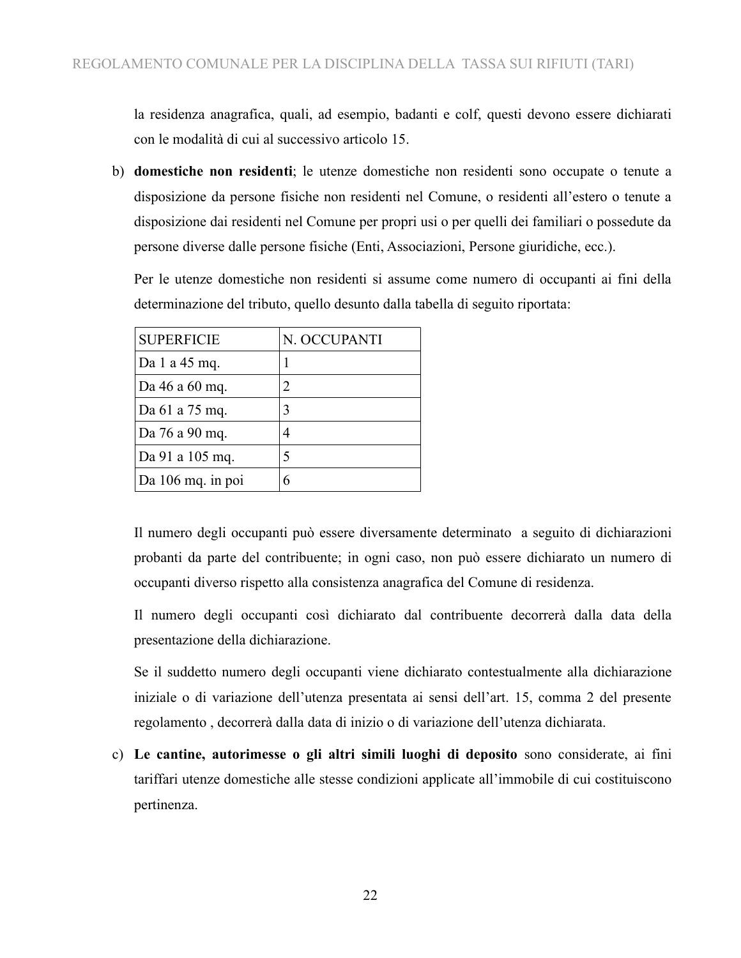la residenza anagrafica, quali, ad esempio, badanti e colf, questi devono essere dichiarati con le modalità di cui al successivo articolo 15.

b) **domestiche non residenti**; le utenze domestiche non residenti sono occupate o tenute a disposizione da persone fisiche non residenti nel Comune, o residenti all'estero o tenute a disposizione dai residenti nel Comune per propri usi o per quelli dei familiari o possedute da persone diverse dalle persone fisiche (Enti, Associazioni, Persone giuridiche, ecc.).

Per le utenze domestiche non residenti si assume come numero di occupanti ai fini della determinazione del tributo, quello desunto dalla tabella di seguito riportata:

| <b>SUPERFICIE</b>   | N. OCCUPANTI |
|---------------------|--------------|
| Da 1 a 45 mq.       |              |
| Da 46 a 60 mq.      | 2            |
| Da 61 a 75 mq.      | 3            |
| Da 76 a 90 mq.      | 4            |
| Da 91 a 105 mq.     | 5            |
| $Da 106$ mq. in poi | 6            |

Il numero degli occupanti può essere diversamente determinato a seguito di dichiarazioni probanti da parte del contribuente; in ogni caso, non può essere dichiarato un numero di occupanti diverso rispetto alla consistenza anagrafica del Comune di residenza.

Il numero degli occupanti così dichiarato dal contribuente decorrerà dalla data della presentazione della dichiarazione.

Se il suddetto numero degli occupanti viene dichiarato contestualmente alla dichiarazione iniziale o di variazione dell'utenza presentata ai sensi dell'art. 15, comma 2 del presente regolamento , decorrerà dalla data di inizio o di variazione dell'utenza dichiarata.

c) **Le cantine, autorimesse o gli altri simili luoghi di deposito** sono considerate, ai fini tariffari utenze domestiche alle stesse condizioni applicate all'immobile di cui costituiscono pertinenza.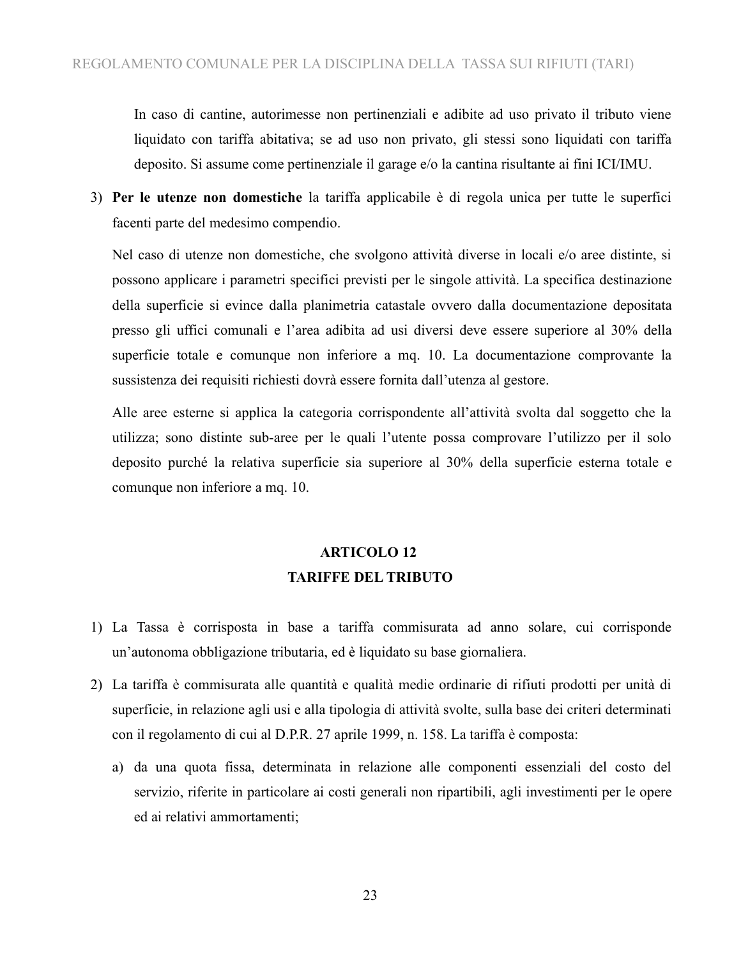In caso di cantine, autorimesse non pertinenziali e adibite ad uso privato il tributo viene liquidato con tariffa abitativa; se ad uso non privato, gli stessi sono liquidati con tariffa deposito. Si assume come pertinenziale il garage e/o la cantina risultante ai fini ICI/IMU.

 **Per le utenze non domestiche** la tariffa applicabile è di regola unica per tutte le superfici facenti parte del medesimo compendio.

Nel caso di utenze non domestiche, che svolgono attività diverse in locali e/o aree distinte, si possono applicare i parametri specifici previsti per le singole attività. La specifica destinazione della superficie si evince dalla planimetria catastale ovvero dalla documentazione depositata presso gli uffici comunali e l'area adibita ad usi diversi deve essere superiore al 30% della superficie totale e comunque non inferiore a mq. 10. La documentazione comprovante la sussistenza dei requisiti richiesti dovrà essere fornita dall'utenza al gestore.

Alle aree esterne si applica la categoria corrispondente all'attività svolta dal soggetto che la utilizza; sono distinte sub-aree per le quali l'utente possa comprovare l'utilizzo per il solo deposito purché la relativa superficie sia superiore al 30% della superficie esterna totale e comunque non inferiore a mq. 10.

### **ARTICOLO 12 TARIFFE DEL TRIBUTO**

- 1) La Tassa è corrisposta in base a tariffa commisurata ad anno solare, cui corrisponde un'autonoma obbligazione tributaria, ed è liquidato su base giornaliera.
- 2) La tariffa è commisurata alle quantità e qualità medie ordinarie di rifiuti prodotti per unità di superficie, in relazione agli usi e alla tipologia di attività svolte, sulla base dei criteri determinati con il regolamento di cui al D.P.R. 27 aprile 1999, n. 158. La tariffa è composta:
	- a) da una quota fissa, determinata in relazione alle componenti essenziali del costo del servizio, riferite in particolare ai costi generali non ripartibili, agli investimenti per le opere ed ai relativi ammortamenti;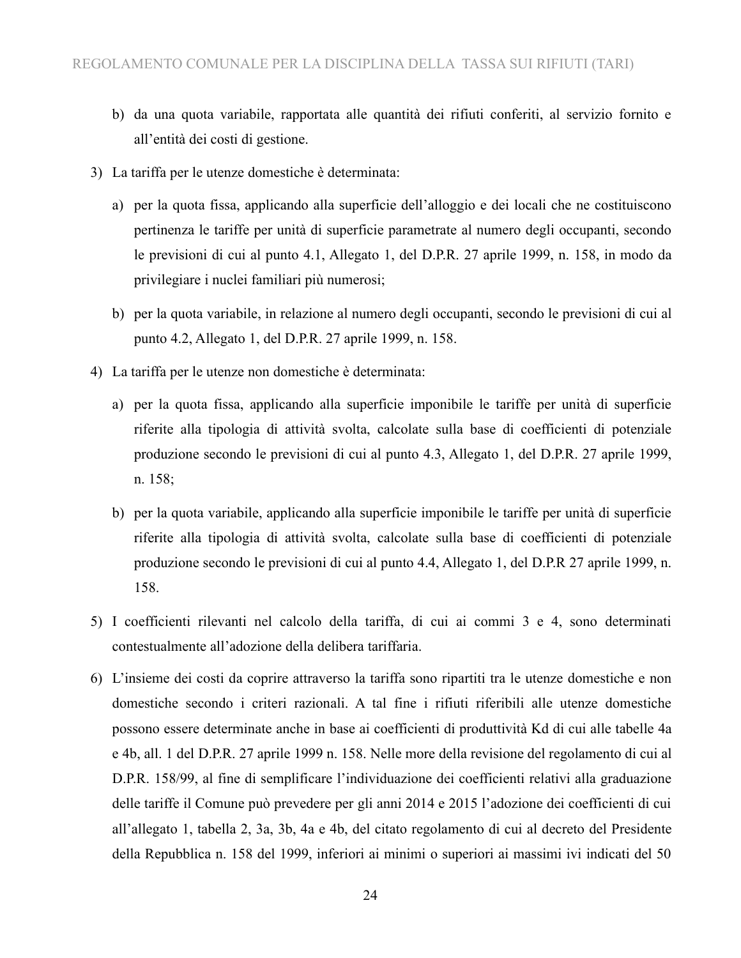- b) da una quota variabile, rapportata alle quantità dei rifiuti conferiti, al servizio fornito e all'entità dei costi di gestione.
- 3) La tariffa per le utenze domestiche è determinata:
	- a) per la quota fissa, applicando alla superficie dell'alloggio e dei locali che ne costituiscono pertinenza le tariffe per unità di superficie parametrate al numero degli occupanti, secondo le previsioni di cui al punto 4.1, Allegato 1, del D.P.R. 27 aprile 1999, n. 158, in modo da privilegiare i nuclei familiari più numerosi;
	- b) per la quota variabile, in relazione al numero degli occupanti, secondo le previsioni di cui al punto 4.2, Allegato 1, del D.P.R. 27 aprile 1999, n. 158.
- 4) La tariffa per le utenze non domestiche è determinata:
	- a) per la quota fissa, applicando alla superficie imponibile le tariffe per unità di superficie riferite alla tipologia di attività svolta, calcolate sulla base di coefficienti di potenziale produzione secondo le previsioni di cui al punto 4.3, Allegato 1, del D.P.R. 27 aprile 1999, n. 158;
	- b) per la quota variabile, applicando alla superficie imponibile le tariffe per unità di superficie riferite alla tipologia di attività svolta, calcolate sulla base di coefficienti di potenziale produzione secondo le previsioni di cui al punto 4.4, Allegato 1, del D.P.R 27 aprile 1999, n. 158.
- 5) I coefficienti rilevanti nel calcolo della tariffa, di cui ai commi 3 e 4, sono determinati contestualmente all'adozione della delibera tariffaria.
- 6) L'insieme dei costi da coprire attraverso la tariffa sono ripartiti tra le utenze domestiche e non domestiche secondo i criteri razionali. A tal fine i rifiuti riferibili alle utenze domestiche possono essere determinate anche in base ai coefficienti di produttività Kd di cui alle tabelle 4a e 4b, all. 1 del D.P.R. 27 aprile 1999 n. 158. Nelle more della revisione del regolamento di cui al D.P.R. 158/99, al fine di semplificare l'individuazione dei coefficienti relativi alla graduazione delle tariffe il Comune può prevedere per gli anni 2014 e 2015 l'adozione dei coefficienti di cui all'allegato 1, tabella 2, 3a, 3b, 4a e 4b, del citato regolamento di cui al decreto del Presidente della Repubblica n. 158 del 1999, inferiori ai minimi o superiori ai massimi ivi indicati del 50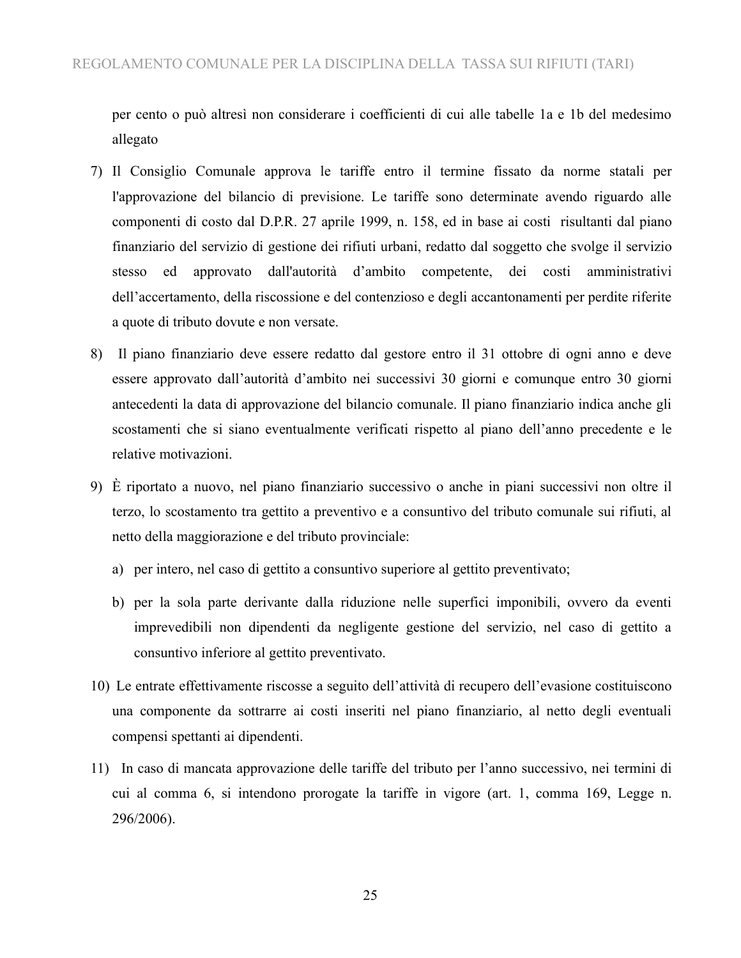per cento o può altresì non considerare i coefficienti di cui alle tabelle 1a e 1b del medesimo allegato

- 7) Il Consiglio Comunale approva le tariffe entro il termine fissato da norme statali per l'approvazione del bilancio di previsione. Le tariffe sono determinate avendo riguardo alle componenti di costo dal D.P.R. 27 aprile 1999, n. 158, ed in base ai costi risultanti dal piano finanziario del servizio di gestione dei rifiuti urbani, redatto dal soggetto che svolge il servizio stesso ed approvato dall'autorità d'ambito competente, dei costi amministrativi dell'accertamento, della riscossione e del contenzioso e degli accantonamenti per perdite riferite a quote di tributo dovute e non versate.
- 8) Il piano finanziario deve essere redatto dal gestore entro il 31 ottobre di ogni anno e deve essere approvato dall'autorità d'ambito nei successivi 30 giorni e comunque entro 30 giorni antecedenti la data di approvazione del bilancio comunale. Il piano finanziario indica anche gli scostamenti che si siano eventualmente verificati rispetto al piano dell'anno precedente e le relative motivazioni.
- 9) È riportato a nuovo, nel piano finanziario successivo o anche in piani successivi non oltre il terzo, lo scostamento tra gettito a preventivo e a consuntivo del tributo comunale sui rifiuti, al netto della maggiorazione e del tributo provinciale:
	- a) per intero, nel caso di gettito a consuntivo superiore al gettito preventivato;
	- b) per la sola parte derivante dalla riduzione nelle superfici imponibili, ovvero da eventi imprevedibili non dipendenti da negligente gestione del servizio, nel caso di gettito a consuntivo inferiore al gettito preventivato.
- 10) Le entrate effettivamente riscosse a seguito dell'attività di recupero dell'evasione costituiscono una componente da sottrarre ai costi inseriti nel piano finanziario, al netto degli eventuali compensi spettanti ai dipendenti.
- 11) In caso di mancata approvazione delle tariffe del tributo per l'anno successivo, nei termini di cui al comma 6, si intendono prorogate la tariffe in vigore (art. 1, comma 169, Legge n. 296/2006).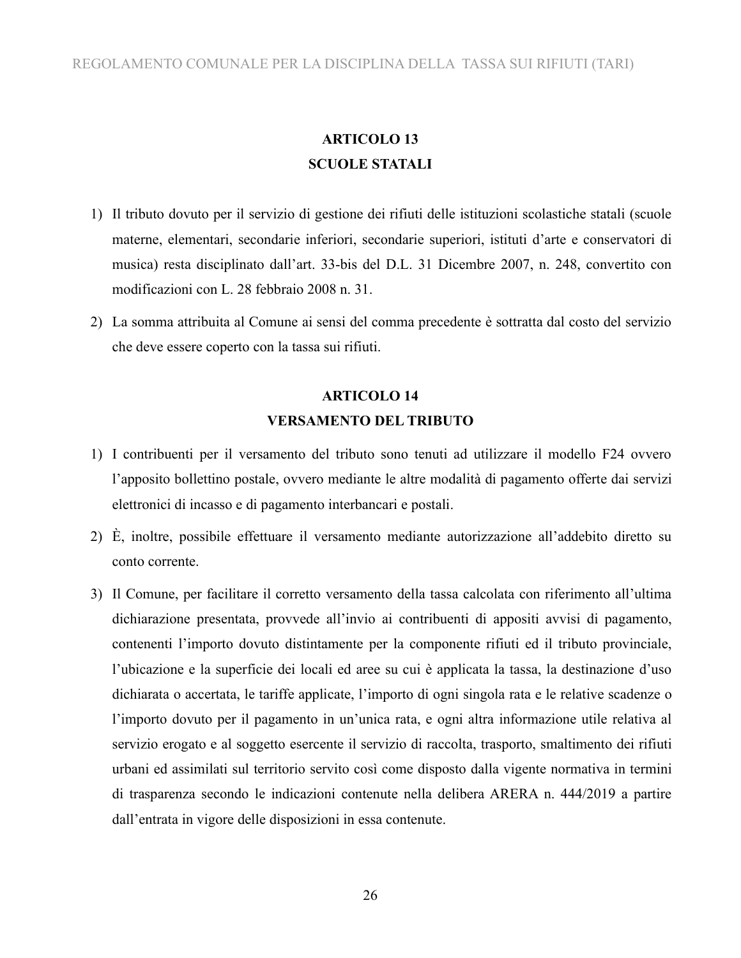### **ARTICOLO 13 SCUOLE STATALI**

- 1) Il tributo dovuto per il servizio di gestione dei rifiuti delle istituzioni scolastiche statali (scuole materne, elementari, secondarie inferiori, secondarie superiori, istituti d'arte e conservatori di musica) resta disciplinato dall'art. 33-bis del D.L. 31 Dicembre 2007, n. 248, convertito con modificazioni con L. 28 febbraio 2008 n. 31.
- 2) La somma attribuita al Comune ai sensi del comma precedente è sottratta dal costo del servizio che deve essere coperto con la tassa sui rifiuti.

### **ARTICOLO 14 VERSAMENTO DEL TRIBUTO**

- 1) I contribuenti per il versamento del tributo sono tenuti ad utilizzare il modello F24 ovvero l'apposito bollettino postale, ovvero mediante le altre modalità di pagamento offerte dai servizi elettronici di incasso e di pagamento interbancari e postali.
- 2) È, inoltre, possibile effettuare il versamento mediante autorizzazione all'addebito diretto su conto corrente.
- 3) Il Comune, per facilitare il corretto versamento della tassa calcolata con riferimento all'ultima dichiarazione presentata, provvede all'invio ai contribuenti di appositi avvisi di pagamento, contenenti l'importo dovuto distintamente per la componente rifiuti ed il tributo provinciale, l'ubicazione e la superficie dei locali ed aree su cui è applicata la tassa, la destinazione d'uso dichiarata o accertata, le tariffe applicate, l'importo di ogni singola rata e le relative scadenze o l'importo dovuto per il pagamento in un'unica rata, e ogni altra informazione utile relativa al servizio erogato e al soggetto esercente il servizio di raccolta, trasporto, smaltimento dei rifiuti urbani ed assimilati sul territorio servito così come disposto dalla vigente normativa in termini di trasparenza secondo le indicazioni contenute nella delibera ARERA n. 444/2019 a partire dall'entrata in vigore delle disposizioni in essa contenute.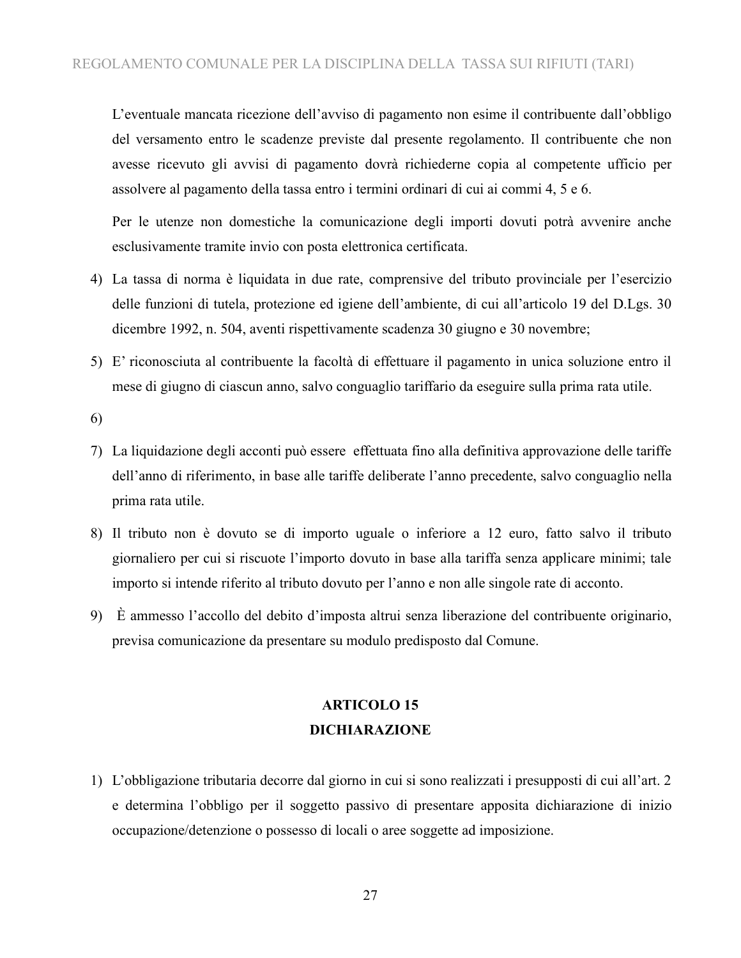L'eventuale mancata ricezione dell'avviso di pagamento non esime il contribuente dall'obbligo del versamento entro le scadenze previste dal presente regolamento. Il contribuente che non avesse ricevuto gli avvisi di pagamento dovrà richiederne copia al competente ufficio per assolvere al pagamento della tassa entro i termini ordinari di cui ai commi 4, 5 e 6.

Per le utenze non domestiche la comunicazione degli importi dovuti potrà avvenire anche esclusivamente tramite invio con posta elettronica certificata.

- 4) La tassa di norma è liquidata in due rate, comprensive del tributo provinciale per l'esercizio delle funzioni di tutela, protezione ed igiene dell'ambiente, di cui all'articolo 19 del D.Lgs. 30 dicembre 1992, n. 504, aventi rispettivamente scadenza 30 giugno e 30 novembre;
- 5) E' riconosciuta al contribuente la facoltà di effettuare il pagamento in unica soluzione entro il mese di giugno di ciascun anno, salvo conguaglio tariffario da eseguire sulla prima rata utile.

6)

- 7) La liquidazione degli acconti può essere effettuata fino alla definitiva approvazione delle tariffe dell'anno di riferimento, in base alle tariffe deliberate l'anno precedente, salvo conguaglio nella prima rata utile.
- 8) Il tributo non è dovuto se di importo uguale o inferiore a 12 euro, fatto salvo il tributo giornaliero per cui si riscuote l'importo dovuto in base alla tariffa senza applicare minimi; tale importo si intende riferito al tributo dovuto per l'anno e non alle singole rate di acconto.
- 9) È ammesso l'accollo del debito d'imposta altrui senza liberazione del contribuente originario, previsa comunicazione da presentare su modulo predisposto dal Comune.

### **ARTICOLO 15 DICHIARAZIONE**

1) L'obbligazione tributaria decorre dal giorno in cui si sono realizzati i presupposti di cui all'art. 2 e determina l'obbligo per il soggetto passivo di presentare apposita dichiarazione di inizio occupazione/detenzione o possesso di locali o aree soggette ad imposizione.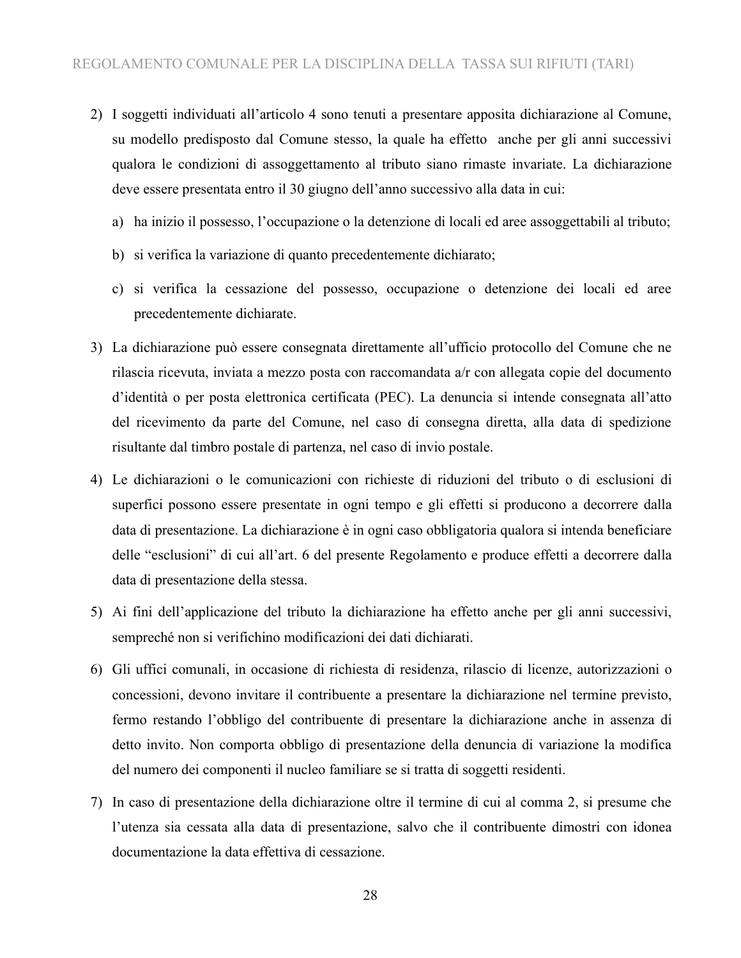- 2) I soggetti individuati all'articolo 4 sono tenuti a presentare apposita dichiarazione al Comune, su modello predisposto dal Comune stesso, la quale ha effetto anche per gli anni successivi qualora le condizioni di assoggettamento al tributo siano rimaste invariate. La dichiarazione deve essere presentata entro il 30 giugno dell'anno successivo alla data in cui:
	- a) ha inizio il possesso, l'occupazione o la detenzione di locali ed aree assoggettabili al tributo;
	- b) si verifica la variazione di quanto precedentemente dichiarato;
	- c) si verifica la cessazione del possesso, occupazione o detenzione dei locali ed aree precedentemente dichiarate.
- 3) La dichiarazione può essere consegnata direttamente all'ufficio protocollo del Comune che ne rilascia ricevuta, inviata a mezzo posta con raccomandata a/r con allegata copie del documento d'identità o per posta elettronica certificata (PEC). La denuncia si intende consegnata all'atto del ricevimento da parte del Comune, nel caso di consegna diretta, alla data di spedizione risultante dal timbro postale di partenza, nel caso di invio postale.
- 4) Le dichiarazioni o le comunicazioni con richieste di riduzioni del tributo o di esclusioni di superfici possono essere presentate in ogni tempo e gli effetti si producono a decorrere dalla data di presentazione. La dichiarazione è in ogni caso obbligatoria qualora si intenda beneficiare delle "esclusioni" di cui all'art. 6 del presente Regolamento e produce effetti a decorrere dalla data di presentazione della stessa.
- 5) Ai fini dell'applicazione del tributo la dichiarazione ha effetto anche per gli anni successivi, sempreché non si verifichino modificazioni dei dati dichiarati.
- 6) Gli uffici comunali, in occasione di richiesta di residenza, rilascio di licenze, autorizzazioni o concessioni, devono invitare il contribuente a presentare la dichiarazione nel termine previsto, fermo restando l'obbligo del contribuente di presentare la dichiarazione anche in assenza di detto invito. Non comporta obbligo di presentazione della denuncia di variazione la modifica del numero dei componenti il nucleo familiare se si tratta di soggetti residenti.
- 7) In caso di presentazione della dichiarazione oltre il termine di cui al comma 2, si presume che l'utenza sia cessata alla data di presentazione, salvo che il contribuente dimostri con idonea documentazione la data effettiva di cessazione.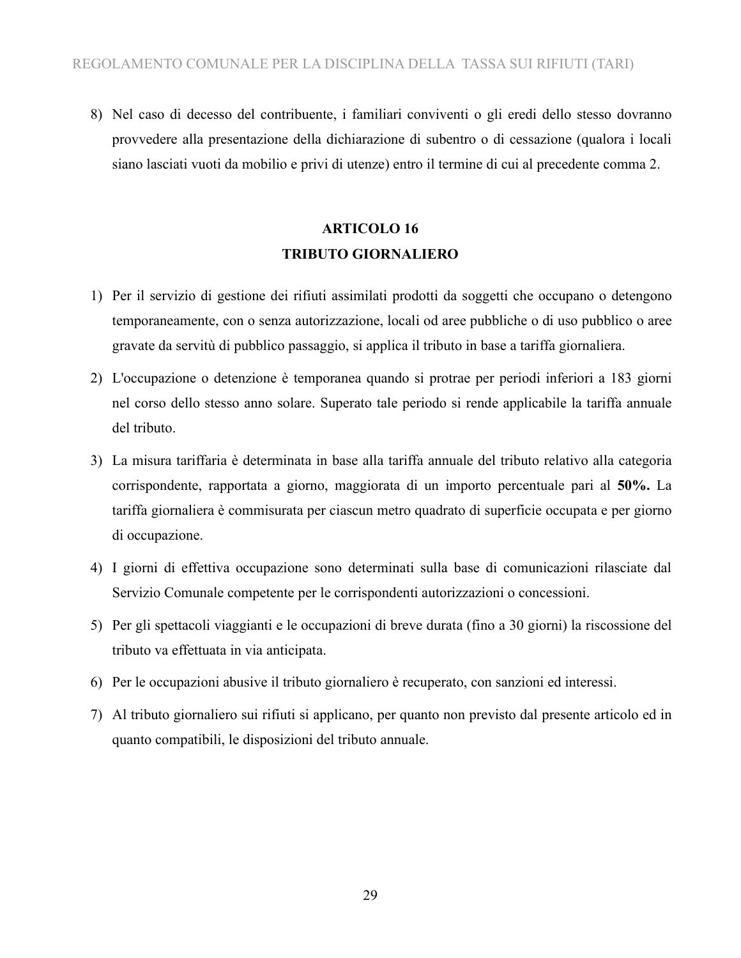8) Nel caso di decesso del contribuente, i familiari conviventi o gli eredi dello stesso dovranno provvedere alla presentazione della dichiarazione di subentro o di cessazione (qualora i locali siano lasciati vuoti da mobilio e privi di utenze) entro il termine di cui al precedente comma 2.

### **ARTICOLO 16 TRIBUTO GIORNALIERO**

- 1) Per il servizio di gestione dei rifiuti assimilati prodotti da soggetti che occupano o detengono temporaneamente, con o senza autorizzazione, locali od aree pubbliche o di uso pubblico o aree gravate da servitù di pubblico passaggio, si applica il tributo in base a tariffa giornaliera.
- 2) L'occupazione o detenzione è temporanea quando si protrae per periodi inferiori a 183 giorni nel corso dello stesso anno solare. Superato tale periodo si rende applicabile la tariffa annuale del tributo.
- 3) La misura tariffaria è determinata in base alla tariffa annuale del tributo relativo alla categoria corrispondente, rapportata a giorno, maggiorata di un importo percentuale pari al **50%.** La tariffa giornaliera è commisurata per ciascun metro quadrato di superficie occupata e per giorno di occupazione.
- 4) I giorni di effettiva occupazione sono determinati sulla base di comunicazioni rilasciate dal Servizio Comunale competente per le corrispondenti autorizzazioni o concessioni.
- 5) Per gli spettacoli viaggianti e le occupazioni di breve durata (fino a 30 giorni) la riscossione del tributo va effettuata in via anticipata.
- 6) Per le occupazioni abusive il tributo giornaliero è recuperato, con sanzioni ed interessi.
- 7) Al tributo giornaliero sui rifiuti si applicano, per quanto non previsto dal presente articolo ed in quanto compatibili, le disposizioni del tributo annuale.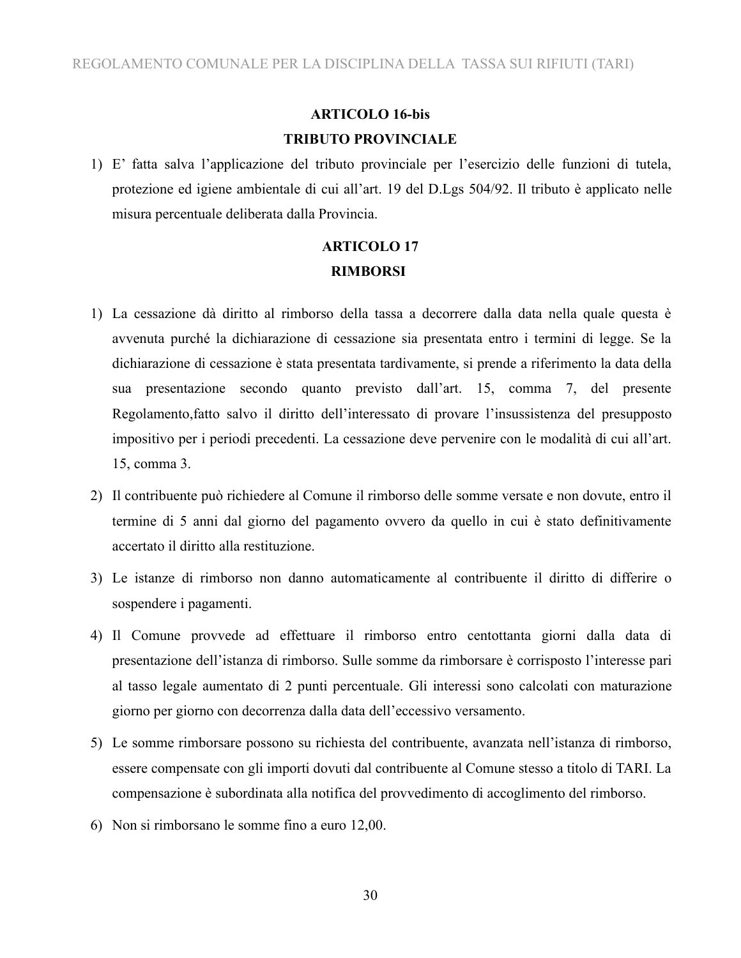### **ARTICOLO 16-bis TRIBUTO PROVINCIALE**

1) E' fatta salva l'applicazione del tributo provinciale per l'esercizio delle funzioni di tutela, protezione ed igiene ambientale di cui all'art. 19 del D.Lgs 504/92. Il tributo è applicato nelle misura percentuale deliberata dalla Provincia.

## **ARTICOLO 17 RIMBORSI**

- 1) La cessazione dà diritto al rimborso della tassa a decorrere dalla data nella quale questa è avvenuta purché la dichiarazione di cessazione sia presentata entro i termini di legge. Se la dichiarazione di cessazione è stata presentata tardivamente, si prende a riferimento la data della sua presentazione secondo quanto previsto dall'art. 15, comma 7, del presente Regolamento,fatto salvo il diritto dell'interessato di provare l'insussistenza del presupposto impositivo per i periodi precedenti. La cessazione deve pervenire con le modalità di cui all'art. 15, comma 3.
- 2) Il contribuente può richiedere al Comune il rimborso delle somme versate e non dovute, entro il termine di 5 anni dal giorno del pagamento ovvero da quello in cui è stato definitivamente accertato il diritto alla restituzione.
- 3) Le istanze di rimborso non danno automaticamente al contribuente il diritto di differire o sospendere i pagamenti.
- 4) Il Comune provvede ad effettuare il rimborso entro centottanta giorni dalla data di presentazione dell'istanza di rimborso. Sulle somme da rimborsare è corrisposto l'interesse pari al tasso legale aumentato di 2 punti percentuale. Gli interessi sono calcolati con maturazione giorno per giorno con decorrenza dalla data dell'eccessivo versamento.
- 5) Le somme rimborsare possono su richiesta del contribuente, avanzata nell'istanza di rimborso, essere compensate con gli importi dovuti dal contribuente al Comune stesso a titolo di TARI. La compensazione è subordinata alla notifica del provvedimento di accoglimento del rimborso.
- 6) Non si rimborsano le somme fino a euro 12,00.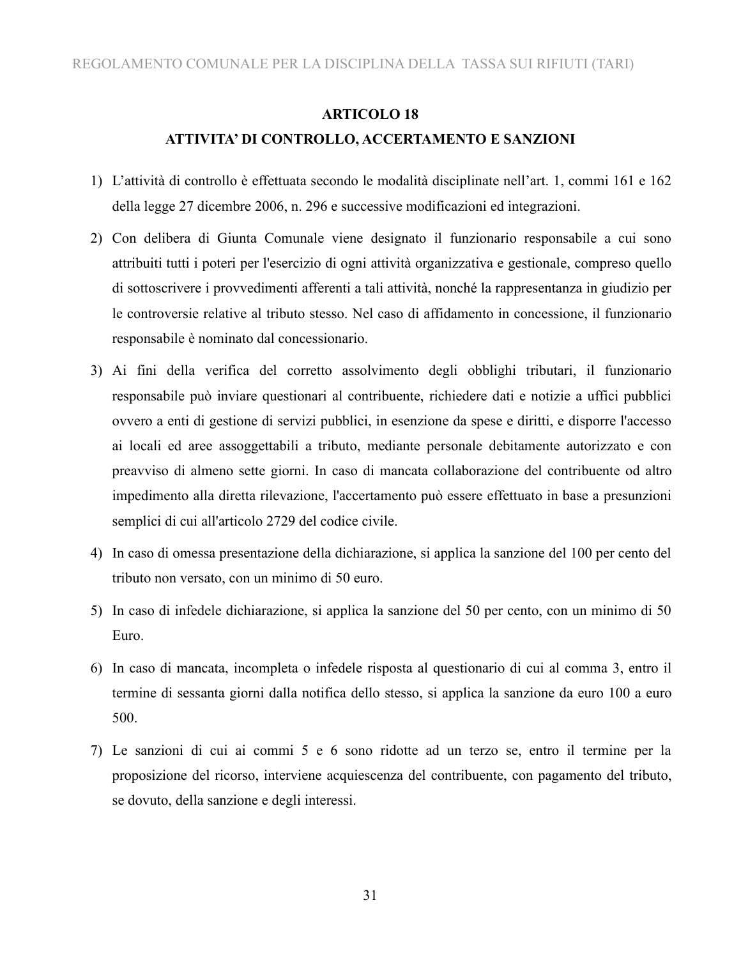#### **ARTICOLO 18**

#### **ATTIVITA' DI CONTROLLO, ACCERTAMENTO E SANZIONI**

- 1) L'attività di controllo è effettuata secondo le modalità disciplinate nell'art. 1, commi 161 e 162 della legge 27 dicembre 2006, n. 296 e successive modificazioni ed integrazioni.
- 2) Con delibera di Giunta Comunale viene designato il funzionario responsabile a cui sono attribuiti tutti i poteri per l'esercizio di ogni attività organizzativa e gestionale, compreso quello di sottoscrivere i provvedimenti afferenti a tali attività, nonché la rappresentanza in giudizio per le controversie relative al tributo stesso. Nel caso di affidamento in concessione, il funzionario responsabile è nominato dal concessionario.
- 3) Ai fini della verifica del corretto assolvimento degli obblighi tributari, il funzionario responsabile può inviare questionari al contribuente, richiedere dati e notizie a uffici pubblici ovvero a enti di gestione di servizi pubblici, in esenzione da spese e diritti, e disporre l'accesso ai locali ed aree assoggettabili a tributo, mediante personale debitamente autorizzato e con preavviso di almeno sette giorni. In caso di mancata collaborazione del contribuente od altro impedimento alla diretta rilevazione, l'accertamento può essere effettuato in base a presunzioni semplici di cui all'articolo 2729 del codice civile.
- 4) In caso di omessa presentazione della dichiarazione, si applica la sanzione del 100 per cento del tributo non versato, con un minimo di 50 euro.
- 5) In caso di infedele dichiarazione, si applica la sanzione del 50 per cento, con un minimo di 50 Euro.
- 6) In caso di mancata, incompleta o infedele risposta al questionario di cui al comma 3, entro il termine di sessanta giorni dalla notifica dello stesso, si applica la sanzione da euro 100 a euro 500.
- 7) Le sanzioni di cui ai commi 5 e 6 sono ridotte ad un terzo se, entro il termine per la proposizione del ricorso, interviene acquiescenza del contribuente, con pagamento del tributo, se dovuto, della sanzione e degli interessi.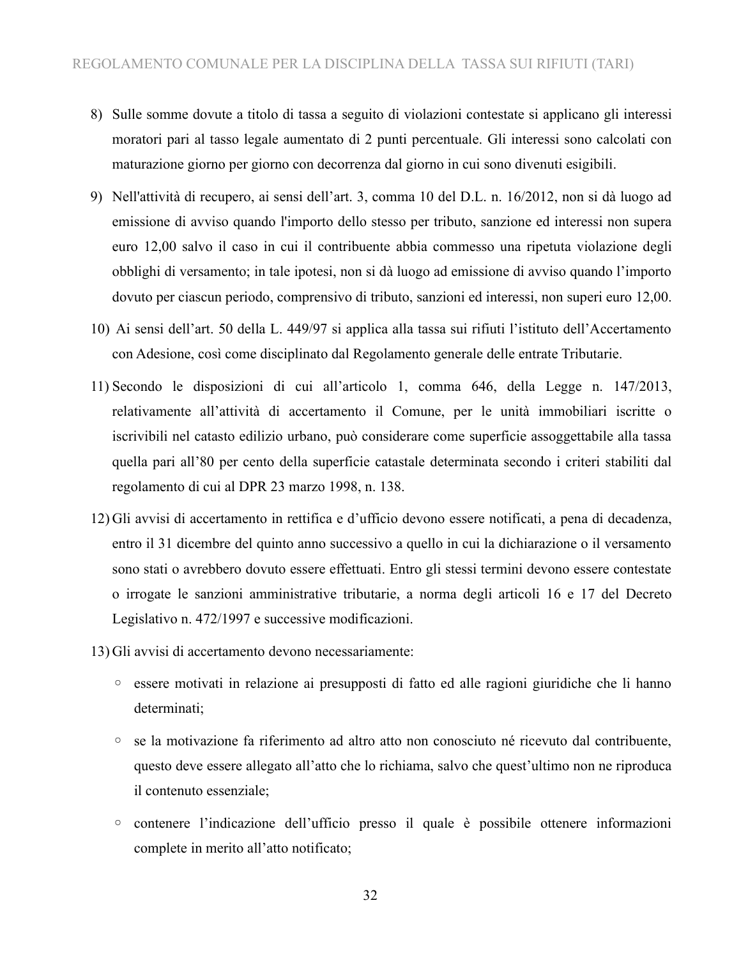- 8) Sulle somme dovute a titolo di tassa a seguito di violazioni contestate si applicano gli interessi moratori pari al tasso legale aumentato di 2 punti percentuale. Gli interessi sono calcolati con maturazione giorno per giorno con decorrenza dal giorno in cui sono divenuti esigibili.
- 9) Nell'attività di recupero, ai sensi dell'art. 3, comma 10 del D.L. n. 16/2012, non si dà luogo ad emissione di avviso quando l'importo dello stesso per tributo, sanzione ed interessi non supera euro 12,00 salvo il caso in cui il contribuente abbia commesso una ripetuta violazione degli obblighi di versamento; in tale ipotesi, non si dà luogo ad emissione di avviso quando l'importo dovuto per ciascun periodo, comprensivo di tributo, sanzioni ed interessi, non superi euro 12,00.
- 10) Ai sensi dell'art. 50 della L. 449/97 si applica alla tassa sui rifiuti l'istituto dell'Accertamento con Adesione, così come disciplinato dal Regolamento generale delle entrate Tributarie.
- 11) Secondo le disposizioni di cui all'articolo 1, comma 646, della Legge n. 147/2013, relativamente all'attività di accertamento il Comune, per le unità immobiliari iscritte o iscrivibili nel catasto edilizio urbano, può considerare come superficie assoggettabile alla tassa quella pari all'80 per cento della superficie catastale determinata secondo i criteri stabiliti dal regolamento di cui al DPR 23 marzo 1998, n. 138.
- 12) Gli avvisi di accertamento in rettifica e d'ufficio devono essere notificati, a pena di decadenza, entro il 31 dicembre del quinto anno successivo a quello in cui la dichiarazione o il versamento sono stati o avrebbero dovuto essere effettuati. Entro gli stessi termini devono essere contestate o irrogate le sanzioni amministrative tributarie, a norma degli articoli 16 e 17 del Decreto Legislativo n. 472/1997 e successive modificazioni.
- 13) Gli avvisi di accertamento devono necessariamente:
	- essere motivati in relazione ai presupposti di fatto ed alle ragioni giuridiche che li hanno determinati;
	- se la motivazione fa riferimento ad altro atto non conosciuto né ricevuto dal contribuente, questo deve essere allegato all'atto che lo richiama, salvo che quest'ultimo non ne riproduca il contenuto essenziale;
	- contenere l'indicazione dell'ufficio presso il quale è possibile ottenere informazioni complete in merito all'atto notificato;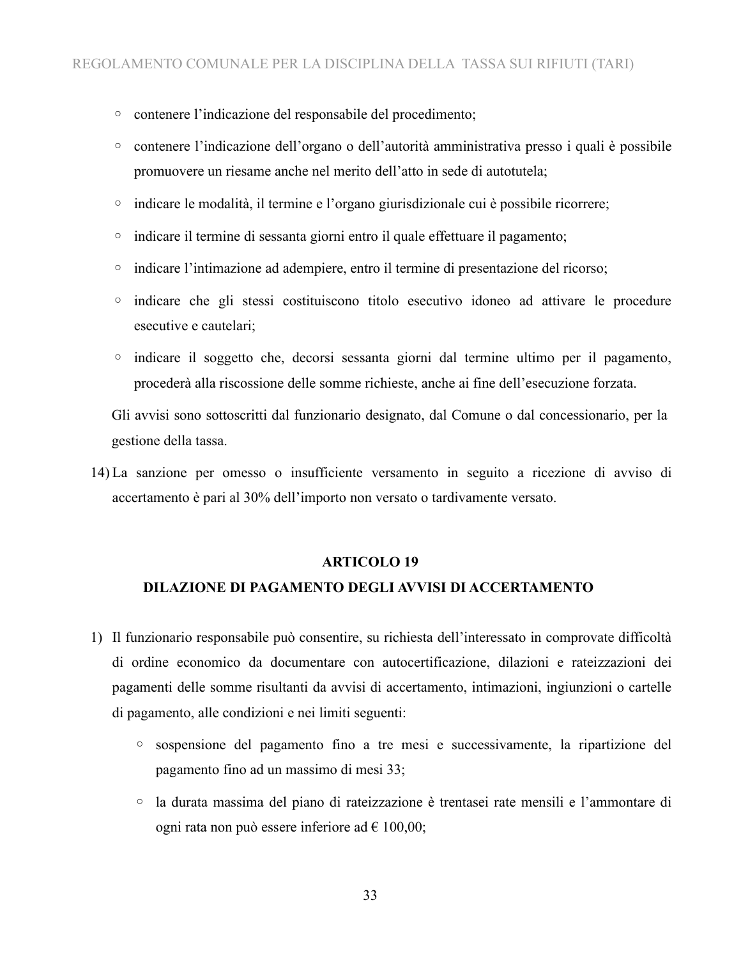- contenere l'indicazione del responsabile del procedimento;
- contenere l'indicazione dell'organo o dell'autorità amministrativa presso i quali è possibile promuovere un riesame anche nel merito dell'atto in sede di autotutela;
- indicare le modalità, il termine e l'organo giurisdizionale cui è possibile ricorrere;
- indicare il termine di sessanta giorni entro il quale effettuare il pagamento;
- indicare l'intimazione ad adempiere, entro il termine di presentazione del ricorso;
- indicare che gli stessi costituiscono titolo esecutivo idoneo ad attivare le procedure esecutive e cautelari;
- indicare il soggetto che, decorsi sessanta giorni dal termine ultimo per il pagamento, procederà alla riscossione delle somme richieste, anche ai fine dell'esecuzione forzata.

Gli avvisi sono sottoscritti dal funzionario designato, dal Comune o dal concessionario, per la gestione della tassa.

14) La sanzione per omesso o insufficiente versamento in seguito a ricezione di avviso di accertamento è pari al 30% dell'importo non versato o tardivamente versato.

#### **ARTICOLO 19**

#### **DILAZIONE DI PAGAMENTO DEGLI AVVISI DI ACCERTAMENTO**

- 1) Il funzionario responsabile può consentire, su richiesta dell'interessato in comprovate difficoltà di ordine economico da documentare con autocertificazione, dilazioni e rateizzazioni dei pagamenti delle somme risultanti da avvisi di accertamento, intimazioni, ingiunzioni o cartelle di pagamento, alle condizioni e nei limiti seguenti:
	- sospensione del pagamento fino a tre mesi e successivamente, la ripartizione del pagamento fino ad un massimo di mesi 33;
	- la durata massima del piano di rateizzazione è trentasei rate mensili e l'ammontare di ogni rata non può essere inferiore ad  $\epsilon$  100,00;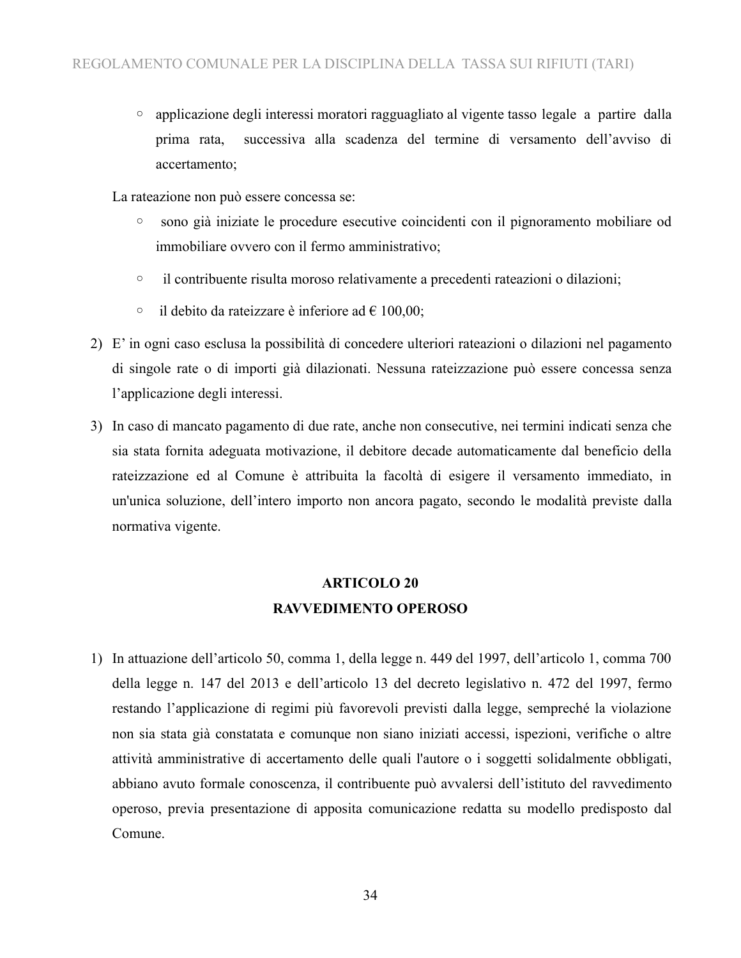◦ applicazione degli interessi moratori ragguagliato al vigente tasso legale a partire dalla prima rata, successiva alla scadenza del termine di versamento dell'avviso di accertamento;

La rateazione non può essere concessa se:

- sono già iniziate le procedure esecutive coincidenti con il pignoramento mobiliare od immobiliare ovvero con il fermo amministrativo;
- il contribuente risulta moroso relativamente a precedenti rateazioni o dilazioni;
- il debito da rateizzare è inferiore ad € 100,00;
- 2) E' in ogni caso esclusa la possibilità di concedere ulteriori rateazioni o dilazioni nel pagamento di singole rate o di importi già dilazionati. Nessuna rateizzazione può essere concessa senza l'applicazione degli interessi.
- 3) In caso di mancato pagamento di due rate, anche non consecutive, nei termini indicati senza che sia stata fornita adeguata motivazione, il debitore decade automaticamente dal beneficio della rateizzazione ed al Comune è attribuita la facoltà di esigere il versamento immediato, in un'unica soluzione, dell'intero importo non ancora pagato, secondo le modalità previste dalla normativa vigente.

### **ARTICOLO 20 RAVVEDIMENTO OPEROSO**

1) In attuazione dell'articolo 50, comma 1, della legge n. 449 del 1997, dell'articolo 1, comma 700 della legge n. 147 del 2013 e dell'articolo 13 del decreto legislativo n. 472 del 1997, fermo restando l'applicazione di regimi più favorevoli previsti dalla legge, sempreché la violazione non sia stata già constatata e comunque non siano iniziati accessi, ispezioni, verifiche o altre attività amministrative di accertamento delle quali l'autore o i soggetti solidalmente obbligati, abbiano avuto formale conoscenza, il contribuente può avvalersi dell'istituto del ravvedimento operoso, previa presentazione di apposita comunicazione redatta su modello predisposto dal Comune.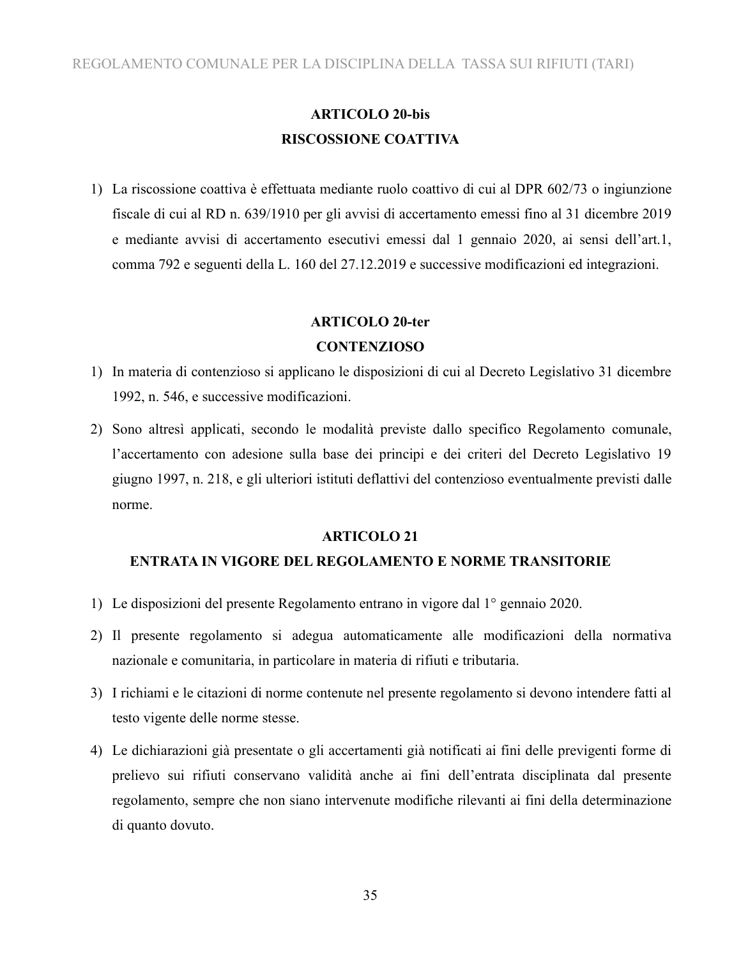### **ARTICOLO 20-bis RISCOSSIONE COATTIVA**

1) La riscossione coattiva è effettuata mediante ruolo coattivo di cui al DPR 602/73 o ingiunzione fiscale di cui al RD n. 639/1910 per gli avvisi di accertamento emessi fino al 31 dicembre 2019 e mediante avvisi di accertamento esecutivi emessi dal 1 gennaio 2020, ai sensi dell'art.1, comma 792 e seguenti della L. 160 del 27.12.2019 e successive modificazioni ed integrazioni.

### **ARTICOLO 20-ter**

#### **CONTENZIOSO**

- 1) In materia di contenzioso si applicano le disposizioni di cui al Decreto Legislativo 31 dicembre 1992, n. 546, e successive modificazioni.
- 2) Sono altresì applicati, secondo le modalità previste dallo specifico Regolamento comunale, l'accertamento con adesione sulla base dei principi e dei criteri del Decreto Legislativo 19 giugno 1997, n. 218, e gli ulteriori istituti deflattivi del contenzioso eventualmente previsti dalle norme.

#### **ARTICOLO 21**

### **ENTRATA IN VIGORE DEL REGOLAMENTO E NORME TRANSITORIE**

- 1) Le disposizioni del presente Regolamento entrano in vigore dal 1° gennaio 2020.
- 2) Il presente regolamento si adegua automaticamente alle modificazioni della normativa nazionale e comunitaria, in particolare in materia di rifiuti e tributaria.
- 3) I richiami e le citazioni di norme contenute nel presente regolamento si devono intendere fatti al testo vigente delle norme stesse.
- 4) Le dichiarazioni già presentate o gli accertamenti già notificati ai fini delle previgenti forme di prelievo sui rifiuti conservano validità anche ai fini dell'entrata disciplinata dal presente regolamento, sempre che non siano intervenute modifiche rilevanti ai fini della determinazione di quanto dovuto.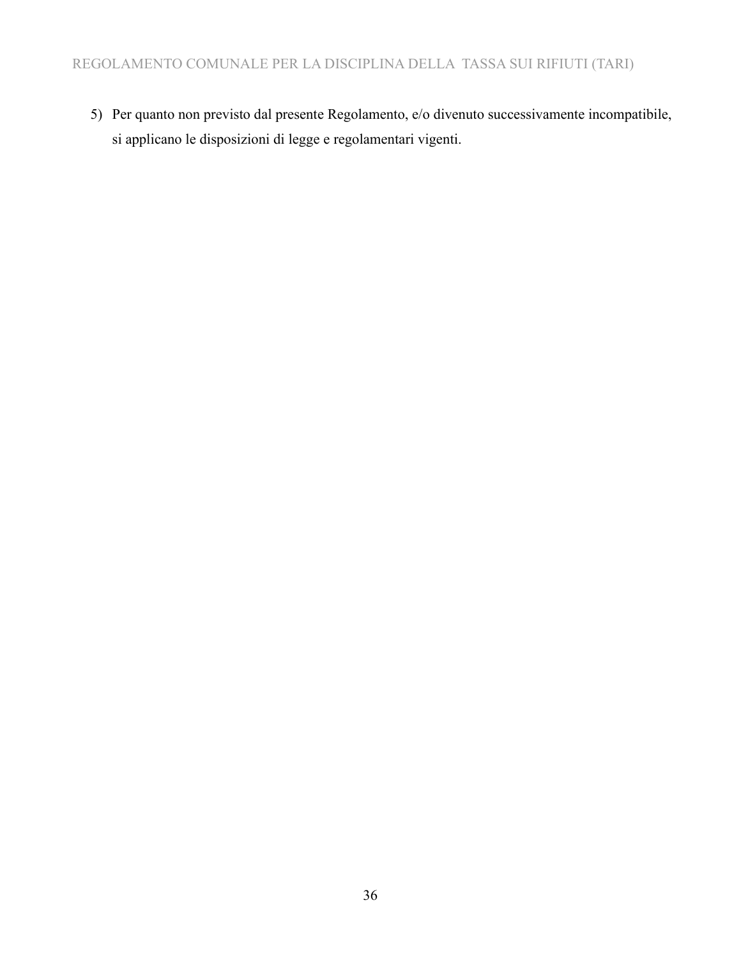5) Per quanto non previsto dal presente Regolamento, e/o divenuto successivamente incompatibile, si applicano le disposizioni di legge e regolamentari vigenti.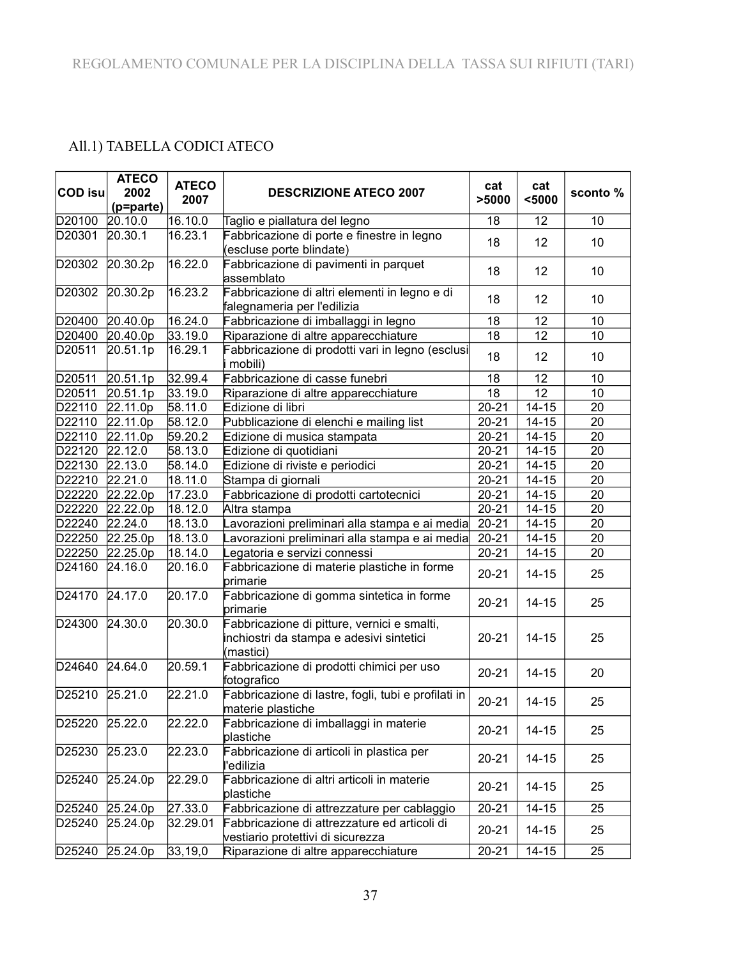### All.1) TABELLA CODICI ATECO

| <b>COD isu</b> | <b>ATECO</b><br>2002<br>(p=parte) | <b>ATECO</b><br>2007 | <b>DESCRIZIONE ATECO 2007</b>                                                                        | cat<br>>5000 | cat<br>$5000$ | sconto%         |
|----------------|-----------------------------------|----------------------|------------------------------------------------------------------------------------------------------|--------------|---------------|-----------------|
| D20100 20.10.0 |                                   | 16.10.0              | Taglio e piallatura del legno                                                                        | 18           | 12            | 10              |
| D20301         | 20.30.1                           | 16.23.1              | Fabbricazione di porte e finestre in legno<br>(escluse porte blindate)                               | 18           | 12            | 10              |
| D20302         | 20.30.2p                          | 16.22.0              | Fabbricazione di pavimenti in parquet<br>assemblato                                                  | 18           | 12            | 10              |
| D20302         | 20.30.2p                          | 16.23.2              | Fabbricazione di altri elementi in legno e di<br>falegnameria per l'edilizia                         | 18           | 12            | 10              |
| D20400         | 20.40.0p                          | 16.24.0              | Fabbricazione di imballaggi in legno                                                                 | 18           | 12            | 10              |
| D20400         | 20.40.0p                          | 33.19.0              | Riparazione di altre apparecchiature                                                                 | 18           | 12            | 10              |
| D20511         | 20.51.1p                          | 16.29.1              | Fabbricazione di prodotti vari in legno (esclusi<br>mobili)                                          | 18           | 12            | 10              |
| D20511         | 20.51.1p                          | 32.99.4              | Fabbricazione di casse funebri                                                                       | 18           | 12            | 10              |
| D20511         | 20.51.1p                          | 33.19.0              | Riparazione di altre apparecchiature                                                                 | 18           | 12            | 10              |
| D22110         | 22.11.0p                          | 58.11.0              | Edizione di libri                                                                                    | $20 - 21$    | $14 - 15$     | 20              |
| D22110         | 22.11.0p                          | 58.12.0              | Pubblicazione di elenchi e mailing list                                                              | $20 - 21$    | $14 - 15$     | 20              |
| D22110         | 22.11.0p                          | 59.20.2              | Edizione di musica stampata                                                                          | $20 - 21$    | $14 - 15$     | 20              |
| D22120         | 22.12.0                           | 58.13.0              | Edizione di quotidiani                                                                               | $20 - 21$    | $14 - 15$     | 20              |
| D22130         | 22.13.0                           | 58.14.0              | Edizione di riviste e periodici                                                                      | $20 - 21$    | $14 - 15$     | 20              |
| D22210         | 22.21.0                           | 18.11.0              | Stampa di giornali                                                                                   | $20 - 21$    | $14 - 15$     | 20              |
| D22220         | 22.22.0p                          | 17.23.0              | Fabbricazione di prodotti cartotecnici                                                               | $20 - 21$    | $14 - 15$     | 20              |
| D22220         | 22.22.0p                          | 18.12.0              | Altra stampa                                                                                         | $20 - 21$    | $14 - 15$     | $\overline{20}$ |
| D22240         | 22.24.0                           | 18.13.0              | Lavorazioni preliminari alla stampa e ai media                                                       | $20 - 21$    | $14 - 15$     | 20              |
| D22250         | 22.25.0p                          | 18.13.0              | Lavorazioni preliminari alla stampa e ai media                                                       | $20 - 21$    | $14 - 15$     | 20              |
| D22250         | 22.25.0p                          | 18.14.0              | Legatoria e servizi connessi                                                                         | $20 - 21$    | $14 - 15$     | 20              |
| D24160         | 24.16.0                           | 20.16.0              | Fabbricazione di materie plastiche in forme<br>primarie                                              | $20 - 21$    | $14 - 15$     | 25              |
| D24170         | 24.17.0                           | 20.17.0              | Fabbricazione di gomma sintetica in forme<br>primarie                                                | $20 - 21$    | $14 - 15$     | 25              |
| D24300         | $\overline{2}4.30.0$              | 20.30.0              | Fabbricazione di pitture, vernici e smalti,<br>inchiostri da stampa e adesivi sintetici<br>(mastici) | $20 - 21$    | $14 - 15$     | 25              |
| D24640         | 24.64.0                           | 20.59.1              | Fabbricazione di prodotti chimici per uso<br>fotografico                                             | $20 - 21$    | $14 - 15$     | 20              |
| D25210 25.21.0 |                                   | 22.21.0              | Fabbricazione di lastre, fogli, tubi e profilati in<br>materie plastiche                             | $20 - 21$    | $14 - 15$     | 25              |
| D25220         | 25.22.0                           | 22.22.0              | Fabbricazione di imballaggi in materie<br>plastiche                                                  | $20 - 21$    | $14 - 15$     | 25              |
| D25230         | 25.23.0                           | 22.23.0              | Fabbricazione di articoli in plastica per<br>l'edilizia                                              | $20 - 21$    | $14 - 15$     | 25              |
| D25240         | 25.24.0p                          | 22.29.0              | Fabbricazione di altri articoli in materie<br>plastiche                                              | $20 - 21$    | $14 - 15$     | 25              |
| D25240         | 25.24.0p                          | 27.33.0              | Fabbricazione di attrezzature per cablaggio                                                          | $20 - 21$    | $14 - 15$     | 25              |
| D25240         | 25.24.0p                          | 32.29.01             | Fabbricazione di attrezzature ed articoli di<br>vestiario protettivi di sicurezza                    | $20 - 21$    | $14 - 15$     | 25              |
|                | D25240 25.24.0p                   | 33,19,0              | Riparazione di altre apparecchiature                                                                 | $20 - 21$    | $14 - 15$     | 25              |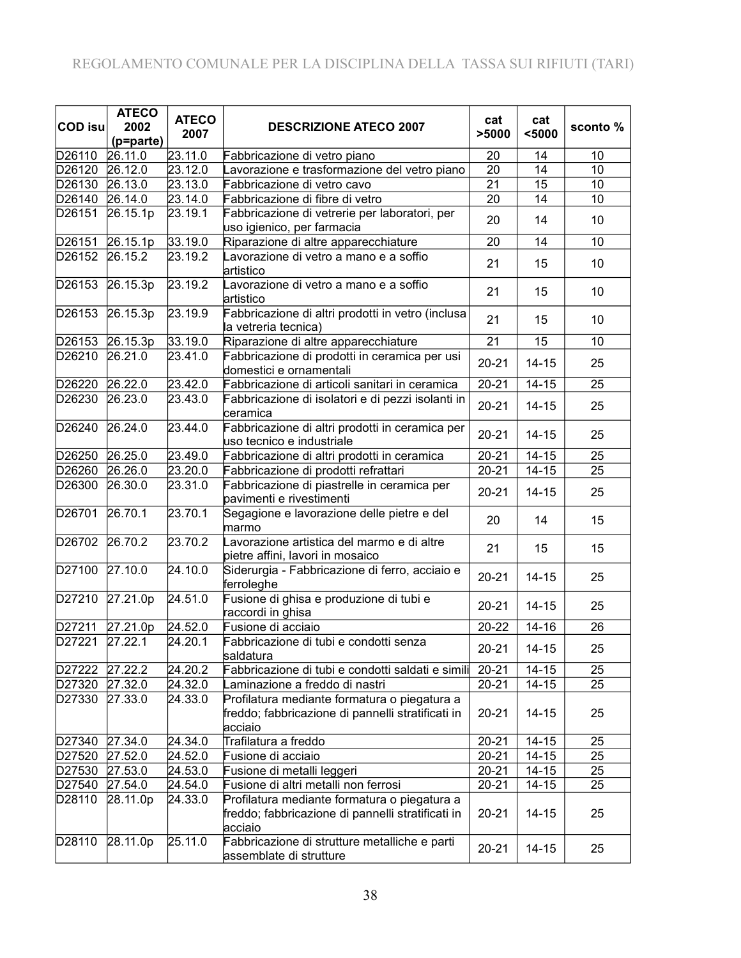| <b>COD isu</b>      | <b>ATECO</b><br>2002<br>(p=parte) | <b>ATECO</b><br>2007 | <b>DESCRIZIONE ATECO 2007</b>                                                                                | cat<br>>5000 | cat<br>$5000$   | sconto% |
|---------------------|-----------------------------------|----------------------|--------------------------------------------------------------------------------------------------------------|--------------|-----------------|---------|
| D26110              | 26.11.0                           | 23.11.0              | Fabbricazione di vetro piano                                                                                 | 20           | 14              | 10      |
| D26120              | 26.12.0                           | 23.12.0              | Lavorazione e trasformazione del vetro piano                                                                 | 20           | 14              | 10      |
| D <sub>26</sub> 130 | 26.13.0                           | 23.13.0              | Fabbricazione di vetro cavo                                                                                  | 21           | $\overline{15}$ | 10      |
| D26140              | 26.14.0                           | 23.14.0              | Fabbricazione di fibre di vetro                                                                              | 20           | 14              | 10      |
| D26151              | 26.15.1p                          | 23.19.1              | Fabbricazione di vetrerie per laboratori, per<br>uso igienico, per farmacia                                  | 20           | 14              | 10      |
| D26151              | 26.15.1p                          | 33.19.0              | Riparazione di altre apparecchiature                                                                         | 20           | 14              | 10      |
| D26152              | 26.15.2                           | 23.19.2              | Lavorazione di vetro a mano e a soffio<br>artistico                                                          | 21           | 15              | 10      |
| D26153              | 26.15.3p                          | 23.19.2              | Lavorazione di vetro a mano e a soffio<br>artistico                                                          | 21           | 15              | 10      |
| D26153              | 26.15.3p                          | 23.19.9              | Fabbricazione di altri prodotti in vetro (inclusa<br>la vetreria tecnica)                                    | 21           | 15              | 10      |
|                     | D26153 26.15.3p                   | 33.19.0              | Riparazione di altre apparecchiature                                                                         | 21           | 15              | 10      |
| D26210              | 26.21.0                           | 23.41.0              | Fabbricazione di prodotti in ceramica per usi<br>domestici e ornamentali                                     | $20 - 21$    | $14 - 15$       | 25      |
| D26220              | 26.22.0                           | 23.42.0              | Fabbricazione di articoli sanitari in ceramica                                                               | $20 - 21$    | $14 - 15$       | 25      |
| D26230              | 26.23.0                           | 23.43.0              | Fabbricazione di isolatori e di pezzi isolanti in<br>ceramica                                                | $20 - 21$    | $14 - 15$       | 25      |
| D26240              | 26.24.0                           | 23.44.0              | Fabbricazione di altri prodotti in ceramica per<br>uso tecnico e industriale                                 | $20 - 21$    | $14 - 15$       | 25      |
| D26250              | 26.25.0                           | 23.49.0              | Fabbricazione di altri prodotti in ceramica                                                                  | $20 - 21$    | $14 - 15$       | 25      |
| D26260              | 26.26.0                           | 23.20.0              | Fabbricazione di prodotti refrattari                                                                         | $20 - 21$    | $14 - 15$       | 25      |
| D26300              | 26.30.0                           | 23.31.0              | Fabbricazione di piastrelle in ceramica per<br>pavimenti e rivestimenti                                      | $20 - 21$    | $14 - 15$       | 25      |
| D26701              | 26.70.1                           | 23.70.1              | Segagione e lavorazione delle pietre e del<br>marmo                                                          | 20           | 14              | 15      |
| D26702              | 26.70.2                           | 23.70.2              | Lavorazione artistica del marmo e di altre<br>pietre affini, lavori in mosaico                               | 21           | 15              | 15      |
| D27100 27.10.0      |                                   | 24.10.0              | Siderurgia - Fabbricazione di ferro, acciaio e<br>ferroleghe                                                 | $20 - 21$    | $14 - 15$       | 25      |
| D27210              | 27.21.0p                          | 24.51.0              | Fusione di ghisa e produzione di tubi e<br>raccordi in ghisa                                                 | $20 - 21$    | $14 - 15$       | 25      |
| D27211              | 27.21.0p                          | 24.52.0              | Fusione di acciaio                                                                                           | 20-22        | $14 - 16$       | 26      |
| D27221              | 27.22.1                           | 24.20.1              | Fabbricazione di tubi e condotti senza<br>saldatura                                                          | $20 - 21$    | $14 - 15$       | 25      |
| D27222              | 27.22.2                           | 24.20.2              | Fabbricazione di tubi e condotti saldati e simili                                                            | $20 - 21$    | $14 - 15$       | 25      |
| D27320              | 27.32.0                           | 24.32.0              | Laminazione a freddo di nastri                                                                               | $20 - 21$    | $14 - 15$       | 25      |
| D27330              | 27.33.0                           | 24.33.0              | Profilatura mediante formatura o piegatura a<br>freddo; fabbricazione di pannelli stratificati in<br>acciaio | $20 - 21$    | $14 - 15$       | 25      |
| D27340              | 27.34.0                           | 24.34.0              | Trafilatura a freddo                                                                                         | $20 - 21$    | $14 - 15$       | 25      |
| D27520              | 27.52.0                           | 24.52.0              | Fusione di acciaio                                                                                           | $20 - 21$    | $14 - 15$       | 25      |
| D27530              | 27.53.0                           | 24.53.0              | Fusione di metalli leggeri                                                                                   | $20 - 21$    | $14 - 15$       | 25      |
| D27540              | 27.54.0                           | 24.54.0              | Fusione di altri metalli non ferrosi                                                                         | $20 - 21$    | $14 - 15$       | 25      |
| D28110              | 28.11.0p                          | 24.33.0              | Profilatura mediante formatura o piegatura a<br>freddo; fabbricazione di pannelli stratificati in<br>acciaio | $20 - 21$    | $14 - 15$       | 25      |
| D28110              | 28.11.0p                          | 25.11.0              | Fabbricazione di strutture metalliche e parti<br>assemblate di strutture                                     | $20 - 21$    | $14 - 15$       | 25      |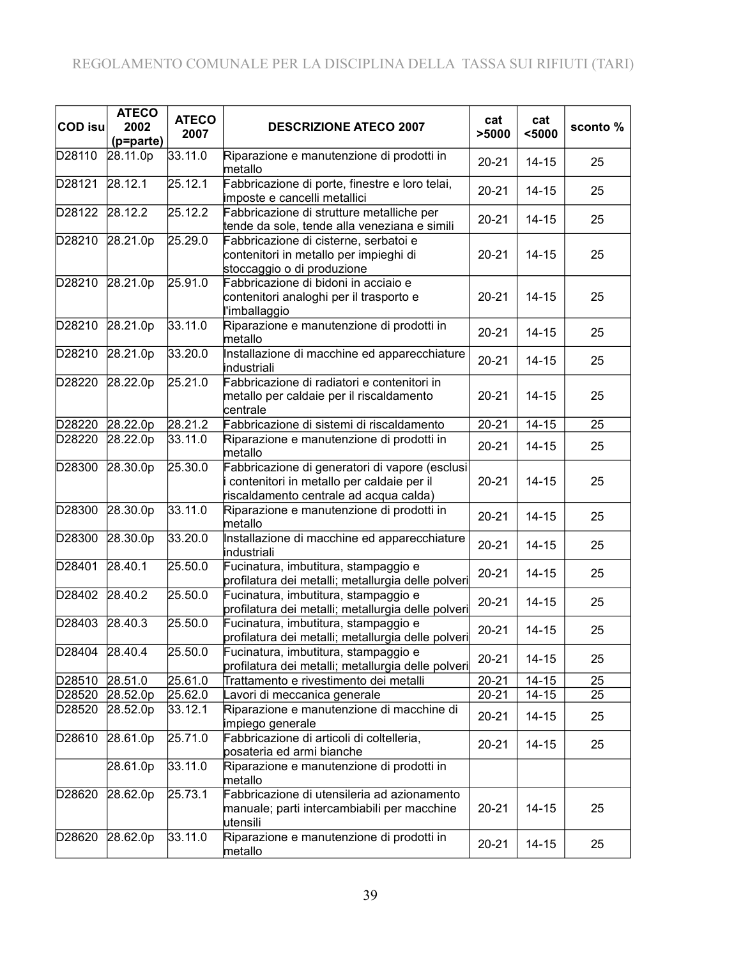| <b>COD isu</b> | <b>ATECO</b><br>2002<br>(p=parte) | <b>ATECO</b><br>2007 | <b>DESCRIZIONE ATECO 2007</b>                                                                                                         | cat<br>>5000 | cat<br>$5000$ | sconto % |
|----------------|-----------------------------------|----------------------|---------------------------------------------------------------------------------------------------------------------------------------|--------------|---------------|----------|
| D28110         | 28.11.0p                          | 33.11.0              | Riparazione e manutenzione di prodotti in<br>metallo                                                                                  | $20 - 21$    | $14 - 15$     | 25       |
| D28121         | 28.12.1                           | 25.12.1              | Fabbricazione di porte, finestre e loro telai,<br>imposte e cancelli metallici                                                        | $20 - 21$    | $14 - 15$     | 25       |
| D28122         | 28.12.2                           | 25.12.2              | Fabbricazione di strutture metalliche per<br>tende da sole, tende alla veneziana e simili                                             | $20 - 21$    | $14 - 15$     | 25       |
| D28210         | 28.21.0p                          | 25.29.0              | Fabbricazione di cisterne, serbatoi e<br>contenitori in metallo per impieghi di<br>stoccaggio o di produzione                         | $20 - 21$    | $14 - 15$     | 25       |
| D28210         | 28.21.0p                          | 25.91.0              | Fabbricazione di bidoni in acciaio e<br>contenitori analoghi per il trasporto e<br>l'imballaggio                                      | $20 - 21$    | $14 - 15$     | 25       |
| D28210         | 28.21.0p                          | 33.11.0              | Riparazione e manutenzione di prodotti in<br>metallo                                                                                  | $20 - 21$    | $14 - 15$     | 25       |
| D28210         | 28.21.0p                          | 33.20.0              | Installazione di macchine ed apparecchiature<br>industriali                                                                           | $20 - 21$    | $14 - 15$     | 25       |
| D28220         | 28.22.0p                          | 25.21.0              | Fabbricazione di radiatori e contenitori in<br>metallo per caldaie per il riscaldamento<br>centrale                                   | $20 - 21$    | $14 - 15$     | 25       |
| D28220         | 28.22.0p                          | 28.21.2              | Fabbricazione di sistemi di riscaldamento                                                                                             | $20 - 21$    | $14 - 15$     | 25       |
| D28220         | 28.22.0p                          | 33.11.0              | Riparazione e manutenzione di prodotti in<br>metallo                                                                                  | $20 - 21$    | $14 - 15$     | 25       |
| D28300         | 28.30.0p                          | 25.30.0              | Fabbricazione di generatori di vapore (esclusi<br>contenitori in metallo per caldaie per il<br>riscaldamento centrale ad acqua calda) | $20 - 21$    | $14 - 15$     | 25       |
| D28300         | 28.30.0p                          | 33.11.0              | Riparazione e manutenzione di prodotti in<br>metallo                                                                                  | $20 - 21$    | $14 - 15$     | 25       |
| D28300         | 28.30.0p                          | 33.20.0              | Installazione di macchine ed apparecchiature<br>industriali                                                                           | $20 - 21$    | $14 - 15$     | 25       |
| D28401         | 28.40.1                           | 25.50.0              | Fucinatura, imbutitura, stampaggio e<br>profilatura dei metalli; metallurgia delle polveri                                            | $20 - 21$    | $14 - 15$     | 25       |
| D28402         | 28.40.2                           | 25.50.0              | Fucinatura, imbutitura, stampaggio e<br>profilatura dei metalli; metallurgia delle polveri                                            | $20 - 21$    | $14 - 15$     | 25       |
| D28403         | 28.40.3                           | 25.50.0              | Fucinatura, imbutitura, stampaggio e<br>profilatura dei metalli; metallurgia delle polveri                                            | $20 - 21$    | $14 - 15$     | 25       |
| D28404         | 28.40.4                           | 25.50.0              | Fucinatura, imbutitura, stampaggio e<br>profilatura dei metalli; metallurgia delle polveri                                            | $20 - 21$    | $14 - 15$     | 25       |
| D28510         | 28.51.0                           | 25.61.0              | Trattamento e rivestimento dei metalli                                                                                                | $20 - 21$    | $14 - 15$     | 25       |
| D28520         | 28.52.0p                          | 25.62.0              | Lavori di meccanica generale                                                                                                          | $20 - 21$    | $14 - 15$     | 25       |
| D28520         | 28.52.0p                          | 33.12.1              | Riparazione e manutenzione di macchine di<br>impiego generale                                                                         | $20 - 21$    | $14 - 15$     | 25       |
| D28610         | 28.61.0p                          | 25.71.0              | Fabbricazione di articoli di coltelleria,<br>posateria ed armi bianche                                                                | $20 - 21$    | $14 - 15$     | 25       |
|                | 28.61.0p                          | 33.11.0              | Riparazione e manutenzione di prodotti in<br>metallo                                                                                  |              |               |          |
| D28620         | 28.62.0p                          | 25.73.1              | Fabbricazione di utensileria ad azionamento<br>manuale; parti intercambiabili per macchine<br>utensili                                | $20 - 21$    | $14 - 15$     | 25       |
| D28620         | 28.62.0p                          | 33.11.0              | Riparazione e manutenzione di prodotti in<br>metallo                                                                                  | $20 - 21$    | $14 - 15$     | 25       |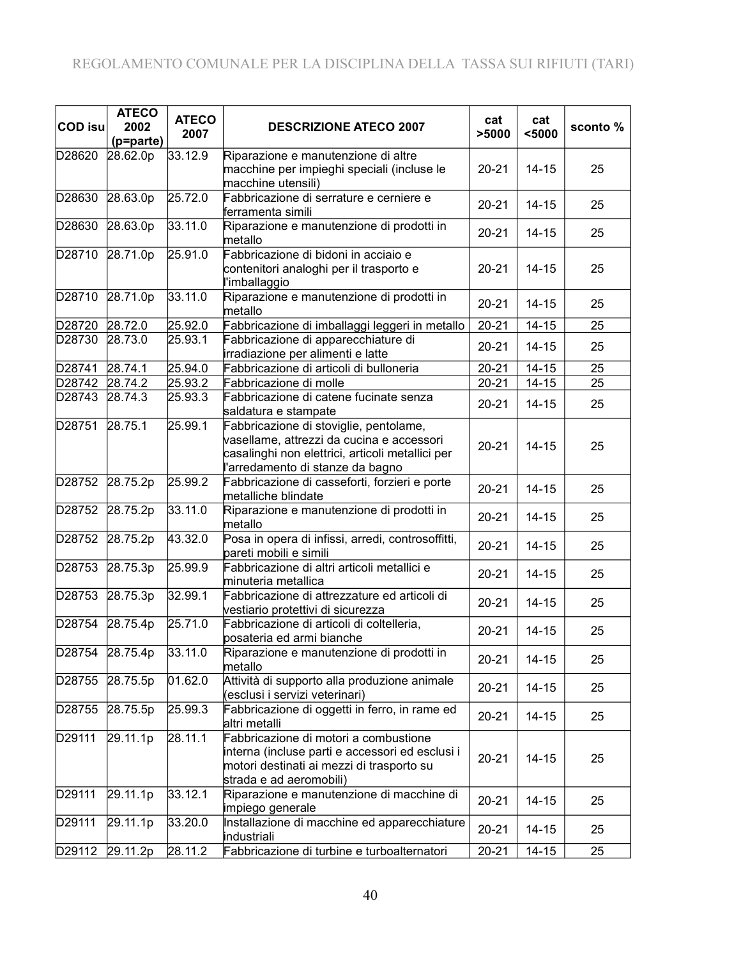| <b>COD isu</b>     | <b>ATECO</b><br>2002  | <b>ATECO</b><br>2007 | <b>DESCRIZIONE ATECO 2007</b>                                                                                                                                               | cat<br>>5000 | cat<br>$5000$ | sconto% |
|--------------------|-----------------------|----------------------|-----------------------------------------------------------------------------------------------------------------------------------------------------------------------------|--------------|---------------|---------|
| D28620             | (p=parte)<br>28.62.0p | 33.12.9              | Riparazione e manutenzione di altre                                                                                                                                         |              |               |         |
|                    |                       |                      | macchine per impieghi speciali (incluse le<br>macchine utensili)                                                                                                            | $20 - 21$    | $14 - 15$     | 25      |
| D28630             | 28.63.0p              | 25.72.0              | Fabbricazione di serrature e cerniere e<br>ferramenta simili                                                                                                                | $20 - 21$    | $14 - 15$     | 25      |
| D28630             | 28.63.0p              | 33.11.0              | Riparazione e manutenzione di prodotti in<br>metallo                                                                                                                        | $20 - 21$    | $14 - 15$     | 25      |
| D28710             | 28.71.0p              | 25.91.0              | Fabbricazione di bidoni in acciaio e<br>contenitori analoghi per il trasporto e<br>l'imballaggio                                                                            | $20 - 21$    | $14 - 15$     | 25      |
| D28710             | 28.71.0p              | 33.11.0              | Riparazione e manutenzione di prodotti in<br>metallo                                                                                                                        | $20 - 21$    | $14 - 15$     | 25      |
| D28720             | 28.72.0               | 25.92.0              | Fabbricazione di imballaggi leggeri in metallo                                                                                                                              | $20 - 21$    | $14 - 15$     | 25      |
| D28730             | 28.73.0               | 25.93.1              | Fabbricazione di apparecchiature di<br>irradiazione per alimenti e latte                                                                                                    | $20 - 21$    | $14 - 15$     | 25      |
| D28741             | 28.74.1               | 25.94.0              | Fabbricazione di articoli di bulloneria                                                                                                                                     | $20 - 21$    | $14 - 15$     | 25      |
| D28742             | 28.74.2               | 25.93.2              | Fabbricazione di molle                                                                                                                                                      | $20 - 21$    | $14 - 15$     | 25      |
| D28743             | 28.74.3               | 25.93.3              | Fabbricazione di catene fucinate senza<br>saldatura e stampate                                                                                                              | $20 - 21$    | $14 - 15$     | 25      |
| D28751             | 28.75.1               | 25.99.1              | Fabbricazione di stoviglie, pentolame,<br>vasellame, attrezzi da cucina e accessori<br>casalinghi non elettrici, articoli metallici per<br>l'arredamento di stanze da bagno | $20 - 21$    | $14 - 15$     | 25      |
| D28752             | 28.75.2p              | 25.99.2              | Fabbricazione di casseforti, forzieri e porte<br>metalliche blindate                                                                                                        | $20 - 21$    | $14 - 15$     | 25      |
| D28752             | 28.75.2p              | 33.11.0              | Riparazione e manutenzione di prodotti in<br>metallo                                                                                                                        | $20 - 21$    | $14 - 15$     | 25      |
| D28752             | 28.75.2p              | 43.32.0              | Posa in opera di infissi, arredi, controsoffitti,<br>pareti mobili e simili                                                                                                 | $20 - 21$    | $14 - 15$     | 25      |
| D28753             | 28.75.3p              | 25.99.9              | Fabbricazione di altri articoli metallici e<br>minuteria metallica                                                                                                          | $20 - 21$    | $14 - 15$     | 25      |
| D28753             | 28.75.3p              | 32.99.1              | Fabbricazione di attrezzature ed articoli di<br>vestiario protettivi di sicurezza                                                                                           | $20 - 21$    | $14 - 15$     | 25      |
| D28754             | 28.75.4p              | 25.71.0              | Fabbricazione di articoli di coltelleria,<br>posateria ed armi bianche                                                                                                      | $20 - 21$    | $14 - 15$     | 25      |
| D28754             | 28.75.4p              | 33.11.0              | Riparazione e manutenzione di prodotti in<br>metallo                                                                                                                        | $20 - 21$    | $14 - 15$     | 25      |
| D28755             | 28.75.5p              | 01.62.0              | Attività di supporto alla produzione animale<br>(esclusi i servizi veterinari)                                                                                              | $20 - 21$    | $14 - 15$     | 25      |
| D28755             | 28.75.5p              | 25.99.3              | Fabbricazione di oggetti in ferro, in rame ed<br>altri metalli                                                                                                              | $20 - 21$    | $14 - 15$     | 25      |
| D29111             | 29.11.1p              | 28.11.1              | Fabbricazione di motori a combustione<br>interna (incluse parti e accessori ed esclusi i<br>motori destinati ai mezzi di trasporto su<br>strada e ad aeromobili)            | $20 - 21$    | $14 - 15$     | 25      |
| D <sub>29111</sub> | 29.11.1p              | 33.12.1              | Riparazione e manutenzione di macchine di<br>impiego generale                                                                                                               | $20 - 21$    | $14 - 15$     | 25      |
| D29111             | 29.11.1p              | 33.20.0              | Installazione di macchine ed apparecchiature<br>industriali                                                                                                                 | $20 - 21$    | $14 - 15$     | 25      |
| D29112             | 29.11.2p              | 28.11.2              | Fabbricazione di turbine e turboalternatori                                                                                                                                 | $20 - 21$    | $14 - 15$     | 25      |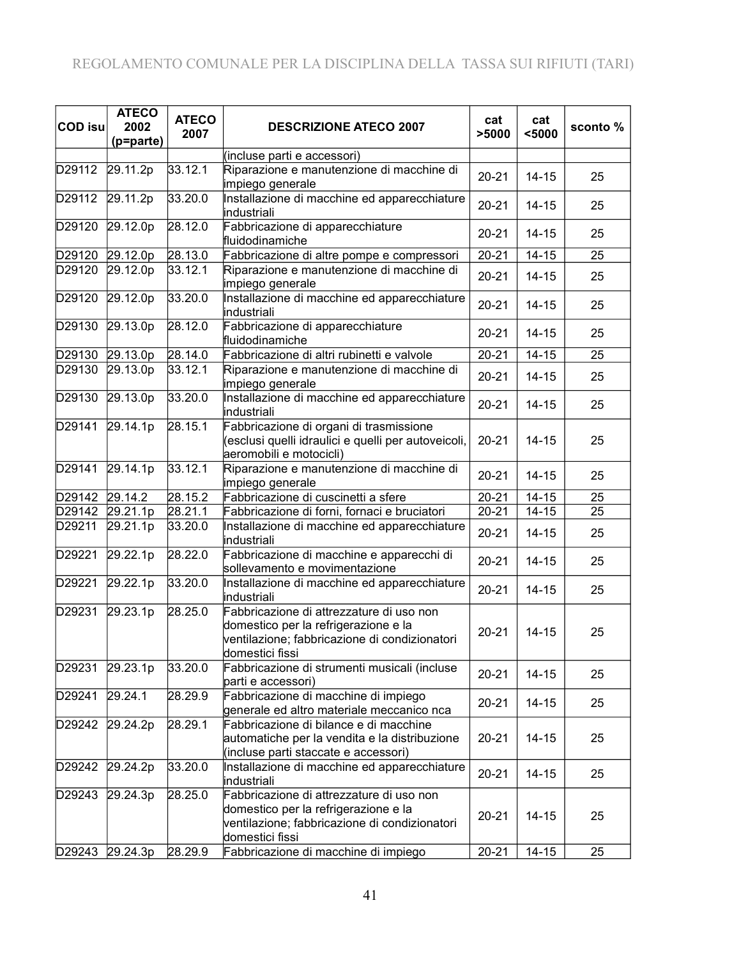| <b>COD isu</b> | <b>ATECO</b><br>2002<br>(p=parte) | <b>ATECO</b><br>2007 | <b>DESCRIZIONE ATECO 2007</b>                                                                                                                        | cat<br>>5000 | cat<br>$5000$      | sconto% |
|----------------|-----------------------------------|----------------------|------------------------------------------------------------------------------------------------------------------------------------------------------|--------------|--------------------|---------|
|                |                                   |                      | (incluse parti e accessori)                                                                                                                          |              |                    |         |
| D29112         | 29.11.2p                          | 33.12.1              | Riparazione e manutenzione di macchine di<br>impiego generale                                                                                        | $20 - 21$    | $14 - 15$          | 25      |
| D29112         | 29.11.2p                          | 33.20.0              | Installazione di macchine ed apparecchiature<br>industriali                                                                                          | $20 - 21$    | $14 - 15$          | 25      |
| D29120         | 29.12.0p                          | 28.12.0              | Fabbricazione di apparecchiature<br>fluidodinamiche                                                                                                  | $20 - 21$    | $14 - 15$          | 25      |
| D29120         | 29.12.0p                          | 28.13.0              | Fabbricazione di altre pompe e compressori                                                                                                           | $20 - 21$    | $14 - 15$          | 25      |
| D29120         | 29.12.0p                          | 33.12.1              | Riparazione e manutenzione di macchine di<br>impiego generale                                                                                        | $20 - 21$    | $14 - 15$          | 25      |
| D29120         | 29.12.0 <sub>p</sub>              | 33.20.0              | Installazione di macchine ed apparecchiature<br>industriali                                                                                          | $20 - 21$    | $14 - 15$          | 25      |
| D29130         | 29.13.0p                          | 28.12.0              | Fabbricazione di apparecchiature<br>fluidodinamiche                                                                                                  | $20 - 21$    | $14 - 15$          | 25      |
| D29130         | 29.13.0p                          | 28.14.0              | Fabbricazione di altri rubinetti e valvole                                                                                                           | $20 - 21$    | $14 - 15$          | 25      |
| D29130         | 29.13.0p                          | 33.12.1              | Riparazione e manutenzione di macchine di<br>impiego generale                                                                                        | $20 - 21$    | $14 - 15$          | 25      |
| D29130         | 29.13.0p                          | 33.20.0              | Installazione di macchine ed apparecchiature<br>industriali                                                                                          | $20 - 21$    | $14 - 15$          | 25      |
| D29141         | 29.14.1p                          | 28.15.1              | Fabbricazione di organi di trasmissione<br>(esclusi quelli idraulici e quelli per autoveicoli,<br>aeromobili e motocicli)                            | $20 - 21$    | $14 - 15$          | 25      |
| D29141         | 29.14.1p                          | 33.12.1              | Riparazione e manutenzione di macchine di<br>impiego generale                                                                                        | $20 - 21$    | $14 - 15$          | 25      |
| D29142         | 29.14.2                           | 28.15.2              | Fabbricazione di cuscinetti a sfere                                                                                                                  | $20 - 21$    | $\overline{14-15}$ | 25      |
| D29142         | 29.21.1p                          | 28.21.1              | Fabbricazione di forni, fornaci e bruciatori                                                                                                         | $20 - 21$    | $14 - 15$          | 25      |
| D29211         | 29.21.1p                          | 33.20.0              | Installazione di macchine ed apparecchiature<br>industriali                                                                                          | $20 - 21$    | $14 - 15$          | 25      |
| D29221         | 29.22.1p                          | 28.22.0              | Fabbricazione di macchine e apparecchi di<br>sollevamento e movimentazione                                                                           | $20 - 21$    | $14 - 15$          | 25      |
| D29221         | 29.22.1p                          | 33.20.0              | Installazione di macchine ed apparecchiature<br>industriali                                                                                          | $20 - 21$    | $14 - 15$          | 25      |
| D29231         | 29.23.1p                          | 28.25.0              | Fabbricazione di attrezzature di uso non<br>domestico per la refrigerazione e la<br>ventilazione; fabbricazione di condizionatori<br>domestici fissi | $20 - 21$    | $14 - 15$          | 25      |
| D29231         | 29.23.1p                          | 33.20.0              | Fabbricazione di strumenti musicali (incluse<br>parti e accessori)                                                                                   | $20 - 21$    | $14 - 15$          | 25      |
| D29241         | 29.24.1                           | 28.29.9              | Fabbricazione di macchine di impiego<br>generale ed altro materiale meccanico nca                                                                    | $20 - 21$    | $14 - 15$          | 25      |
| D29242         | 29.24.2p                          | 28.29.1              | Fabbricazione di bilance e di macchine<br>automatiche per la vendita e la distribuzione<br>(incluse parti staccate e accessori)                      | $20 - 21$    | $14 - 15$          | 25      |
| D29242         | 29.24.2p                          | 33.20.0              | Installazione di macchine ed apparecchiature<br>industriali                                                                                          | $20 - 21$    | $14 - 15$          | 25      |
| D29243         | 29.24.3p                          | 28.25.0              | Fabbricazione di attrezzature di uso non<br>domestico per la refrigerazione e la<br>ventilazione; fabbricazione di condizionatori<br>domestici fissi | $20 - 21$    | $14 - 15$          | 25      |
| D29243         | 29.24.3p                          | 28.29.9              | Fabbricazione di macchine di impiego                                                                                                                 | $20 - 21$    | $14 - 15$          | 25      |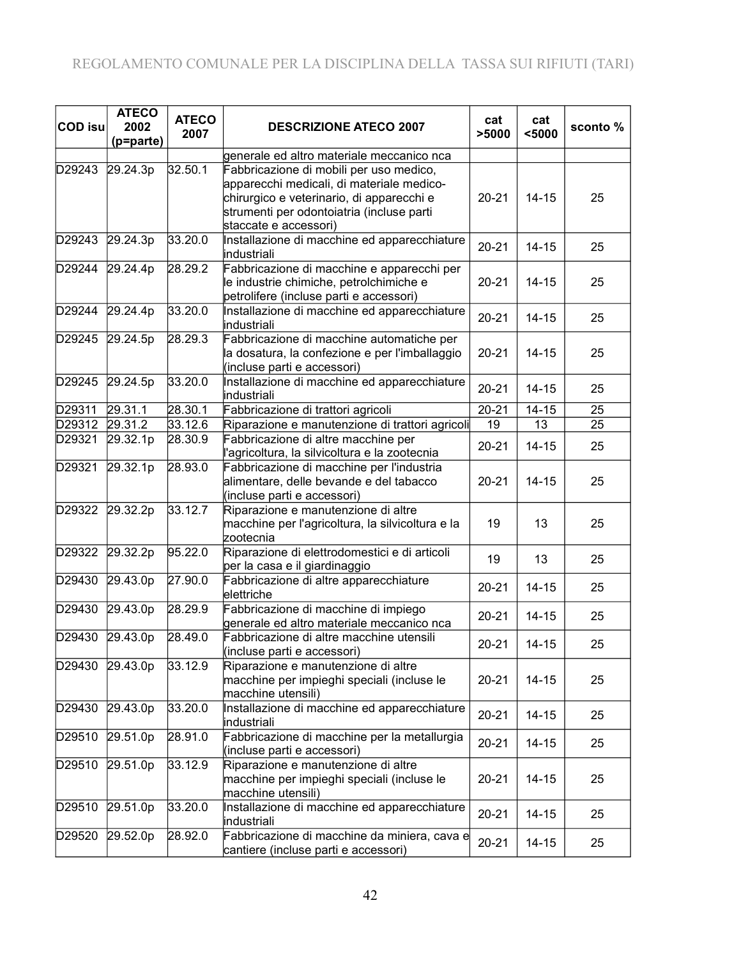| <b>COD isu</b> | <b>ATECO</b><br>2002<br>(p=parte) | <b>ATECO</b><br>2007 | <b>DESCRIZIONE ATECO 2007</b>                                                                                                                                                                           | cat<br>>5000 | cat<br>$5000$ | sconto % |
|----------------|-----------------------------------|----------------------|---------------------------------------------------------------------------------------------------------------------------------------------------------------------------------------------------------|--------------|---------------|----------|
|                |                                   |                      | generale ed altro materiale meccanico nca                                                                                                                                                               |              |               |          |
| D29243         | 29.24.3p                          | 32.50.1              | Fabbricazione di mobili per uso medico,<br>apparecchi medicali, di materiale medico-<br>chirurgico e veterinario, di apparecchi e<br>strumenti per odontoiatria (incluse parti<br>staccate e accessori) | $20 - 21$    | $14 - 15$     | 25       |
| D29243         | 29.24.3p                          | 33.20.0              | Installazione di macchine ed apparecchiature<br>industriali                                                                                                                                             | $20 - 21$    | $14 - 15$     | 25       |
| D29244         | 29.24.4p                          | 28.29.2              | Fabbricazione di macchine e apparecchi per<br>le industrie chimiche, petrolchimiche e<br>petrolifere (incluse parti e accessori)                                                                        | $20 - 21$    | $14 - 15$     | 25       |
| D29244         | 29.24.4p                          | 33.20.0              | Installazione di macchine ed apparecchiature<br>industriali                                                                                                                                             | $20 - 21$    | $14 - 15$     | 25       |
| D29245         | 29.24.5p                          | 28.29.3              | Fabbricazione di macchine automatiche per<br>la dosatura, la confezione e per l'imballaggio<br>(incluse parti e accessori)                                                                              | $20 - 21$    | $14 - 15$     | 25       |
| D29245         | 29.24.5p                          | 33.20.0              | Installazione di macchine ed apparecchiature<br>industriali                                                                                                                                             | $20 - 21$    | $14 - 15$     | 25       |
| D29311         | 29.31.1                           | 28.30.1              | Fabbricazione di trattori agricoli                                                                                                                                                                      | $20 - 21$    | $14 - 15$     | 25       |
| D29312         | 29.31.2                           | 33.12.6              | Riparazione e manutenzione di trattori agricoli                                                                                                                                                         | 19           | 13            | 25       |
| D29321         | 29.32.1p                          | 28.30.9              | Fabbricazione di altre macchine per<br>l'agricoltura, la silvicoltura e la zootecnia                                                                                                                    | $20 - 21$    | $14 - 15$     | 25       |
| D29321         | 29.32.1p                          | 28.93.0              | Fabbricazione di macchine per l'industria<br>alimentare, delle bevande e del tabacco<br>(incluse parti e accessori)                                                                                     | $20 - 21$    | $14 - 15$     | 25       |
| D29322         | 29.32.2p                          | 33.12.7              | Riparazione e manutenzione di altre<br>macchine per l'agricoltura, la silvicoltura e la<br>zootecnia                                                                                                    | 19           | 13            | 25       |
| D29322         | 29.32.2p                          | 95.22.0              | Riparazione di elettrodomestici e di articoli<br>per la casa e il giardinaggio                                                                                                                          | 19           | 13            | 25       |
| D29430         | 29.43.0p                          | 27.90.0              | Fabbricazione di altre apparecchiature<br>elettriche                                                                                                                                                    | $20 - 21$    | $14 - 15$     | 25       |
| D29430         | 29.43.0p                          | 28.29.9              | Fabbricazione di macchine di impiego<br>generale ed altro materiale meccanico nca                                                                                                                       | $20 - 21$    | $14 - 15$     | 25       |
| D29430         | 29.43.0p                          | 28.49.0              | Fabbricazione di altre macchine utensili<br>(incluse parti e accessori)                                                                                                                                 | $20 - 21$    | $14 - 15$     | 25       |
| D29430         | 29.43.0p                          | 33.12.9              | Riparazione e manutenzione di altre<br>macchine per impieghi speciali (incluse le<br>macchine utensili)                                                                                                 | $20 - 21$    | $14 - 15$     | 25       |
| D29430         | 29.43.0p                          | 33.20.0              | Installazione di macchine ed apparecchiature<br>industriali                                                                                                                                             | $20 - 21$    | $14 - 15$     | 25       |
| D29510         | 29.51.0p                          | 28.91.0              | Fabbricazione di macchine per la metallurgia<br>(incluse parti e accessori)                                                                                                                             | $20 - 21$    | $14 - 15$     | 25       |
| D29510         | 29.51.0p                          | 33.12.9              | Riparazione e manutenzione di altre<br>macchine per impieghi speciali (incluse le<br>macchine utensili)                                                                                                 | $20 - 21$    | $14 - 15$     | 25       |
| D29510         | 29.51.0p                          | 33.20.0              | Installazione di macchine ed apparecchiature<br>industriali                                                                                                                                             | $20 - 21$    | $14 - 15$     | 25       |
| D29520         | 29.52.0p                          | 28.92.0              | Fabbricazione di macchine da miniera, cava e<br>cantiere (incluse parti e accessori)                                                                                                                    | $20 - 21$    | $14 - 15$     | 25       |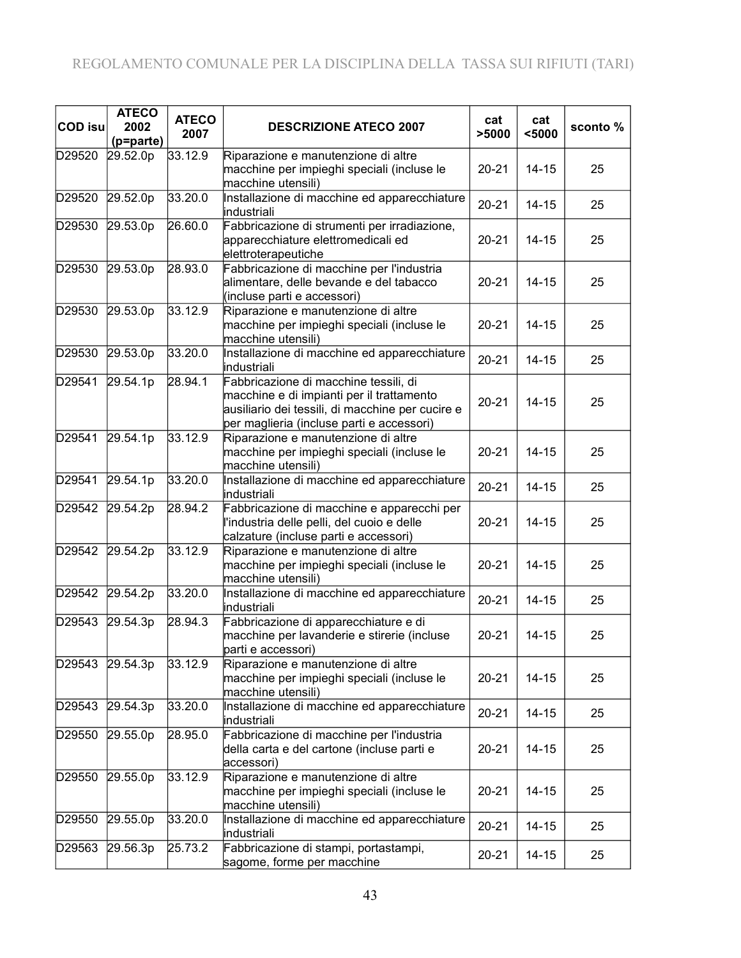| <b>COD isu</b> | <b>ATECO</b><br>2002  | <b>ATECO</b><br>2007 | <b>DESCRIZIONE ATECO 2007</b>                                                                                                                                                       | cat<br>>5000 | cat<br>$5000$ | sconto% |
|----------------|-----------------------|----------------------|-------------------------------------------------------------------------------------------------------------------------------------------------------------------------------------|--------------|---------------|---------|
| D29520         | (p=parte)<br>29.52.0p | 33.12.9              | Riparazione e manutenzione di altre<br>macchine per impieghi speciali (incluse le                                                                                                   | $20 - 21$    | $14 - 15$     | 25      |
| D29520         | 29.52.0p              | 33.20.0              | macchine utensili)<br>Installazione di macchine ed apparecchiature<br>industriali                                                                                                   | $20 - 21$    | $14 - 15$     | 25      |
| D29530         | 29.53.0p              | 26.60.0              | Fabbricazione di strumenti per irradiazione,<br>apparecchiature elettromedicali ed<br>elettroterapeutiche                                                                           | $20 - 21$    | $14 - 15$     | 25      |
| D29530         | 29.53.0p              | 28.93.0              | Fabbricazione di macchine per l'industria<br>alimentare, delle bevande e del tabacco<br>(incluse parti e accessori)                                                                 | $20 - 21$    | $14 - 15$     | 25      |
| D29530         | 29.53.0p              | 33.12.9              | Riparazione e manutenzione di altre<br>macchine per impieghi speciali (incluse le<br>macchine utensili)                                                                             | $20 - 21$    | $14 - 15$     | 25      |
| D29530         | 29.53.0p              | 33.20.0              | Installazione di macchine ed apparecchiature<br>industriali                                                                                                                         | $20 - 21$    | $14 - 15$     | 25      |
| D29541         | 29.54.1p              | 28.94.1              | Fabbricazione di macchine tessili, di<br>macchine e di impianti per il trattamento<br>ausiliario dei tessili, di macchine per cucire e<br>per maglieria (incluse parti e accessori) | $20 - 21$    | $14 - 15$     | 25      |
| D29541         | 29.54.1p              | 33.12.9              | Riparazione e manutenzione di altre<br>macchine per impieghi speciali (incluse le<br>macchine utensili)                                                                             | $20 - 21$    | $14 - 15$     | 25      |
| D29541         | 29.54.1p              | 33.20.0              | Installazione di macchine ed apparecchiature<br>industriali                                                                                                                         | $20 - 21$    | $14 - 15$     | 25      |
| D29542         | 29.54.2p              | 28.94.2              | Fabbricazione di macchine e apparecchi per<br>l'industria delle pelli, del cuoio e delle<br>calzature (incluse parti e accessori)                                                   | $20 - 21$    | $14 - 15$     | 25      |
| D29542         | 29.54.2p              | 33.12.9              | Riparazione e manutenzione di altre<br>macchine per impieghi speciali (incluse le<br>macchine utensili)                                                                             | $20 - 21$    | $14 - 15$     | 25      |
| D29542         | 29.54.2p              | 33.20.0              | Installazione di macchine ed apparecchiature<br>industriali                                                                                                                         | $20 - 21$    | $14 - 15$     | 25      |
| D29543         | 29.54.3p              | 28.94.3              | Fabbricazione di apparecchiature e di<br>macchine per lavanderie e stirerie (incluse<br>parti e accessori)                                                                          | $20 - 21$    | $14 - 15$     | 25      |
| D29543         | 29.54.3p              | 33.12.9              | Riparazione e manutenzione di altre<br>macchine per impieghi speciali (incluse le<br>macchine utensili)                                                                             | $20 - 21$    | $14 - 15$     | 25      |
| D29543         | 29.54.3p              | 33.20.0              | Installazione di macchine ed apparecchiature<br>industriali                                                                                                                         | $20 - 21$    | $14 - 15$     | 25      |
| D29550         | 29.55.0p              | 28.95.0              | Fabbricazione di macchine per l'industria<br>della carta e del cartone (incluse parti e<br>accessori)                                                                               | $20 - 21$    | 14-15         | 25      |
| D29550         | 29.55.0p              | 33.12.9              | Riparazione e manutenzione di altre<br>macchine per impieghi speciali (incluse le<br>macchine utensili)                                                                             | $20 - 21$    | $14 - 15$     | 25      |
| D29550         | 29.55.0p              | 33.20.0              | Installazione di macchine ed apparecchiature<br>industriali                                                                                                                         | $20 - 21$    | $14 - 15$     | 25      |
| D29563         | 29.56.3p              | 25.73.2              | Fabbricazione di stampi, portastampi,<br>sagome, forme per macchine                                                                                                                 | $20 - 21$    | $14 - 15$     | 25      |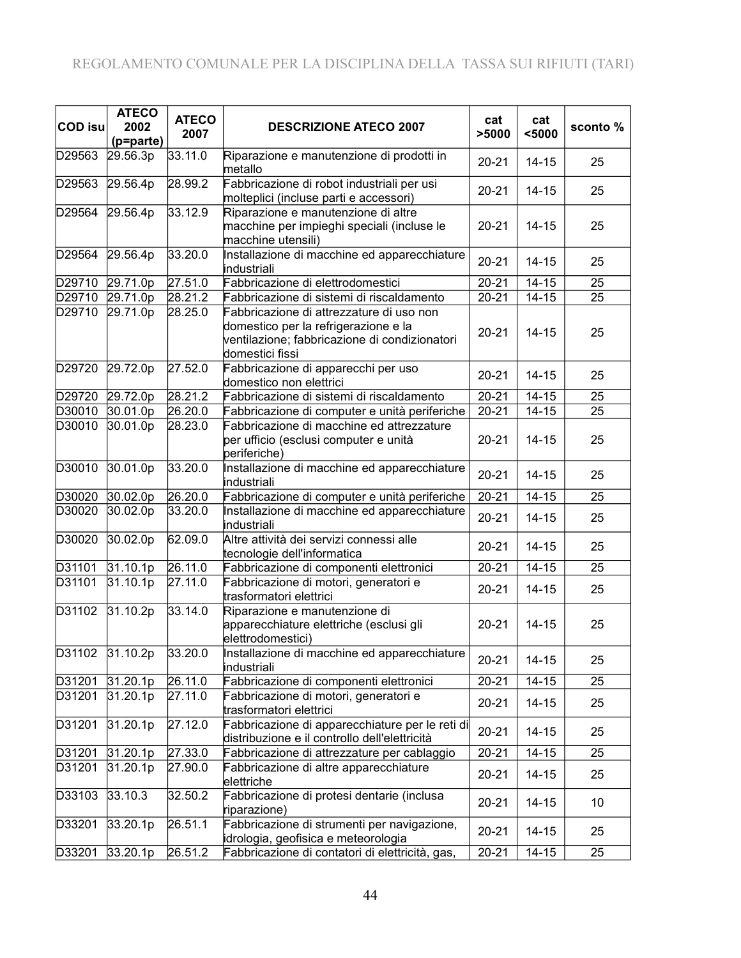| <b>COD isu</b> | <b>ATECO</b><br>2002<br>(p=parte) | <b>ATECO</b><br>2007 | <b>DESCRIZIONE ATECO 2007</b>                                                                                                                        | cat<br>>5000 | cat<br>$5000$ | sconto% |
|----------------|-----------------------------------|----------------------|------------------------------------------------------------------------------------------------------------------------------------------------------|--------------|---------------|---------|
| D29563         | 29.56.3p                          | 33.11.0              | Riparazione e manutenzione di prodotti in<br>metallo                                                                                                 | $20 - 21$    | $14 - 15$     | 25      |
| D29563         | 29.56.4p                          | 28.99.2              | Fabbricazione di robot industriali per usi<br>molteplici (incluse parti e accessori)                                                                 | $20 - 21$    | $14 - 15$     | 25      |
| D29564         | 29.56.4p                          | 33.12.9              | Riparazione e manutenzione di altre<br>macchine per impieghi speciali (incluse le<br>macchine utensili)                                              | $20 - 21$    | $14 - 15$     | 25      |
| D29564         | 29.56.4p                          | 33.20.0              | Installazione di macchine ed apparecchiature<br>industriali                                                                                          | $20 - 21$    | $14 - 15$     | 25      |
| D29710         | 29.71.0p                          | 27.51.0              | Fabbricazione di elettrodomestici                                                                                                                    | $20 - 21$    | $14 - 15$     | 25      |
| D29710         | 29.71.0p                          | 28.21.2              | Fabbricazione di sistemi di riscaldamento                                                                                                            | $20 - 21$    | $14 - 15$     | 25      |
| D29710         | 29.71.0p                          | 28.25.0              | Fabbricazione di attrezzature di uso non<br>domestico per la refrigerazione e la<br>ventilazione; fabbricazione di condizionatori<br>domestici fissi | $20 - 21$    | $14 - 15$     | 25      |
| D29720         | 29.72.0p                          | 27.52.0              | Fabbricazione di apparecchi per uso<br>domestico non elettrici                                                                                       | $20 - 21$    | $14 - 15$     | 25      |
| D29720         | 29.72.0p                          | $28.21.\overline{2}$ | Fabbricazione di sistemi di riscaldamento                                                                                                            | $20 - 21$    | $14 - 15$     | 25      |
| D30010         | 30.01.0p                          | 26.20.0              | Fabbricazione di computer e unità periferiche                                                                                                        | $20 - 21$    | $14 - 15$     | 25      |
| D30010         | 30.01.0p                          | 28.23.0              | Fabbricazione di macchine ed attrezzature<br>per ufficio (esclusi computer e unità<br>periferiche)                                                   | $20 - 21$    | $14 - 15$     | 25      |
| D30010         | 30.01.0p                          | 33.20.0              | Installazione di macchine ed apparecchiature<br>industriali                                                                                          | $20 - 21$    | $14 - 15$     | 25      |
| D30020         | 30.02.0p                          | 26.20.0              | Fabbricazione di computer e unità periferiche                                                                                                        | $20 - 21$    | $14 - 15$     | 25      |
| D30020         | 30.02.0p                          | 33.20.0              | Installazione di macchine ed apparecchiature<br>industriali                                                                                          | $20 - 21$    | $14 - 15$     | 25      |
| D30020         | 30.02.0p                          | 62.09.0              | Altre attività dei servizi connessi alle<br>tecnologie dell'informatica                                                                              | $20 - 21$    | $14 - 15$     | 25      |
| D31101         | 31.10.1p                          | 26.11.0              | Fabbricazione di componenti elettronici                                                                                                              | $20 - 21$    | $14 - 15$     | 25      |
| D31101         | 31.10.1p                          | 27.11.0              | Fabbricazione di motori, generatori e<br>trasformatori elettrici                                                                                     | $20 - 21$    | $14 - 15$     | 25      |
| D31102         | 31.10.2p                          | 33.14.0              | Riparazione e manutenzione di<br>apparecchiature elettriche (esclusi gli<br>elettrodomestici)                                                        | $20 - 21$    | $14 - 15$     | 25      |
| D31102         | 31.10.2p                          | 33.20.0              | Installazione di macchine ed apparecchiature<br>industriali                                                                                          | $20 - 21$    | $14 - 15$     | 25      |
| D31201         | 31.20.1p                          | 26.11.0              | Fabbricazione di componenti elettronici                                                                                                              | $20 - 21$    | $14 - 15$     | 25      |
| D31201         | 31.20.1p                          | 27.11.0              | Fabbricazione di motori, generatori e<br>trasformatori elettrici                                                                                     | $20 - 21$    | $14 - 15$     | 25      |
| D31201         | 31.20.1p                          | 27.12.0              | Fabbricazione di apparecchiature per le reti di<br>distribuzione e il controllo dell'elettricità                                                     | $20 - 21$    | $14 - 15$     | 25      |
| D31201         | 31.20.1p                          | 27.33.0              | Fabbricazione di attrezzature per cablaggio                                                                                                          | $20 - 21$    | $14 - 15$     | 25      |
| D31201         | 31.20.1p                          | 27.90.0              | Fabbricazione di altre apparecchiature<br>elettriche                                                                                                 | $20 - 21$    | $14 - 15$     | 25      |
| D33103         | 33.10.3                           | 32.50.2              | Fabbricazione di protesi dentarie (inclusa<br>riparazione)                                                                                           | $20 - 21$    | $14 - 15$     | 10      |
| D33201         | 33.20.1p                          | 26.51.1              | Fabbricazione di strumenti per navigazione,<br>idrologia, geofisica e meteorologia                                                                   | $20 - 21$    | $14 - 15$     | 25      |
| D33201         | 33.20.1p                          | 26.51.2              | Fabbricazione di contatori di elettricità, gas,                                                                                                      | $20 - 21$    | $14 - 15$     | 25      |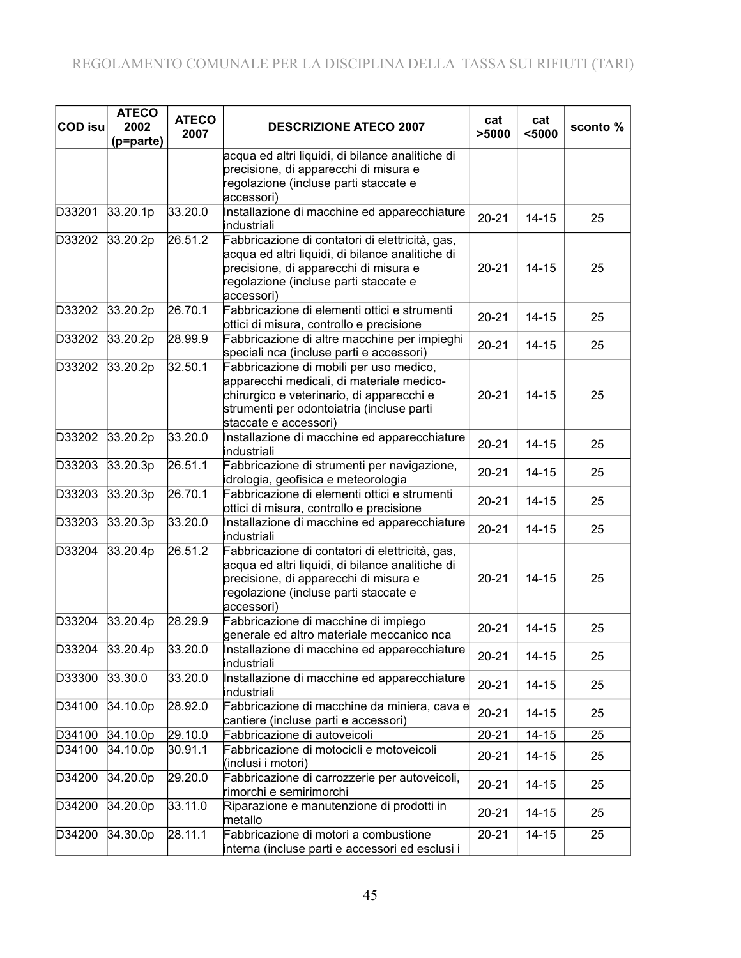| <b>COD isu</b> | <b>ATECO</b><br>2002<br>(p=parte) | <b>ATECO</b><br>2007 | <b>DESCRIZIONE ATECO 2007</b>                                                                                                                                                                           | cat<br>>5000 | cat<br>$5000$ | sconto% |
|----------------|-----------------------------------|----------------------|---------------------------------------------------------------------------------------------------------------------------------------------------------------------------------------------------------|--------------|---------------|---------|
|                |                                   |                      | acqua ed altri liquidi, di bilance analitiche di<br>precisione, di apparecchi di misura e<br>regolazione (incluse parti staccate e<br>accessori)                                                        |              |               |         |
| D33201         | 33.20.1p                          | 33.20.0              | Installazione di macchine ed apparecchiature<br>industriali                                                                                                                                             | $20 - 21$    | $14 - 15$     | 25      |
| D33202         | 33.20.2p                          | 26.51.2              | Fabbricazione di contatori di elettricità, gas,<br>acqua ed altri liquidi, di bilance analitiche di<br>precisione, di apparecchi di misura e<br>regolazione (incluse parti staccate e<br>accessori)     | $20 - 21$    | $14 - 15$     | 25      |
| D33202         | 33.20.2p                          | 26.70.1              | Fabbricazione di elementi ottici e strumenti<br>ottici di misura, controllo e precisione                                                                                                                | $20 - 21$    | $14 - 15$     | 25      |
| D33202         | 33.20.2p                          | 28.99.9              | Fabbricazione di altre macchine per impieghi<br>speciali nca (incluse parti e accessori)                                                                                                                | $20 - 21$    | $14 - 15$     | 25      |
| D33202         | 33.20.2p                          | 32.50.1              | Fabbricazione di mobili per uso medico,<br>apparecchi medicali, di materiale medico-<br>chirurgico e veterinario, di apparecchi e<br>strumenti per odontoiatria (incluse parti<br>staccate e accessori) | $20 - 21$    | $14 - 15$     | 25      |
| D33202         | 33.20.2p                          | 33.20.0              | Installazione di macchine ed apparecchiature<br>industriali                                                                                                                                             | $20 - 21$    | $14 - 15$     | 25      |
| D33203         | 33.20.3p                          | 26.51.1              | Fabbricazione di strumenti per navigazione,<br>idrologia, geofisica e meteorologia                                                                                                                      | $20 - 21$    | $14 - 15$     | 25      |
| D33203         | 33.20.3p                          | 26.70.1              | Fabbricazione di elementi ottici e strumenti<br>ottici di misura, controllo e precisione                                                                                                                | $20 - 21$    | $14 - 15$     | 25      |
| D33203         | 33.20.3p                          | 33.20.0              | Installazione di macchine ed apparecchiature<br>industriali                                                                                                                                             | $20 - 21$    | $14 - 15$     | 25      |
| D33204         | 33.20.4p                          | 26.51.2              | Fabbricazione di contatori di elettricità, gas,<br>acqua ed altri liquidi, di bilance analitiche di<br>precisione, di apparecchi di misura e<br>regolazione (incluse parti staccate e<br>accessori)     | $20 - 21$    | $14 - 15$     | 25      |
| D33204         | 33.20.4p                          | 28.29.9              | Fabbricazione di macchine di impiego<br>generale ed altro materiale meccanico nca                                                                                                                       | $20 - 21$    | $14 - 15$     | 25      |
|                | D33204 33.20.4p                   | 33.20.0              | Installazione di macchine ed apparecchiature<br>industriali                                                                                                                                             | $20 - 21$    | $14 - 15$     | 25      |
| D33300         | 33.30.0                           | 33.20.0              | Installazione di macchine ed apparecchiature<br>industriali                                                                                                                                             | $20 - 21$    | $14 - 15$     | 25      |
| D34100         | 34.10.0p                          | 28.92.0              | Fabbricazione di macchine da miniera, cava e<br>cantiere (incluse parti e accessori)                                                                                                                    | $20 - 21$    | $14 - 15$     | 25      |
| D34100         | 34.10.0p                          | 29.10.0              | Fabbricazione di autoveicoli                                                                                                                                                                            | $20 - 21$    | $14 - 15$     | 25      |
| D34100         | 34.10.0p                          | 30.91.1              | Fabbricazione di motocicli e motoveicoli<br>(inclusi i motori)                                                                                                                                          | $20 - 21$    | $14 - 15$     | 25      |
| D34200         | 34.20.0p                          | 29.20.0              | Fabbricazione di carrozzerie per autoveicoli,<br>rimorchi e semirimorchi                                                                                                                                | $20 - 21$    | $14 - 15$     | 25      |
| D34200         | 34.20.0p                          | 33.11.0              | Riparazione e manutenzione di prodotti in<br>metallo                                                                                                                                                    | $20 - 21$    | $14 - 15$     | 25      |
| D34200         | 34.30.0p                          | 28.11.1              | Fabbricazione di motori a combustione<br>interna (incluse parti e accessori ed esclusi i                                                                                                                | $20 - 21$    | $14 - 15$     | 25      |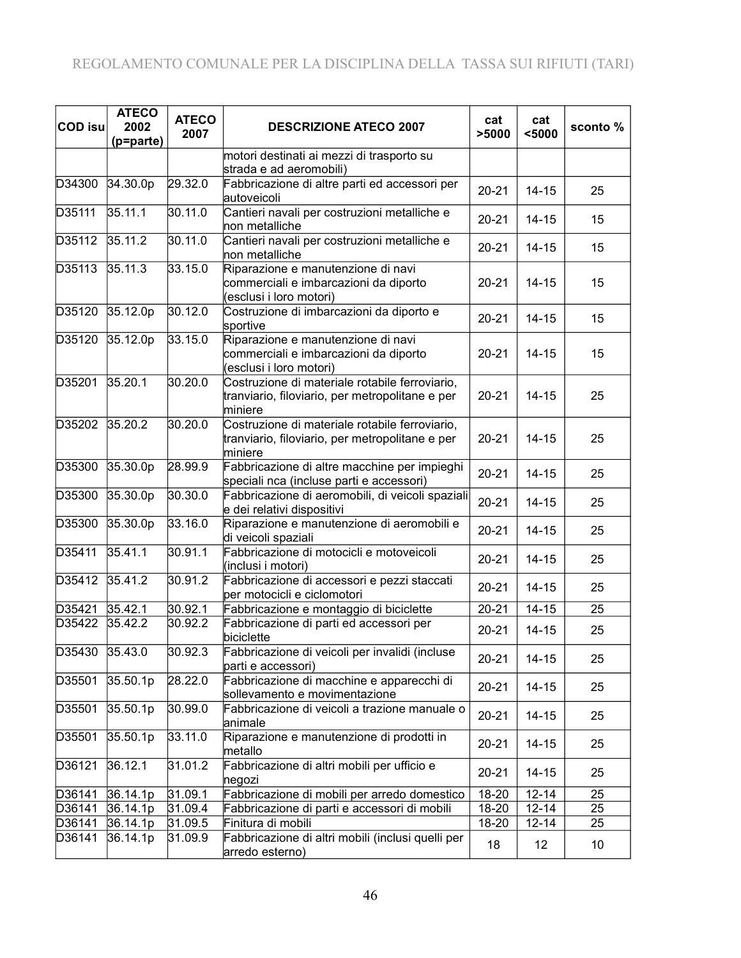| <b>COD isu</b> | <b>ATECO</b><br>2002<br>(p=parte) | <b>ATECO</b><br>2007 | <b>DESCRIZIONE ATECO 2007</b>                                                                                | cat<br>>5000         | cat<br>$5000$ | sconto % |
|----------------|-----------------------------------|----------------------|--------------------------------------------------------------------------------------------------------------|----------------------|---------------|----------|
|                |                                   |                      | motori destinati ai mezzi di trasporto su<br>strada e ad aeromobili)                                         |                      |               |          |
| D34300         | 34.30.0p                          | 29.32.0              | Fabbricazione di altre parti ed accessori per<br>autoveicoli                                                 | $20 - 21$            | $14 - 15$     | 25       |
| D35111         | 35.11.1                           | 30.11.0              | Cantieri navali per costruzioni metalliche e<br>non metalliche                                               | $20 - 21$            | $14 - 15$     | 15       |
| D35112         | 35.11.2                           | 30.11.0              | Cantieri navali per costruzioni metalliche e<br>non metalliche                                               | $20 - 21$            | $14 - 15$     | 15       |
| D35113         | 35.11.3                           | 33.15.0              | Riparazione e manutenzione di navi<br>commerciali e imbarcazioni da diporto<br>(esclusi i loro motori)       | $20 - 21$            | $14 - 15$     | 15       |
| D35120         | 35.12.0p                          | 30.12.0              | Costruzione di imbarcazioni da diporto e<br>sportive                                                         | $20 - 21$            | $14 - 15$     | 15       |
| D35120         | 35.12.0p                          | 33.15.0              | Riparazione e manutenzione di navi<br>commerciali e imbarcazioni da diporto<br>(esclusi i loro motori)       | $20 - 21$            | $14 - 15$     | 15       |
| D35201         | 35.20.1                           | 30.20.0              | Costruzione di materiale rotabile ferroviario,<br>tranviario, filoviario, per metropolitane e per<br>miniere | $20 - 21$            | $14 - 15$     | 25       |
| D35202         | 35.20.2                           | 30.20.0              | Costruzione di materiale rotabile ferroviario,<br>tranviario, filoviario, per metropolitane e per<br>miniere | $20 - 21$            | $14 - 15$     | 25       |
| D35300         | 35.30.0p                          | 28.99.9              | Fabbricazione di altre macchine per impieghi<br>speciali nca (incluse parti e accessori)                     | $20 - 21$            | $14 - 15$     | 25       |
| D35300         | 35.30.0p                          | 30.30.0              | Fabbricazione di aeromobili, di veicoli spaziali<br>e dei relativi dispositivi                               | $20 - 21$            | $14 - 15$     | 25       |
| D35300         | 35.30.0p                          | 33.16.0              | Riparazione e manutenzione di aeromobili e<br>di veicoli spaziali                                            | $20 - 21$            | $14 - 15$     | 25       |
| D35411         | 35.41.1                           | 30.91.1              | Fabbricazione di motocicli e motoveicoli<br>(inclusi i motori)                                               | $20 - 21$            | $14 - 15$     | 25       |
| D35412         | 35.41.2                           | 30.91.2              | Fabbricazione di accessori e pezzi staccati<br>per motocicli e ciclomotori                                   | $20 - 21$            | $14 - 15$     | 25       |
| D35421         | 35.42.1                           | 30.92.1              | Fabbricazione e montaggio di biciclette                                                                      | $20 - 21$            | $14 - 15$     | 25       |
| D35422         | 35.42.2                           | 30.92.2              | Fabbricazione di parti ed accessori per<br>biciclette                                                        | $20 - 21$            | $14 - 15$     | 25       |
| D35430         | 35.43.0                           | 30.92.3              | Fabbricazione di veicoli per invalidi (incluse<br>parti e accessori)                                         | $20 - 21$            | $14 - 15$     | 25       |
| D35501         | 35.50.1p                          | 28.22.0              | Fabbricazione di macchine e apparecchi di<br>sollevamento e movimentazione                                   | $20 - 21$            | $14 - 15$     | 25       |
| D35501         | 35.50.1p                          | 30.99.0              | Fabbricazione di veicoli a trazione manuale o<br>animale                                                     | $20 - 21$            | $14 - 15$     | 25       |
| D35501         | 35.50.1p                          | 33.11.0              | Riparazione e manutenzione di prodotti in<br>metallo                                                         | $20 - 21$            | $14 - 15$     | 25       |
| D36121         | 36.12.1                           | 31.01.2              | Fabbricazione di altri mobili per ufficio e<br>negozi                                                        | $20 - 21$            | $14 - 15$     | 25       |
| D36141         | 36.14.1p                          | 31.09.1              | Fabbricazione di mobili per arredo domestico                                                                 | $\overline{18} - 20$ | $12 - 14$     | 25       |
| D36141         | 36.14.1p                          | 31.09.4              | Fabbricazione di parti e accessori di mobili                                                                 | 18-20                | $12 - 14$     | 25       |
| D36141         | 36.14.1p                          | 31.09.5              | Finitura di mobili                                                                                           | 18-20                | $12 - 14$     | 25       |
| D36141         | 36.14.1p                          | 31.09.9              | Fabbricazione di altri mobili (inclusi quelli per<br>arredo esterno)                                         | 18                   | 12            | 10       |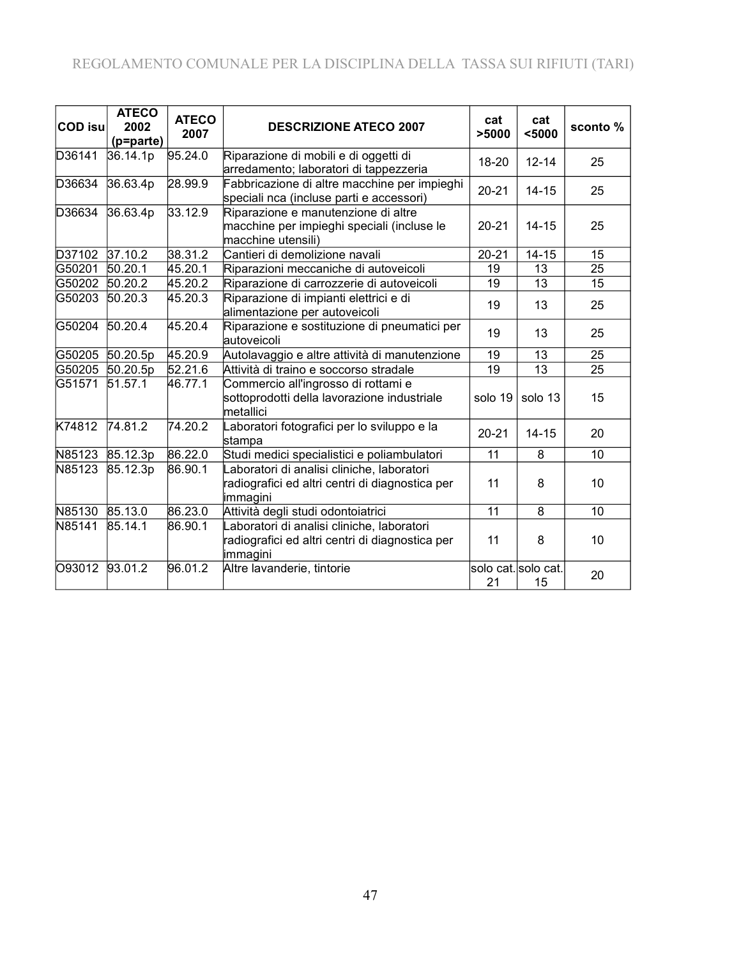## REGOLAMENTO COMUNALE PER LA DISCIPLINA DELLA TASSA SUI RIFIUTI (TARI)

| <b>COD</b> isu | <b>ATECO</b><br>2002<br>(p=parte) | <b>ATECO</b><br>2007  | <b>DESCRIZIONE ATECO 2007</b>                                                                             | cat<br>>5000              | cat<br>$5000$   | sconto % |
|----------------|-----------------------------------|-----------------------|-----------------------------------------------------------------------------------------------------------|---------------------------|-----------------|----------|
| D36141         | 36.14.1p                          | 95.24.0               | Riparazione di mobili e di oggetti di<br>arredamento; laboratori di tappezzeria                           | 18-20                     | $12 - 14$       | 25       |
| D36634         | 36.63.4p                          | 28.99.9               | Fabbricazione di altre macchine per impieghi<br>speciali nca (incluse parti e accessori)                  | $20 - 21$                 | $14 - 15$       | 25       |
| D36634         | 36.63.4p                          | 33.12.9               | Riparazione e manutenzione di altre<br>macchine per impieghi speciali (incluse le<br>macchine utensili)   | $20 - 21$                 | $14 - 15$       | 25       |
| D37102         | 37.10.2                           | 38.31.2               | Cantieri di demolizione navali                                                                            | $20 - 21$                 | $14 - 15$       | 15       |
| G50201         | 50.20.1                           | 45.20.1               | Riparazioni meccaniche di autoveicoli                                                                     | 19                        | 13              | 25       |
| G50202         | 50.20.2                           | 45.20.2               | Riparazione di carrozzerie di autoveicoli                                                                 | 19                        | 13              | 15       |
| G50203         | 50.20.3                           | 45.20.3               | Riparazione di impianti elettrici e di<br>alimentazione per autoveicoli                                   | 19                        | 13              | 25       |
| G50204         | 50.20.4                           | 45.20.4               | Riparazione e sostituzione di pneumatici per<br>autoveicoli                                               | 19                        | 13              | 25       |
| G50205         | 50.20.5p                          | 45.20.9               | Autolavaggio e altre attività di manutenzione                                                             | 19                        | 13              | 25       |
| G50205         | 50.20.5p                          | $\overline{5}$ 2.21.6 | Attività di traino e soccorso stradale                                                                    | 19                        | $\overline{13}$ | 25       |
| G51571         | 51.57.1                           | 46.77.1               | Commercio all'ingrosso di rottami e<br>sottoprodotti della lavorazione industriale<br>metallici           | solo 19                   | solo 13         | 15       |
| K74812         | 74.81.2                           | $\overline{74.20.2}$  | Laboratori fotografici per lo sviluppo e la<br>stampa                                                     | $20 - 21$                 | $14 - 15$       | 20       |
| N85123         | 85.12.3p                          | 86.22.0               | Studi medici specialistici e poliambulatori                                                               | 11                        | 8               | 10       |
| N85123         | 85.12.3p                          | 86.90.1               | aboratori di analisi cliniche, laboratori<br>radiografici ed altri centri di diagnostica per<br>immagini  | 11                        | 8               | 10       |
| N85130         | 85.13.0                           | 86.23.0               | Attività degli studi odontoiatrici                                                                        | 11                        | 8               | 10       |
| N85141         | 85.14.1                           | 86.90.1               | Laboratori di analisi cliniche, laboratori<br>radiografici ed altri centri di diagnostica per<br>immagini | 11                        | 8               | 10       |
| O93012         | 93.01.2                           | 96.01.2               | Altre lavanderie, tintorie                                                                                | solo cat. solo cat.<br>21 | 15              | 20       |